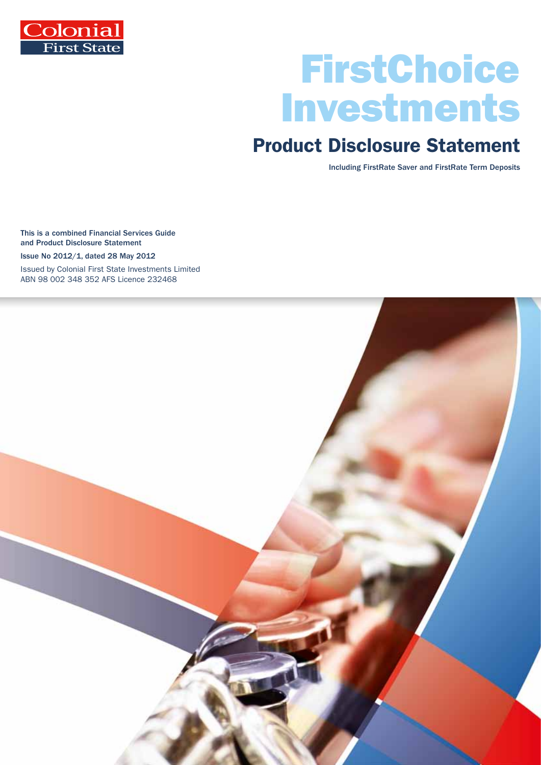

# FirstChoice Investments

## Product Disclosure Statement

Including FirstRate Saver and FirstRate Term Deposits

This is a combined Financial Services Guide and Product Disclosure Statement Issue No 2012/1, dated 28 May 2012

Issued by Colonial First State Investments Limited ABN 98 002 348 352 AFS Licence 232468

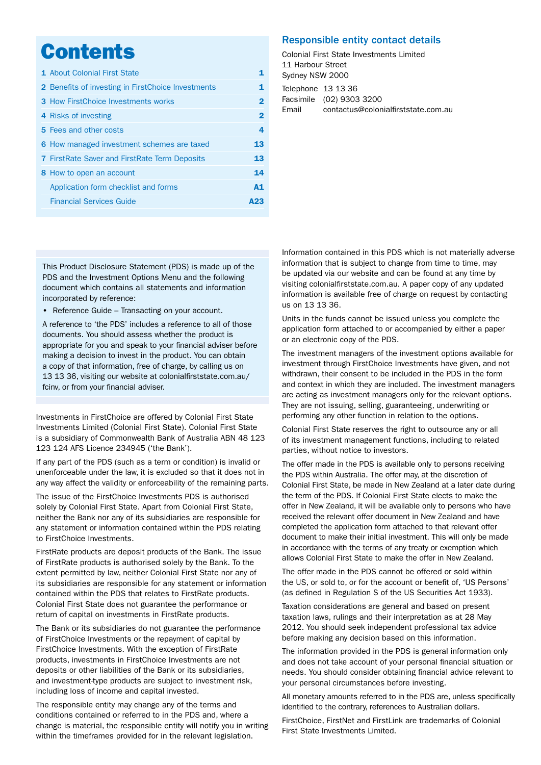## **[Conte](http://www.fundsfocus.com.au/managed-funds/colonial-firstchoice/)nts**

| 1 About Colonial First State                               |              |
|------------------------------------------------------------|--------------|
| <b>2</b> Benefits of investing in First Choice Investments | 1            |
| <b>3 How FirstChoice Investments works</b>                 | $\mathbf{2}$ |
| 4 Risks of investing                                       | $\mathbf{2}$ |
| 5 Fees and other costs                                     | 4            |
| 6 How managed investment schemes are taxed                 | 13           |
| <b>7 FirstRate Saver and FirstRate Term Deposits</b>       | 13           |
| 8 How to open an account                                   | 14           |
| Application form checklist and forms                       | A1           |
| <b>Financial Services Guide</b>                            | 423          |

This Product Disclosure Statement (PDS) is made up of the PDS and the Investment Options Menu and the following document which contains all statements and information incorporated by reference:

• Reference Guide – Transacting on your account.

A reference to 'the PDS' includes a reference to all of those documents. You should assess whether the product is appropriate for you and speak to your financial adviser before making a decision to invest in the product. You can obtain a copy of that information, free of charge, by calling us on 13 13 36, visiting our website at colonialfirststate.com.au/ fcinv, or from your financial adviser.

Investments in FirstChoice are offered by Colonial First State Investments Limited (Colonial First State). Colonial First State is a subsidiary of Commonwealth Bank of Australia ABN 48 123 123 124 AFS Licence 234945 ('the Bank').

If any part of the PDS (such as a term or condition) is invalid or unenforceable under the law, it is excluded so that it does not in any way affect the validity or enforceability of the remaining parts.

The issue of the FirstChoice Investments PDS is authorised solely by Colonial First State. Apart from Colonial First State, neither the Bank nor any of its subsidiaries are responsible for any statement or information contained within the PDS relating to FirstChoice Investments.

FirstRate products are deposit products of the Bank. The issue of FirstRate products is authorised solely by the Bank. To the extent permitted by law, neither Colonial First State nor any of its subsidiaries are responsible for any statement or information contained within the PDS that relates to FirstRate products. Colonial First State does not guarantee the performance or return of capital on investments in FirstRate products.

The Bank or its subsidiaries do not guarantee the performance of FirstChoice Investments or the repayment of capital by FirstChoice Investments. With the exception of FirstRate products, investments in FirstChoice Investments are not deposits or other liabilities of the Bank or its subsidiaries, and investment-type products are subject to investment risk, including loss of income and capital invested.

The responsible entity may change any of the terms and conditions contained or referred to in the PDS and, where a change is material, the responsible entity will notify you in writing within the timeframes provided for in the relevant legislation.

## Responsible entity contact details

Colonial First State Investments Limited 11 Harbour Street Sydney NSW 2000

Telephone 13 13 36 Facsimile (02) 9303 3200 Email contactus@colonialfirststate.com.au

Information contained in this PDS which is not materially adverse information that is subject to change from time to time, may be updated via our website and can be found at any time by visiting colonialfirststate.com.au. A paper copy of any updated information is available free of charge on request by contacting us on 13 13 36.

Units in the funds cannot be issued unless you complete the application form attached to or accompanied by either a paper or an electronic copy of the PDS.

The investment managers of the investment options available for investment through FirstChoice Investments have given, and not withdrawn, their consent to be included in the PDS in the form and context in which they are included. The investment managers are acting as investment managers only for the relevant options. They are not issuing, selling, guaranteeing, underwriting or performing any other function in relation to the options.

Colonial First State reserves the right to outsource any or all of its investment management functions, including to related parties, without notice to investors.

The offer made in the PDS is available only to persons receiving the PDS within Australia. The offer may, at the discretion of Colonial First State, be made in New Zealand at a later date during the term of the PDS. If Colonial First State elects to make the offer in New Zealand, it will be available only to persons who have received the relevant offer document in New Zealand and have completed the application form attached to that relevant offer document to make their initial investment. This will only be made in accordance with the terms of any treaty or exemption which allows Colonial First State to make the offer in New Zealand.

The offer made in the PDS cannot be offered or sold within the US, or sold to, or for the account or benefit of, 'US Persons' (as defined in Regulation S of the US Securities Act 1933).

Taxation considerations are general and based on present taxation laws, rulings and their interpretation as at 28 May 2012. You should seek independent professional tax advice before making any decision based on this information.

The information provided in the PDS is general information only and does not take account of your personal financial situation or needs. You should consider obtaining financial advice relevant to your personal circumstances before investing.

All monetary amounts referred to in the PDS are, unless specifically identified to the contrary, references to Australian dollars.

FirstChoice, FirstNet and FirstLink are trademarks of Colonial First State Investments Limited.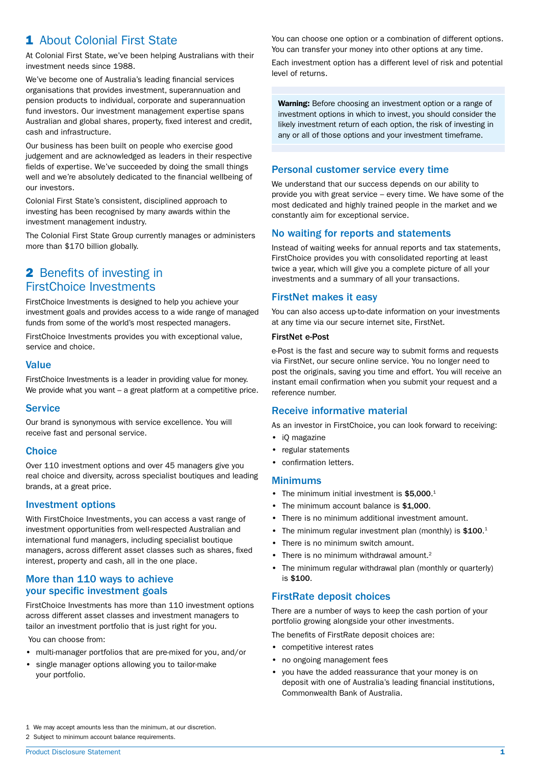## 1 [About Col](http://www.fundsfocus.com.au/managed-funds/colonial-firstchoice/)onial First State

At Colonial First State, we've been helping Australians with their investment needs since 1988.

We've become one of Australia's leading financial services organisations that provides investment, superannuation and pension products to individual, corporate and superannuation fund investors. Our investment management expertise spans Australian and global shares, property, fixed interest and credit, cash and infrastructure.

Our business has been built on people who exercise good judgement and are acknowledged as leaders in their respective fields of expertise. We've succeeded by doing the small things well and we're absolutely dedicated to the financial wellbeing of our investors.

Colonial First State's consistent, disciplined approach to investing has been recognised by many awards within the investment management industry.

The Colonial First State Group currently manages or administers more than \$170 billion globally.

## 2 Benefits of investing in FirstChoice Investments

FirstChoice Investments is designed to help you achieve your investment goals and provides access to a wide range of managed funds from some of the world's most respected managers.

FirstChoice Investments provides you with exceptional value, service and choice.

## Value

FirstChoice Investments is a leader in providing value for money. We provide what you want – a great platform at a competitive price.

## **Service**

Our brand is synonymous with service excellence. You will receive fast and personal service.

## **Choice**

Over 110 investment options and over 45 managers give you real choice and diversity, across specialist boutiques and leading brands, at a great price.

## Investment options

With FirstChoice Investments, you can access a vast range of investment opportunities from well-respected Australian and international fund managers, including specialist boutique managers, across different asset classes such as shares, fixed interest, property and cash, all in the one place.

## More than 110 ways to achieve your specific investment goals

FirstChoice Investments has more than 110 investment options across different asset classes and investment managers to tailor an investment portfolio that is just right for you.

You can choose from:

- multi-manager portfolios that are pre-mixed for you, and/or
- single manager options allowing you to tailor-make your portfolio.

You can choose one option or a combination of different options. You can transfer your money into other options at any time.

Each investment option has a different level of risk and potential level of returns.

Warning: Before choosing an investment option or a range of investment options in which to invest, you should consider the likely investment return of each option, the risk of investing in any or all of those options and your investment timeframe.

## Personal customer service every time

We understand that our success depends on our ability to provide you with great service – every time. We have some of the most dedicated and highly trained people in the market and we constantly aim for exceptional service.

## No waiting for reports and statements

Instead of waiting weeks for annual reports and tax statements, FirstChoice provides you with consolidated reporting at least twice a year, which will give you a complete picture of all your investments and a summary of all your transactions.

## FirstNet makes it easy

You can also access up-to-date information on your investments at any time via our secure internet site, FirstNet.

#### FirstNet e-Post

e-Post is the fast and secure way to submit forms and requests via FirstNet, our secure online service. You no longer need to post the originals, saving you time and effort. You will receive an instant email confirmation when you submit your request and a reference number.

## Receive informative material

As an investor in FirstChoice, you can look forward to receiving:

- iQ magazine
- regular statements
- confirmation letters.

## Minimums

- The minimum initial investment is \$5,000.<sup>1</sup>
- The minimum account balance is \$1,000.
- There is no minimum additional investment amount.
- The minimum regular investment plan (monthly) is \$100.<sup>1</sup>
- There is no minimum switch amount.
- There is no minimum withdrawal amount.<sup>2</sup>
- The minimum regular withdrawal plan (monthly or quarterly) is \$100.

## FirstRate deposit choices

There are a number of ways to keep the cash portion of your portfolio growing alongside your other investments.

The benefits of FirstRate deposit choices are:

- competitive interest rates
- no ongoing management fees
- you have the added reassurance that your money is on deposit with one of Australia's leading financial institutions, Commonwealth Bank of Australia.

1 We may accept amounts less than the minimum, at our discretion.

2 Subject to minimum account balance requirements.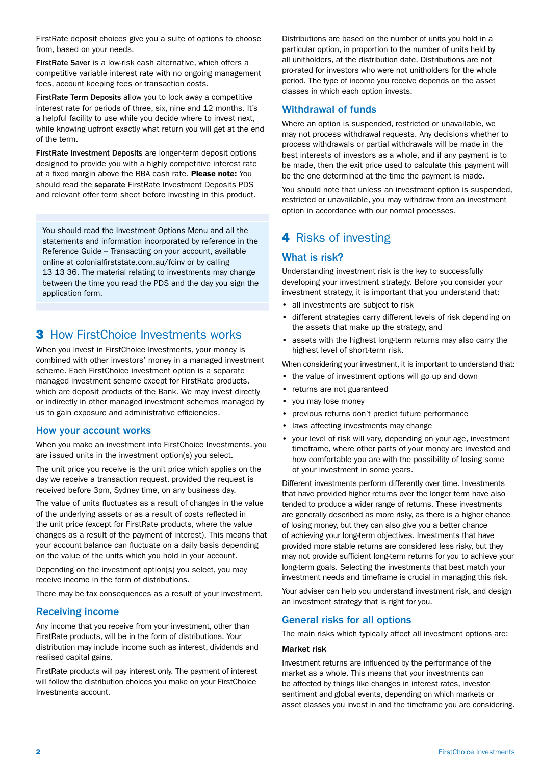[FirstRate depos](http://www.fundsfocus.com.au/managed-funds/colonial-firstchoice/)it choices give you a suite of options to choose from, based on your needs.

FirstRate Saver is a low-risk cash alternative, which offers a competitive variable interest rate with no ongoing management fees, account keeping fees or transaction costs.

FirstRate Term Deposits allow you to lock away a competitive interest rate for periods of three, six, nine and 12 months. It's a helpful facility to use while you decide where to invest next, while knowing upfront exactly what return you will get at the end of the term.

FirstRate Investment Deposits are longer-term deposit options designed to provide you with a highly competitive interest rate at a fixed margin above the RBA cash rate. Please note: You should read the separate FirstRate Investment Deposits PDS and relevant offer term sheet before investing in this product.

You should read the Investment Options Menu and all the statements and information incorporated by reference in the Reference Guide – Transacting on your account, available online at colonialfirststate.com.au/fcinv or by calling 13 13 36. The material relating to investments may change between the time you read the PDS and the day you sign the application form.

## **3** How FirstChoice Investments works

When you invest in FirstChoice Investments, your money is combined with other investors' money in a managed investment scheme. Each FirstChoice investment option is a separate managed investment scheme except for FirstRate products, which are deposit products of the Bank. We may invest directly or indirectly in other managed investment schemes managed by us to gain exposure and administrative efficiencies.

## How your account works

When you make an investment into FirstChoice Investments, you are issued units in the investment option(s) you select.

The unit price you receive is the unit price which applies on the day we receive a transaction request, provided the request is received before 3pm, Sydney time, on any business day.

The value of units fluctuates as a result of changes in the value of the underlying assets or as a result of costs reflected in the unit price (except for FirstRate products, where the value changes as a result of the payment of interest). This means that your account balance can fluctuate on a daily basis depending on the value of the units which you hold in your account.

Depending on the investment option(s) you select, you may receive income in the form of distributions.

There may be tax consequences as a result of your investment.

## Receiving income

Any income that you receive from your investment, other than FirstRate products, will be in the form of distributions. Your distribution may include income such as interest, dividends and realised capital gains.

FirstRate products will pay interest only. The payment of interest will follow the distribution choices you make on your FirstChoice Investments account.

Distributions are based on the number of units you hold in a particular option, in proportion to the number of units held by all unitholders, at the distribution date. Distributions are not pro-rated for investors who were not unitholders for the whole period. The type of income you receive depends on the asset classes in which each option invests.

## Withdrawal of funds

Where an option is suspended, restricted or unavailable, we may not process withdrawal requests. Any decisions whether to process withdrawals or partial withdrawals will be made in the best interests of investors as a whole, and if any payment is to be made, then the exit price used to calculate this payment will be the one determined at the time the payment is made.

You should note that unless an investment option is suspended, restricted or unavailable, you may withdraw from an investment option in accordance with our normal processes.

## 4 Risks of investing

## What is risk?

Understanding investment risk is the key to successfully developing your investment strategy. Before you consider your investment strategy, it is important that you understand that:

- all investments are subject to risk
- different strategies carry different levels of risk depending on the assets that make up the strategy, and
- assets with the highest long-term returns may also carry the highest level of short-term risk.

When considering your investment, it is important to understand that:

- the value of investment options will go up and down
- returns are not guaranteed
- you may lose money
- previous returns don't predict future performance
- laws affecting investments may change
- your level of risk will vary, depending on your age, investment timeframe, where other parts of your money are invested and how comfortable you are with the possibility of losing some of your investment in some years.

Different investments perform differently over time. Investments that have provided higher returns over the longer term have also tended to produce a wider range of returns. These investments are generally described as more risky, as there is a higher chance of losing money, but they can also give you a better chance of achieving your long-term objectives. Investments that have provided more stable returns are considered less risky, but they may not provide sufficient long-term returns for you to achieve your long-term goals. Selecting the investments that best match your investment needs and timeframe is crucial in managing this risk.

Your adviser can help you understand investment risk, and design an investment strategy that is right for you.

## General risks for all options

The main risks which typically affect all investment options are:

## Market risk

Investment returns are influenced by the performance of the market as a whole. This means that your investments can be affected by things like changes in interest rates, investor sentiment and global events, depending on which markets or asset classes you invest in and the timeframe you are considering.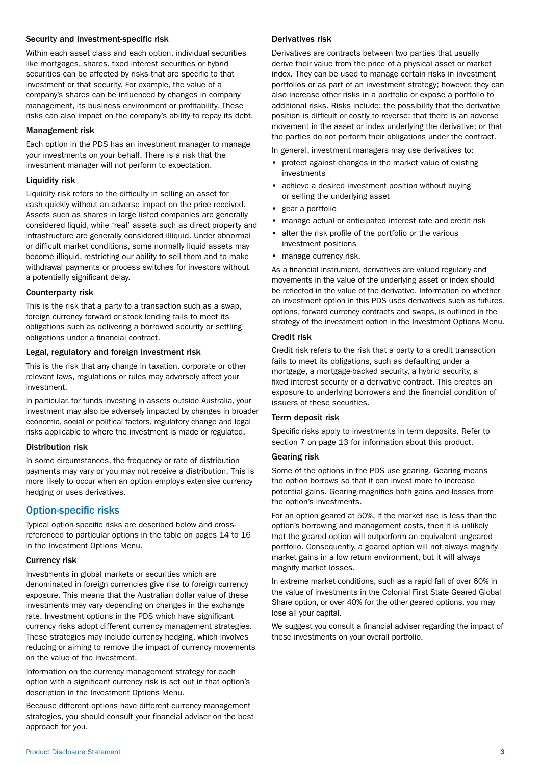#### [Security and inve](http://www.fundsfocus.com.au/managed-funds/colonial-firstchoice/)stment-specific risk

Within each asset class and each option, individual securities like mortgages, shares, fixed interest securities or hybrid securities can be affected by risks that are specific to that investment or that security. For example, the value of a company's shares can be influenced by changes in company management, its business environment or profitability. These risks can also impact on the company's ability to repay its debt.

#### Management risk

Each option in the PDS has an investment manager to manage your investments on your behalf. There is a risk that the investment manager will not perform to expectation.

#### Liquidity risk

Liquidity risk refers to the difficulty in selling an asset for cash quickly without an adverse impact on the price received. Assets such as shares in large listed companies are generally considered liquid, while 'real' assets such as direct property and infrastructure are generally considered illiquid. Under abnormal or difficult market conditions, some normally liquid assets may become illiquid, restricting our ability to sell them and to make withdrawal payments or process switches for investors without a potentially significant delay.

#### Counterparty risk

This is the risk that a party to a transaction such as a swap, foreign currency forward or stock lending fails to meet its obligations such as delivering a borrowed security or settling obligations under a financial contract.

#### Legal, regulatory and foreign investment risk

This is the risk that any change in taxation, corporate or other relevant laws, regulations or rules may adversely affect your investment.

In particular, for funds investing in assets outside Australia, your investment may also be adversely impacted by changes in broader economic, social or political factors, regulatory change and legal risks applicable to where the investment is made or regulated.

## Distribution risk

In some circumstances, the frequency or rate of distribution payments may vary or you may not receive a distribution. This is more likely to occur when an option employs extensive currency hedging or uses derivatives.

## Option-specific risks

Typical option-specific risks are described below and crossreferenced to particular options in the table on pages 14 to 16 in the Investment Options Menu.

## Currency risk

Investments in global markets or securities which are denominated in foreign currencies give rise to foreign currency exposure. This means that the Australian dollar value of these investments may vary depending on changes in the exchange rate. Investment options in the PDS which have significant currency risks adopt different currency management strategies. These strategies may include currency hedging, which involves reducing or aiming to remove the impact of currency movements on the value of the investment.

Information on the currency management strategy for each option with a significant currency risk is set out in that option's description in the Investment Options Menu.

Because different options have different currency management strategies, you should consult your financial adviser on the best approach for you.

## Derivatives risk

Derivatives are contracts between two parties that usually derive their value from the price of a physical asset or market index. They can be used to manage certain risks in investment portfolios or as part of an investment strategy; however, they can also increase other risks in a portfolio or expose a portfolio to additional risks. Risks include: the possibility that the derivative position is difficult or costly to reverse; that there is an adverse movement in the asset or index underlying the derivative; or that the parties do not perform their obligations under the contract.

In general, investment managers may use derivatives to:

- protect against changes in the market value of existing investments
- achieve a desired investment position without buying or selling the underlying asset
- gear a portfolio
- manage actual or anticipated interest rate and credit risk
- alter the risk profile of the portfolio or the various investment positions
- manage currency risk.

As a financial instrument, derivatives are valued regularly and movements in the value of the underlying asset or index should be reflected in the value of the derivative. Information on whether an investment option in this PDS uses derivatives such as futures, options, forward currency contracts and swaps, is outlined in the strategy of the investment option in the Investment Options Menu.

#### Credit risk

Credit risk refers to the risk that a party to a credit transaction fails to meet its obligations, such as defaulting under a mortgage, a mortgage-backed security, a hybrid security, a fixed interest security or a derivative contract. This creates an exposure to underlying borrowers and the financial condition of issuers of these securities.

#### Term deposit risk

Specific risks apply to investments in term deposits. Refer to section 7 on page 13 for information about this product.

#### Gearing risk

Some of the options in the PDS use gearing. Gearing means the option borrows so that it can invest more to increase potential gains. Gearing magnifies both gains and losses from the option's investments.

For an option geared at 50%, if the market rise is less than the option's borrowing and management costs, then it is unlikely that the geared option will outperform an equivalent ungeared portfolio. Consequently, a geared option will not always magnify market gains in a low return environment, but it will always magnify market losses.

In extreme market conditions, such as a rapid fall of over 60% in the value of investments in the Colonial First State Geared Global Share option, or over 40% for the other geared options, you may lose all your capital.

We suggest you consult a financial adviser regarding the impact of these investments on your overall portfolio.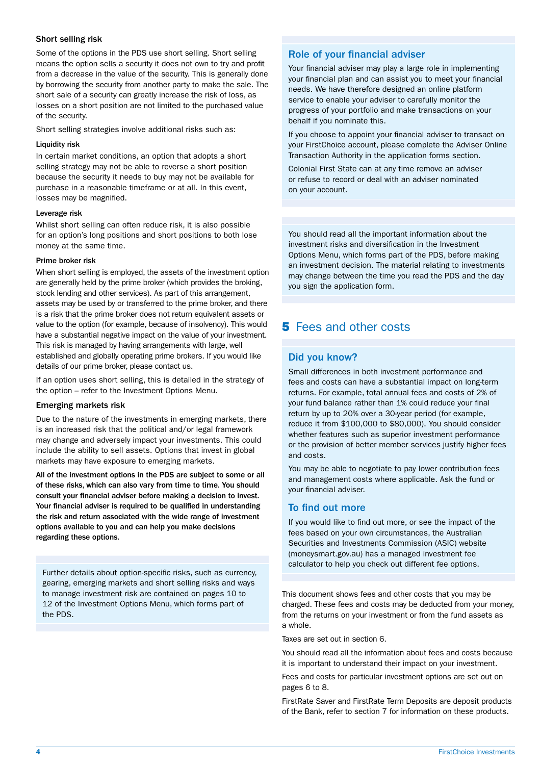#### [Short selling ri](http://www.fundsfocus.com.au/managed-funds/colonial-firstchoice/)sk

Some of the options in the PDS use short selling. Short selling means the option sells a security it does not own to try and profit from a decrease in the value of the security. This is generally done by borrowing the security from another party to make the sale. The short sale of a security can greatly increase the risk of loss, as losses on a short position are not limited to the purchased value of the security.

Short selling strategies involve additional risks such as:

#### Liquidity risk

In certain market conditions, an option that adopts a short selling strategy may not be able to reverse a short position because the security it needs to buy may not be available for purchase in a reasonable timeframe or at all. In this event, losses may be magnified.

#### Leverage risk

Whilst short selling can often reduce risk, it is also possible for an option's long positions and short positions to both lose money at the same time.

#### Prime broker risk

When short selling is employed, the assets of the investment option are generally held by the prime broker (which provides the broking, stock lending and other services). As part of this arrangement, assets may be used by or transferred to the prime broker, and there is a risk that the prime broker does not return equivalent assets or value to the option (for example, because of insolvency). This would have a substantial negative impact on the value of your investment. This risk is managed by having arrangements with large, well established and globally operating prime brokers. If you would like details of our prime broker, please contact us.

If an option uses short selling, this is detailed in the strategy of the option – refer to the Investment Options Menu.

#### Emerging markets risk

Due to the nature of the investments in emerging markets, there is an increased risk that the political and/or legal framework may change and adversely impact your investments. This could include the ability to sell assets. Options that invest in global markets may have exposure to emerging markets.

All of the investment options in the PDS are subject to some or all of these risks, which can also vary from time to time. You should consult your financial adviser before making a decision to invest. Your financial adviser is required to be qualified in understanding the risk and return associated with the wide range of investment options available to you and can help you make decisions regarding these options.

Further details about option-specific risks, such as currency, gearing, emerging markets and short selling risks and ways to manage investment risk are contained on pages 10 to 12 of the Investment Options Menu, which forms part of the PDS.

## Role of your financial adviser

Your financial adviser may play a large role in implementing your financial plan and can assist you to meet your financial needs. We have therefore designed an online platform service to enable your adviser to carefully monitor the progress of your portfolio and make transactions on your behalf if you nominate this.

If you choose to appoint your financial adviser to transact on your FirstChoice account, please complete the Adviser Online Transaction Authority in the application forms section.

Colonial First State can at any time remove an adviser or refuse to record or deal with an adviser nominated on your account.

You should read all the important information about the investment risks and diversification in the Investment Options Menu, which forms part of the PDS, before making an investment decision. The material relating to investments may change between the time you read the PDS and the day you sign the application form.

## **5** Fees and other costs

## Did you know?

Small differences in both investment performance and fees and costs can have a substantial impact on long-term returns. For example, total annual fees and costs of 2% of your fund balance rather than 1% could reduce your final return by up to 20% over a 30-year period (for example, reduce it from \$100,000 to \$80,000). You should consider whether features such as superior investment performance or the provision of better member services justify higher fees and costs.

You may be able to negotiate to pay lower contribution fees and management costs where applicable. Ask the fund or your financial adviser.

## To find out more

If you would like to find out more, or see the impact of the fees based on your own circumstances, the Australian Securities and Investments Commission (ASIC) website (moneysmart.gov.au) has a managed investment fee calculator to help you check out different fee options.

This document shows fees and other costs that you may be charged. These fees and costs may be deducted from your money, from the returns on your investment or from the fund assets as a whole.

Taxes are set out in section 6.

You should read all the information about fees and costs because it is important to understand their impact on your investment.

Fees and costs for particular investment options are set out on pages 6 to 8.

FirstRate Saver and FirstRate Term Deposits are deposit products of the Bank, refer to section 7 for information on these products.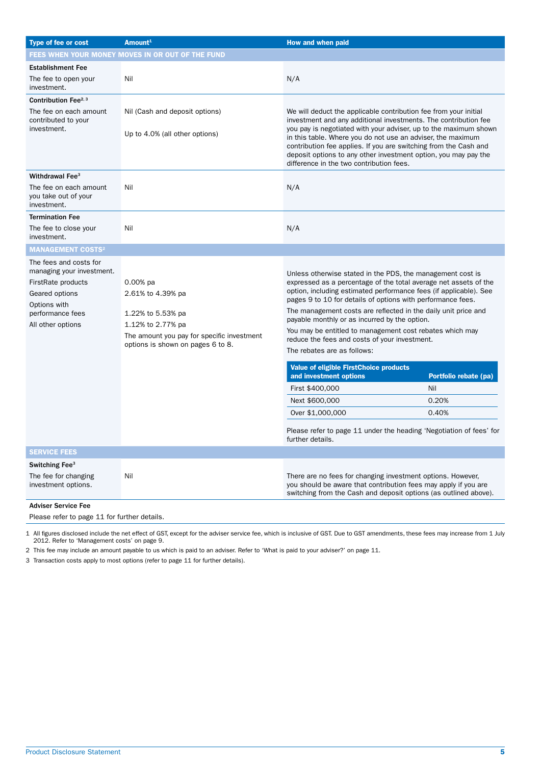| Type of fee or cost                                                                                                                                  | Amount <sup>1</sup>                                                                                                                                          | How and when paid                                                                                                                                                                                                                                                                                                                                                                                                                                                                                                                                                                                                                                                                                                                                         |                                                |
|------------------------------------------------------------------------------------------------------------------------------------------------------|--------------------------------------------------------------------------------------------------------------------------------------------------------------|-----------------------------------------------------------------------------------------------------------------------------------------------------------------------------------------------------------------------------------------------------------------------------------------------------------------------------------------------------------------------------------------------------------------------------------------------------------------------------------------------------------------------------------------------------------------------------------------------------------------------------------------------------------------------------------------------------------------------------------------------------------|------------------------------------------------|
|                                                                                                                                                      | FEES WHEN YOUR MONEY MOVES IN OR OUT OF THE FUND                                                                                                             |                                                                                                                                                                                                                                                                                                                                                                                                                                                                                                                                                                                                                                                                                                                                                           |                                                |
| <b>Establishment Fee</b>                                                                                                                             |                                                                                                                                                              |                                                                                                                                                                                                                                                                                                                                                                                                                                                                                                                                                                                                                                                                                                                                                           |                                                |
| The fee to open your<br>investment.                                                                                                                  | Nil                                                                                                                                                          | N/A                                                                                                                                                                                                                                                                                                                                                                                                                                                                                                                                                                                                                                                                                                                                                       |                                                |
| Contribution Fee <sup>2, 3</sup>                                                                                                                     |                                                                                                                                                              |                                                                                                                                                                                                                                                                                                                                                                                                                                                                                                                                                                                                                                                                                                                                                           |                                                |
| The fee on each amount<br>contributed to your<br>investment.                                                                                         | Nil (Cash and deposit options)<br>Up to 4.0% (all other options)                                                                                             | We will deduct the applicable contribution fee from your initial<br>investment and any additional investments. The contribution fee<br>you pay is negotiated with your adviser, up to the maximum shown<br>in this table. Where you do not use an adviser, the maximum<br>contribution fee applies. If you are switching from the Cash and<br>deposit options to any other investment option, you may pay the<br>difference in the two contribution fees.                                                                                                                                                                                                                                                                                                 |                                                |
| Withdrawal Fee <sup>3</sup>                                                                                                                          |                                                                                                                                                              |                                                                                                                                                                                                                                                                                                                                                                                                                                                                                                                                                                                                                                                                                                                                                           |                                                |
| The fee on each amount<br>you take out of your<br>investment.                                                                                        | Nil                                                                                                                                                          | N/A                                                                                                                                                                                                                                                                                                                                                                                                                                                                                                                                                                                                                                                                                                                                                       |                                                |
| <b>Termination Fee</b>                                                                                                                               |                                                                                                                                                              |                                                                                                                                                                                                                                                                                                                                                                                                                                                                                                                                                                                                                                                                                                                                                           |                                                |
| The fee to close your<br>investment.                                                                                                                 | Nil                                                                                                                                                          | N/A                                                                                                                                                                                                                                                                                                                                                                                                                                                                                                                                                                                                                                                                                                                                                       |                                                |
| <b>MANAGEMENT COSTS<sup>2</sup></b>                                                                                                                  |                                                                                                                                                              |                                                                                                                                                                                                                                                                                                                                                                                                                                                                                                                                                                                                                                                                                                                                                           |                                                |
| The fees and costs for<br>managing your investment.<br>FirstRate products<br>Geared options<br>Options with<br>performance fees<br>All other options | $0.00%$ pa<br>2.61% to 4.39% pa<br>1.22% to 5.53% pa<br>1.12% to 2.77% pa<br>The amount you pay for specific investment<br>options is shown on pages 6 to 8. | Unless otherwise stated in the PDS, the management cost is<br>expressed as a percentage of the total average net assets of the<br>option, including estimated performance fees (if applicable). See<br>pages 9 to 10 for details of options with performance fees.<br>The management costs are reflected in the daily unit price and<br>payable monthly or as incurred by the option.<br>You may be entitled to management cost rebates which may<br>reduce the fees and costs of your investment.<br>The rebates are as follows:<br>Value of eligible FirstChoice products<br>and investment options<br>First \$400,000<br>Next \$600,000<br>Over \$1,000,000<br>Please refer to page 11 under the heading 'Negotiation of fees' for<br>further details. | Portfolio rebate (pa)<br>Nil<br>0.20%<br>0.40% |
| <b>SERVICE FEES</b>                                                                                                                                  |                                                                                                                                                              |                                                                                                                                                                                                                                                                                                                                                                                                                                                                                                                                                                                                                                                                                                                                                           |                                                |
| Switching Fee <sup>3</sup><br>The fee for changing<br>investment options.<br><b>Adviser Service Fee</b>                                              | Nil                                                                                                                                                          | There are no fees for changing investment options. However,<br>you should be aware that contribution fees may apply if you are<br>switching from the Cash and deposit options (as outlined above).                                                                                                                                                                                                                                                                                                                                                                                                                                                                                                                                                        |                                                |

Please refer to page 11 for further details.

1 All figures disclosed include the net effect of GST, except for the adviser service fee, which is inclusive of GST. Due to GST amendments, these fees may increase from 1 July 2012. Refer to 'Management costs' on page 9.

2 This fee may include an amount payable to us which is paid to an adviser. Refer to 'What is paid to your adviser?' on page 11.

3 Transaction costs apply to most options (refer to page 11 for further details).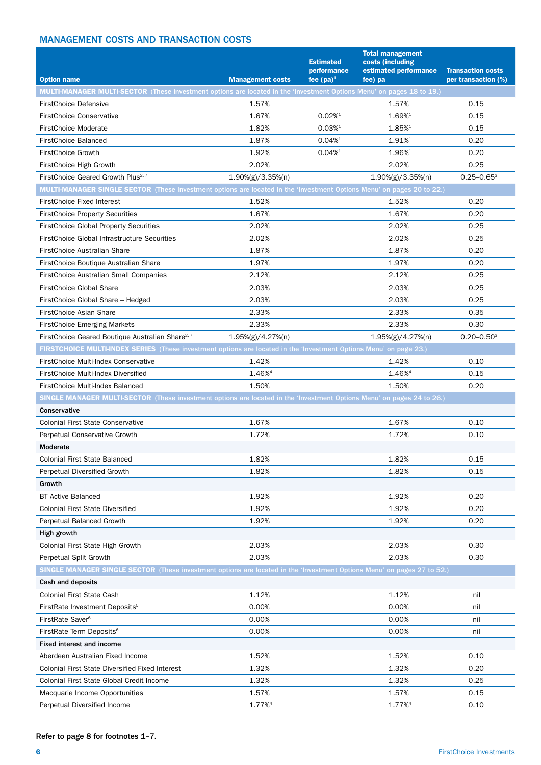## [Management](http://www.fundsfocus.com.au/managed-funds/colonial-firstchoice/) costs and transaction costs

|                                                                                                                              |                         | <b>Estimated</b><br>performance | <b>Total management</b><br>costs (including<br>estimated performance | <b>Transaction costs</b> |
|------------------------------------------------------------------------------------------------------------------------------|-------------------------|---------------------------------|----------------------------------------------------------------------|--------------------------|
| <b>Option name</b>                                                                                                           | <b>Management costs</b> | fee $(pa)^1$                    | $fee)$ pa                                                            | per transaction (%)      |
| <b>MULTI-MANAGER MULTI-SECTOR</b> (These investment options are located in the 'Investment Options Menu' on pages 18 to 19.) |                         |                                 |                                                                      |                          |
| <b>FirstChoice Defensive</b>                                                                                                 | 1.57%                   |                                 | 1.57%                                                                | 0.15                     |
| <b>FirstChoice Conservative</b>                                                                                              | 1.67%                   | $0.02\%$ <sup>1</sup>           | 1.69%1                                                               | 0.15                     |
| <b>FirstChoice Moderate</b>                                                                                                  | 1.82%                   | $0.03\%$ <sup>1</sup>           | 1.85%                                                                | 0.15                     |
| <b>FirstChoice Balanced</b>                                                                                                  | 1.87%                   | $0.04\%$ <sup>1</sup>           | 1.91%                                                                | 0.20                     |
| <b>FirstChoice Growth</b>                                                                                                    | 1.92%                   | $0.04\%$ <sup>1</sup>           | 1.96%                                                                | 0.20                     |
| FirstChoice High Growth                                                                                                      | 2.02%                   |                                 | 2.02%                                                                | 0.25                     |
| FirstChoice Geared Growth Plus <sup>2, 7</sup>                                                                               | $1.90\%(g)/3.35\%(n)$   |                                 | $1.90\%(g)/3.35\%(n)$                                                | $0.25 - 0.65^3$          |
| MULTI-MANAGER SINGLE SECTOR (These investment options are located in the 'Investment Options Menu' on pages 20 to 22.)       |                         |                                 |                                                                      |                          |
| <b>FirstChoice Fixed Interest</b>                                                                                            | 1.52%                   |                                 | 1.52%                                                                | 0.20                     |
| <b>FirstChoice Property Securities</b>                                                                                       | 1.67%                   |                                 | 1.67%                                                                | 0.20                     |
| <b>FirstChoice Global Property Securities</b>                                                                                | 2.02%                   |                                 | 2.02%                                                                | 0.25                     |
| <b>FirstChoice Global Infrastructure Securities</b>                                                                          | 2.02%                   |                                 | 2.02%                                                                | 0.25                     |
| FirstChoice Australian Share                                                                                                 | 1.87%                   |                                 | 1.87%                                                                | 0.20                     |
| FirstChoice Boutique Australian Share                                                                                        | 1.97%                   |                                 | 1.97%                                                                | 0.20                     |
| <b>FirstChoice Australian Small Companies</b>                                                                                | 2.12%                   |                                 | 2.12%                                                                | 0.25                     |
| <b>FirstChoice Global Share</b>                                                                                              | 2.03%                   |                                 | 2.03%                                                                | 0.25                     |
| FirstChoice Global Share - Hedged                                                                                            | 2.03%                   |                                 | 2.03%                                                                | 0.25                     |
| <b>FirstChoice Asian Share</b>                                                                                               | 2.33%                   |                                 | 2.33%                                                                | 0.35                     |
| <b>FirstChoice Emerging Markets</b>                                                                                          | 2.33%                   |                                 | 2.33%                                                                | 0.30                     |
| FirstChoice Geared Boutique Australian Share <sup>2, 7</sup>                                                                 | $1.95\%(g)/4.27\%(n)$   |                                 | $1.95\%(g)/4.27\%(n)$                                                | $0.20 - 0.50^3$          |
| FIRSTCHOICE MULTI-INDEX SERIES (These investment options are located in the 'Investment Options Menu' on page 23.)           |                         |                                 |                                                                      |                          |
| FirstChoice Multi-Index Conservative                                                                                         | 1.42%                   |                                 | 1.42%                                                                | 0.10                     |
| FirstChoice Multi-Index Diversified                                                                                          | 1.46% <sup>4</sup>      |                                 | 1.46% <sup>4</sup>                                                   | 0.15                     |
| FirstChoice Multi-Index Balanced                                                                                             | 1.50%                   |                                 | 1.50%                                                                | 0.20                     |
| SINGLE MANAGER MULTI-SECTOR (These investment options are located in the 'Investment Options Menu' on pages 24 to 26.)       |                         |                                 |                                                                      |                          |
| Conservative                                                                                                                 |                         |                                 |                                                                      |                          |
| <b>Colonial First State Conservative</b>                                                                                     | 1.67%                   |                                 | 1.67%                                                                | 0.10                     |
| Perpetual Conservative Growth                                                                                                | 1.72%                   |                                 | 1.72%                                                                | 0.10                     |
| Moderate                                                                                                                     |                         |                                 |                                                                      |                          |
| <b>Colonial First State Balanced</b>                                                                                         | 1.82%                   |                                 | 1.82%                                                                | 0.15                     |
| Perpetual Diversified Growth                                                                                                 | 1.82%                   |                                 | 1.82%                                                                | 0.15                     |
| Growth                                                                                                                       |                         |                                 |                                                                      |                          |
| <b>BT Active Balanced</b>                                                                                                    | 1.92%                   |                                 | 1.92%                                                                | 0.20                     |
| <b>Colonial First State Diversified</b>                                                                                      | 1.92%                   |                                 | 1.92%                                                                | 0.20                     |
|                                                                                                                              | 1.92%                   |                                 | 1.92%                                                                | 0.20                     |
| Perpetual Balanced Growth                                                                                                    |                         |                                 |                                                                      |                          |
| High growth                                                                                                                  |                         |                                 |                                                                      |                          |
| Colonial First State High Growth                                                                                             | 2.03%                   |                                 | 2.03%                                                                | 0.30                     |
| Perpetual Split Growth                                                                                                       | 2.03%                   |                                 | 2.03%                                                                | 0.30                     |
| SINGLE MANAGER SINGLE SECTOR (These investment options are located in the 'Investment Options Menu' on pages 27 to 52.)      |                         |                                 |                                                                      |                          |
| Cash and deposits                                                                                                            |                         |                                 |                                                                      |                          |
| <b>Colonial First State Cash</b>                                                                                             | 1.12%                   |                                 | 1.12%                                                                | nil                      |
| FirstRate Investment Deposits <sup>5</sup>                                                                                   | 0.00%                   |                                 | 0.00%                                                                | nil                      |
| FirstRate Saver <sup>6</sup>                                                                                                 | 0.00%                   |                                 | 0.00%                                                                | nil                      |
| FirstRate Term Deposits <sup>6</sup>                                                                                         | 0.00%                   |                                 | 0.00%                                                                | nil                      |
| <b>Fixed interest and income</b>                                                                                             |                         |                                 |                                                                      |                          |
| Aberdeen Australian Fixed Income                                                                                             | 1.52%                   |                                 | 1.52%                                                                | 0.10                     |
| <b>Colonial First State Diversified Fixed Interest</b>                                                                       | 1.32%                   |                                 | 1.32%                                                                | 0.20                     |
| Colonial First State Global Credit Income                                                                                    | 1.32%                   |                                 | 1.32%                                                                | 0.25                     |
| Macquarie Income Opportunities                                                                                               | 1.57%                   |                                 | 1.57%                                                                | 0.15                     |
| Perpetual Diversified Income                                                                                                 | 1.77% <sup>4</sup>      |                                 | 1.77% <sup>4</sup>                                                   | 0.10                     |

Refer to page 8 for footnotes 1–7.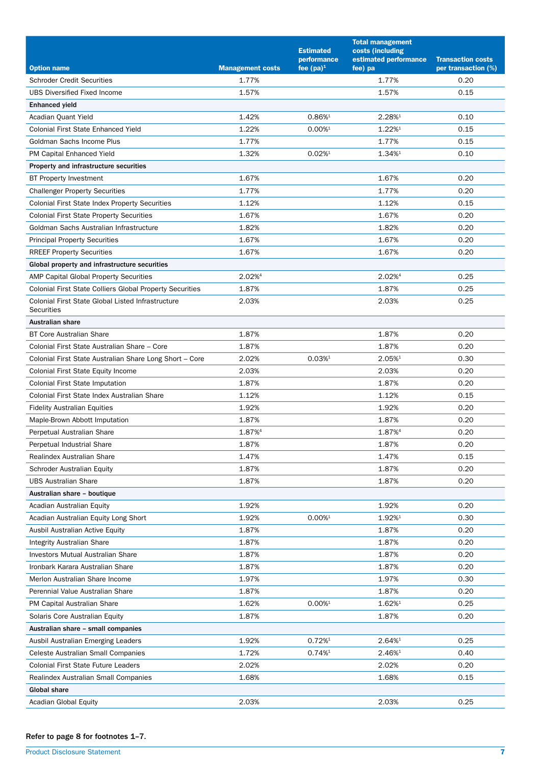| <b>Option name</b>                                                                                               | <b>Management costs</b> | <b>Estimated</b><br>performance<br>fee $(pa)^1$ | <b>Total management</b><br>costs (including<br>estimated performance<br>fee) pa | <b>Transaction costs</b><br>per transaction (%) |
|------------------------------------------------------------------------------------------------------------------|-------------------------|-------------------------------------------------|---------------------------------------------------------------------------------|-------------------------------------------------|
|                                                                                                                  |                         |                                                 |                                                                                 |                                                 |
| <b>Schroder Credit Securities</b><br>UBS Diversified Fixed Income                                                | 1.77%<br>1.57%          |                                                 | 1.77%<br>1.57%                                                                  | 0.20                                            |
|                                                                                                                  |                         |                                                 |                                                                                 | 0.15                                            |
| <b>Enhanced yield</b>                                                                                            | 1.42%                   | 0.86%                                           | 2.28%                                                                           | 0.10                                            |
| Acadian Quant Yield<br><b>Colonial First State Enhanced Yield</b>                                                | 1.22%                   | $0.00\%$ <sup>1</sup>                           | $1.22\%$ <sup>1</sup>                                                           | 0.15                                            |
| Goldman Sachs Income Plus                                                                                        | 1.77%                   |                                                 | 1.77%                                                                           | 0.15                                            |
| <b>PM Capital Enhanced Yield</b>                                                                                 | 1.32%                   | $0.02\%$ <sup>1</sup>                           | $1.34\%$ <sup>1</sup>                                                           | 0.10                                            |
|                                                                                                                  |                         |                                                 |                                                                                 |                                                 |
| Property and infrastructure securities                                                                           | 1.67%                   |                                                 | 1.67%                                                                           | 0.20                                            |
| BT Property Investment<br><b>Challenger Property Securities</b>                                                  | 1.77%                   |                                                 | 1.77%                                                                           | 0.20                                            |
| <b>Colonial First State Index Property Securities</b>                                                            | 1.12%                   |                                                 | 1.12%                                                                           | 0.15                                            |
| <b>Colonial First State Property Securities</b>                                                                  | 1.67%                   |                                                 | 1.67%                                                                           | 0.20                                            |
| Goldman Sachs Australian Infrastructure                                                                          | 1.82%                   |                                                 | 1.82%                                                                           | 0.20                                            |
| <b>Principal Property Securities</b>                                                                             | 1.67%                   |                                                 | 1.67%                                                                           | 0.20                                            |
| <b>RREEF Property Securities</b>                                                                                 | 1.67%                   |                                                 | 1.67%                                                                           | 0.20                                            |
|                                                                                                                  |                         |                                                 |                                                                                 |                                                 |
| Global property and infrastructure securities                                                                    | 2.02% <sup>4</sup>      |                                                 | 2.02% <sup>4</sup>                                                              | 0.25                                            |
| <b>AMP Capital Global Property Securities</b><br><b>Colonial First State Colliers Global Property Securities</b> |                         |                                                 |                                                                                 |                                                 |
|                                                                                                                  | 1.87%                   |                                                 | 1.87%                                                                           | 0.25                                            |
| Colonial First State Global Listed Infrastructure<br><b>Securities</b>                                           | 2.03%                   |                                                 | 2.03%                                                                           | 0.25                                            |
| <b>Australian share</b>                                                                                          |                         |                                                 |                                                                                 |                                                 |
| <b>BT Core Australian Share</b>                                                                                  | 1.87%                   |                                                 | 1.87%                                                                           | 0.20                                            |
| Colonial First State Australian Share - Core                                                                     | 1.87%                   |                                                 | 1.87%                                                                           | 0.20                                            |
| Colonial First State Australian Share Long Short - Core                                                          | 2.02%                   | $0.03\%$ <sup>1</sup>                           | $2.05\%$ <sup>1</sup>                                                           | 0.30                                            |
| <b>Colonial First State Equity Income</b>                                                                        | 2.03%                   |                                                 | 2.03%                                                                           | 0.20                                            |
| <b>Colonial First State Imputation</b>                                                                           | 1.87%                   |                                                 | 1.87%                                                                           | 0.20                                            |
| Colonial First State Index Australian Share                                                                      | 1.12%                   |                                                 | 1.12%                                                                           | 0.15                                            |
| <b>Fidelity Australian Equities</b>                                                                              | 1.92%                   |                                                 | 1.92%                                                                           | 0.20                                            |
| Maple-Brown Abbott Imputation                                                                                    | 1.87%                   |                                                 | 1.87%                                                                           | 0.20                                            |
| Perpetual Australian Share                                                                                       | 1.87% <sup>4</sup>      |                                                 | 1.87% <sup>4</sup>                                                              | 0.20                                            |
| Perpetual Industrial Share                                                                                       | 1.87%                   |                                                 | 1.87%                                                                           | 0.20                                            |
| Realindex Australian Share                                                                                       | 1.47%                   |                                                 | 1.47%                                                                           | 0.15                                            |
| Schroder Australian Equity                                                                                       | 1.87%                   |                                                 | 1.87%                                                                           | 0.20                                            |
| <b>UBS Australian Share</b>                                                                                      | 1.87%                   |                                                 | 1.87%                                                                           | 0.20                                            |
| Australian share - boutique                                                                                      |                         |                                                 |                                                                                 |                                                 |
| Acadian Australian Equity                                                                                        | 1.92%                   |                                                 | 1.92%                                                                           | 0.20                                            |
| Acadian Australian Equity Long Short                                                                             | 1.92%                   | $0.00\%$ <sup>1</sup>                           | 1.92%1                                                                          | 0.30                                            |
| Ausbil Australian Active Equity                                                                                  | 1.87%                   |                                                 | 1.87%                                                                           | 0.20                                            |
| <b>Integrity Australian Share</b>                                                                                | 1.87%                   |                                                 | 1.87%                                                                           | 0.20                                            |
| Investors Mutual Australian Share                                                                                | 1.87%                   |                                                 | 1.87%                                                                           | 0.20                                            |
| Ironbark Karara Australian Share                                                                                 | 1.87%                   |                                                 | 1.87%                                                                           | 0.20                                            |
| Merlon Australian Share Income                                                                                   | 1.97%                   |                                                 | 1.97%                                                                           | 0.30                                            |
| Perennial Value Australian Share                                                                                 | 1.87%                   |                                                 | 1.87%                                                                           | 0.20                                            |
| PM Capital Australian Share                                                                                      | 1.62%                   | $0.00\%$ <sup>1</sup>                           | 1.62%                                                                           | 0.25                                            |
| Solaris Core Australian Equity                                                                                   | 1.87%                   |                                                 | 1.87%                                                                           | 0.20                                            |
| Australian share - small companies                                                                               |                         |                                                 |                                                                                 |                                                 |
| Ausbil Australian Emerging Leaders                                                                               | 1.92%                   | 0.72%1                                          | 2.64%                                                                           | 0.25                                            |
| Celeste Australian Small Companies                                                                               | 1.72%                   | 0.74%                                           | 2.46%                                                                           | 0.40                                            |
| <b>Colonial First State Future Leaders</b>                                                                       | 2.02%                   |                                                 | 2.02%                                                                           | 0.20                                            |
| Realindex Australian Small Companies                                                                             | 1.68%                   |                                                 | 1.68%                                                                           | 0.15                                            |
| Global share                                                                                                     |                         |                                                 |                                                                                 |                                                 |
| Acadian Global Equity                                                                                            | 2.03%                   |                                                 | 2.03%                                                                           | 0.25                                            |

## Refer to page 8 for footnotes 1–7.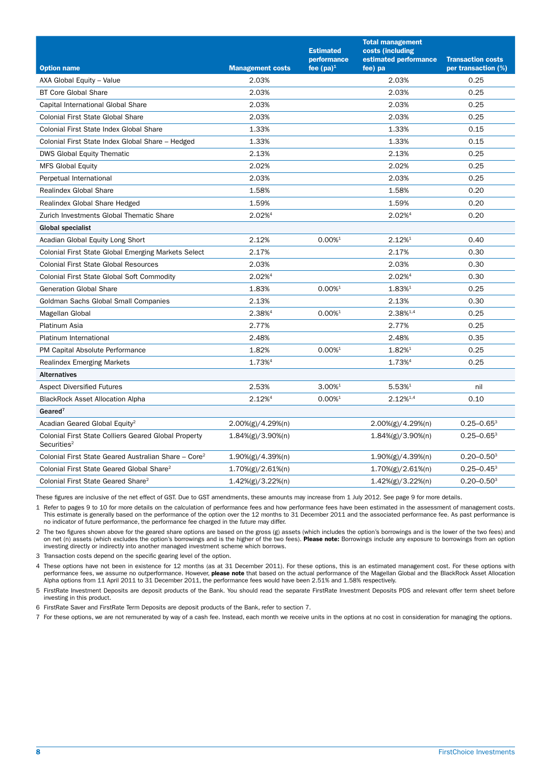|                                                                        |                         | <b>Estimated</b><br>performance | <b>Total management</b><br>costs (including<br>estimated performance | <b>Transaction costs</b>   |
|------------------------------------------------------------------------|-------------------------|---------------------------------|----------------------------------------------------------------------|----------------------------|
| <b>Option name</b>                                                     | <b>Management costs</b> | fee $(pa)^1$                    | fee) pa                                                              | per transaction (%)        |
| AXA Global Equity - Value                                              | 2.03%                   |                                 | 2.03%                                                                | 0.25                       |
| <b>BT Core Global Share</b>                                            | 2.03%                   |                                 | 2.03%                                                                | 0.25                       |
| Capital International Global Share                                     | 2.03%                   |                                 | 2.03%                                                                | 0.25                       |
| <b>Colonial First State Global Share</b>                               | 2.03%                   |                                 | 2.03%                                                                | 0.25                       |
| Colonial First State Index Global Share                                | 1.33%                   |                                 | 1.33%                                                                | 0.15                       |
| Colonial First State Index Global Share - Hedged                       | 1.33%                   |                                 | 1.33%                                                                | 0.15                       |
| <b>DWS Global Equity Thematic</b>                                      | 2.13%                   |                                 | 2.13%                                                                | 0.25                       |
| <b>MFS Global Equity</b>                                               | 2.02%                   |                                 | 2.02%                                                                | 0.25                       |
| Perpetual International                                                | 2.03%                   |                                 | 2.03%                                                                | 0.25                       |
| <b>Realindex Global Share</b>                                          | 1.58%                   |                                 | 1.58%                                                                | 0.20                       |
| Realindex Global Share Hedged                                          | 1.59%                   |                                 | 1.59%                                                                | 0.20                       |
| Zurich Investments Global Thematic Share                               | 2.02% <sup>4</sup>      |                                 | 2.02% <sup>4</sup>                                                   | 0.20                       |
| Global specialist                                                      |                         |                                 |                                                                      |                            |
| Acadian Global Equity Long Short                                       | 2.12%                   | $0.00\%$ <sup>1</sup>           | 2.12%                                                                | 0.40                       |
| <b>Colonial First State Global Emerging Markets Select</b>             | 2.17%                   |                                 | 2.17%                                                                | 0.30                       |
| <b>Colonial First State Global Resources</b>                           | 2.03%                   |                                 | 2.03%                                                                | 0.30                       |
| <b>Colonial First State Global Soft Commodity</b>                      | 2.02% <sup>4</sup>      |                                 | 2.02% <sup>4</sup>                                                   | 0.30                       |
| <b>Generation Global Share</b>                                         | 1.83%                   | $0.00\%$ <sup>1</sup>           | 1.83%1                                                               | 0.25                       |
| Goldman Sachs Global Small Companies                                   | 2.13%                   |                                 | 2.13%                                                                | 0.30                       |
| Magellan Global                                                        | 2.38% <sup>4</sup>      | $0.00\%$ <sup>1</sup>           | 2.38%1,4                                                             | 0.25                       |
| <b>Platinum Asia</b>                                                   | 2.77%                   |                                 | 2.77%                                                                | 0.25                       |
| Platinum International                                                 | 2.48%                   |                                 | 2.48%                                                                | 0.35                       |
| PM Capital Absolute Performance                                        | 1.82%                   | $0.00\%$ <sup>1</sup>           | 1.82% <sup>1</sup>                                                   | 0.25                       |
| <b>Realindex Emerging Markets</b>                                      | 1.73% <sup>4</sup>      |                                 | 1.73% <sup>4</sup>                                                   | 0.25                       |
| <b>Alternatives</b>                                                    |                         |                                 |                                                                      |                            |
| <b>Aspect Diversified Futures</b>                                      | 2.53%                   | $3.00\%$ <sup>1</sup>           | 5.53%1                                                               | nil                        |
| <b>BlackRock Asset Allocation Alpha</b>                                | 2.12% <sup>4</sup>      | $0.00\%$ <sup>1</sup>           | 2.12%1,4                                                             | 0.10                       |
| Geared <sup>7</sup>                                                    |                         |                                 |                                                                      |                            |
| Acadian Geared Global Equity <sup>2</sup>                              | $2.00\%(g)/4.29\%(n)$   |                                 | $2.00\%(g)/4.29\%(n)$                                                | $0.25 - 0.65^3$            |
| Colonial First State Colliers Geared Global Property<br>Securities $2$ | 1.84%(g)/3.90%(n)       |                                 | $1.84\%(g)/3.90\%(n)$                                                | $0.25 - 0.65^3$            |
| Colonial First State Geared Australian Share - Core <sup>2</sup>       | $1.90\%(g)/4.39\%(n)$   |                                 | $1.90\%(g)/4.39\%(n)$                                                | $0.20 - 0.503$             |
| Colonial First State Geared Global Share <sup>2</sup>                  | $1.70\%(g)/2.61\%(n)$   |                                 | $1.70\%(g)/2.61\%(n)$                                                | $0.25 - 0.45$ <sup>3</sup> |
| Colonial First State Geared Share <sup>2</sup>                         | $1.42\%(g)/3.22\%(n)$   |                                 | $1.42\%(g)/3.22\%(n)$                                                | $0.20 - 0.50$ <sup>3</sup> |

These figures are inclusive of the net effect of GST. Due to GST amendments, these amounts may increase from 1 July 2012. See page 9 for more details.

1 Refer to pages 9 to 10 for more details on the calculation of performance fees and how performance fees have been estimated in the assessment of management costs. This estimate is generally based on the performance of the option over the 12 months to 31 December 2011 and the associated performance fee. As past performance is no indicator of future performance, the performance fee charged in the future may differ.

2 The two figures shown above for the geared share options are based on the gross (g) assets (which includes the option's borrowings and is the lower of the two fees) and on net (n) assets (which excludes the option's borrowings and is the higher of the two fees). Please note: Borrowings include any exposure to borrowings from an option investing directly or indirectly into another managed investment scheme which borrows.

3 Transaction costs depend on the specific gearing level of the option.

4 These options have not been in existence for 12 months (as at 31 December 2011). For these options, this is an estimated management cost. For these options with performance fees, we assume no outperformance. However, please note that based on the actual performance of the Magellan Global and the BlackRock Asset Allocation Alpha options from 11 April 2011 to 31 December 2011, the performance fees would have been 2.51% and 1.58% respectively.

5 FirstRate Investment Deposits are deposit products of the Bank. You should read the separate FirstRate Investment Deposits PDS and relevant offer term sheet before investing in this product.

6 FirstRate Saver and FirstRate Term Deposits are deposit products of the Bank, refer to section 7.

7 For these options, we are not remunerated by way of a cash fee. Instead, each month we receive units in the options at no cost in consideration for managing the options.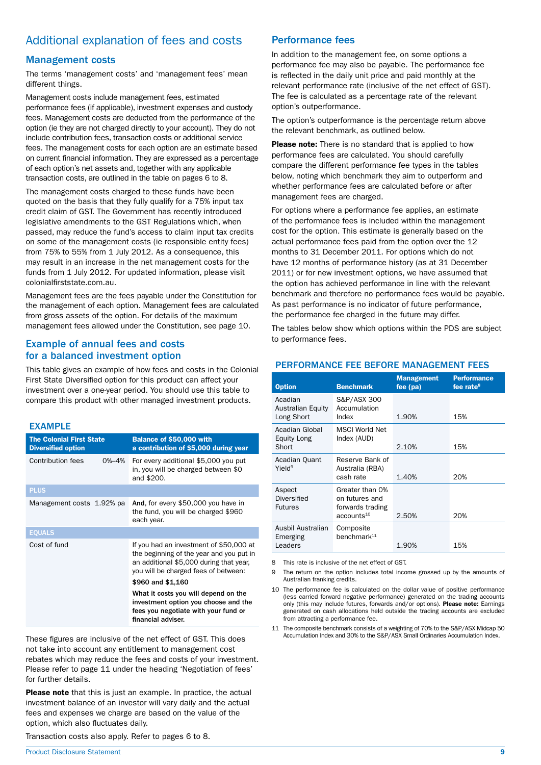## [Additional ex](http://www.fundsfocus.com.au/managed-funds/colonial-firstchoice/)planation of fees and costs

## Management costs

The terms 'management costs' and 'management fees' mean different things.

Management costs include management fees, estimated performance fees (if applicable), investment expenses and custody fees. Management costs are deducted from the performance of the option (ie they are not charged directly to your account). They do not include contribution fees, transaction costs or additional service fees. The management costs for each option are an estimate based on current financial information. They are expressed as a percentage of each option's net assets and, together with any applicable transaction costs, are outlined in the table on pages 6 to 8.

The management costs charged to these funds have been quoted on the basis that they fully qualify for a 75% input tax credit claim of GST. The Government has recently introduced legislative amendments to the GST Regulations which, when passed, may reduce the fund's access to claim input tax credits on some of the management costs (ie responsible entity fees) from 75% to 55% from 1 July 2012. As a consequence, this may result in an increase in the net management costs for the funds from 1 July 2012. For updated information, please visit colonialfirststate.com.au.

Management fees are the fees payable under the Constitution for the management of each option. Management fees are calculated from gross assets of the option. For details of the maximum management fees allowed under the Constitution, see page 10.

## Example of annual fees and costs for a balanced investment option

This table gives an example of how fees and costs in the Colonial First State Diversified option for this product can affect your investment over a one-year period. You should use this table to compare this product with other managed investment products.

## **EXAMPLE**

| <b>The Colonial First State</b><br><b>Diversified option</b> | <b>Balance of \$50,000 with</b><br>a contribution of \$5,000 during year                                                                                               |
|--------------------------------------------------------------|------------------------------------------------------------------------------------------------------------------------------------------------------------------------|
| Contribution fees<br>0%–4%                                   | For every additional \$5,000 you put<br>in, you will be charged between \$0<br>and \$200.                                                                              |
| <b>PLUS</b>                                                  |                                                                                                                                                                        |
| Management costs 1.92% pa                                    | And, for every \$50,000 you have in<br>the fund, you will be charged \$960<br>each year.                                                                               |
| <b>EOUALS</b>                                                |                                                                                                                                                                        |
| Cost of fund                                                 | If you had an investment of \$50,000 at<br>the beginning of the year and you put in<br>an additional \$5,000 during that year,<br>you will be charged fees of between: |
|                                                              | \$960 and \$1,160                                                                                                                                                      |
|                                                              | What it costs you will depend on the<br>investment option you choose and the<br>fees you negotiate with your fund or<br>financial adviser.                             |

These figures are inclusive of the net effect of GST. This does not take into account any entitlement to management cost rebates which may reduce the fees and costs of your investment. Please refer to page 11 under the heading 'Negotiation of fees' for further details.

Please note that this is just an example. In practice, the actual investment balance of an investor will vary daily and the actual fees and expenses we charge are based on the value of the option, which also fluctuates daily.

Transaction costs also apply. Refer to pages 6 to 8.

## Performance fees

In addition to the management fee, on some options a performance fee may also be payable. The performance fee is reflected in the daily unit price and paid monthly at the relevant performance rate (inclusive of the net effect of GST). The fee is calculated as a percentage rate of the relevant option's outperformance.

The option's outperformance is the percentage return above the relevant benchmark, as outlined below.

Please note: There is no standard that is applied to how performance fees are calculated. You should carefully compare the different performance fee types in the tables below, noting which benchmark they aim to outperform and whether performance fees are calculated before or after management fees are charged.

For options where a performance fee applies, an estimate of the performance fees is included within the management cost for the option. This estimate is generally based on the actual performance fees paid from the option over the 12 months to 31 December 2011. For options which do not have 12 months of performance history (as at 31 December 2011) or for new investment options, we have assumed that the option has achieved performance in line with the relevant benchmark and therefore no performance fees would be payable. As past performance is no indicator of future performance, the performance fee charged in the future may differ.

The tables below show which options within the PDS are subject to performance fees.

| PERFORMANCE FEE BEFORE MANAGEMENT FEES            |                                                                                 |                                 |                                             |
|---------------------------------------------------|---------------------------------------------------------------------------------|---------------------------------|---------------------------------------------|
| <b>Option</b>                                     | <b>Benchmark</b>                                                                | <b>Management</b><br>fee $(pa)$ | <b>Performance</b><br>fee rate <sup>8</sup> |
| Acadian<br><b>Australian Equity</b><br>Long Short | S&P/ASX 300<br>Accumulation<br>Index                                            | 1.90%                           | 15%                                         |
| Acadian Global<br>Equity Long<br>Short            | <b>MSCI World Net</b><br>Index (AUD)                                            | 2.10%                           | 15%                                         |
| <b>Acadian Quant</b><br>Yield <sup>9</sup>        | Reserve Bank of<br>Australia (RBA)<br>cash rate                                 | 1.40%                           | 20%                                         |
| Aspect<br>Diversified<br><b>Futures</b>           | Greater than 0%<br>on futures and<br>forwards trading<br>accounts <sup>10</sup> | 2.50%                           | 20%                                         |
| Ausbil Australian<br>Emerging<br>Leaders          | Composite<br>benchmark <sup>11</sup>                                            | 1.90%                           | 15%                                         |

## PERFORMANCE FEE BEFORE MANAGEMENT F

8 This rate is inclusive of the net effect of GST.

9 The return on the option includes total income grossed up by the amounts of Australian franking credits.

10 The performance fee is calculated on the dollar value of positive performance (less carried forward negative performance) generated on the trading accounts only (this may include futures, forwards and/or options). Please note: Earnings generated on cash allocations held outside the trading accounts are excluded from attracting a performance fee.

11 The composite benchmark consists of a weighting of 70% to the S&P/ASX Midcap 50 Accumulation Index and 30% to the S&P/ASX Small Ordinaries Accumulation Index.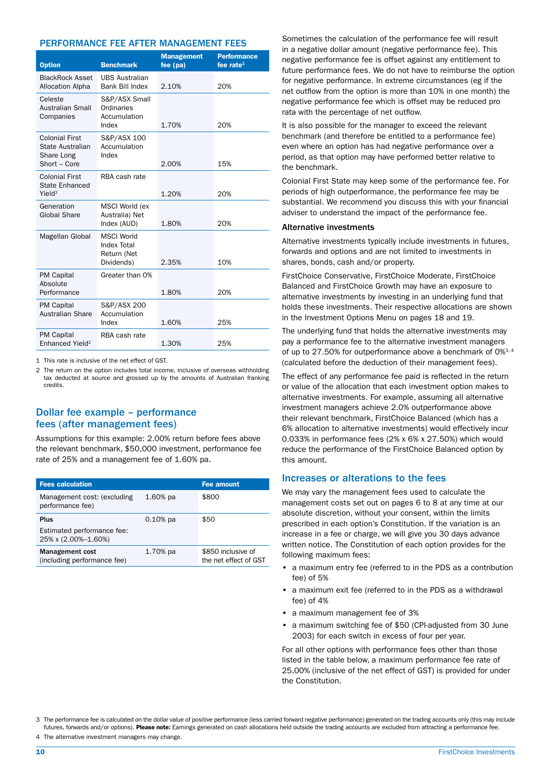#### [Performance](http://www.fundsfocus.com.au/managed-funds/colonial-firstchoice/) fee after management fees

| <b>Option</b>                                                           | <b>Benchmark</b>                                                     | <b>Management</b><br>fee (pa) | <b>Performance</b><br>fee rate $1$ |
|-------------------------------------------------------------------------|----------------------------------------------------------------------|-------------------------------|------------------------------------|
| <b>BlackRock Asset</b><br><b>Allocation Alpha</b>                       | <b>UBS Australian</b><br>Bank Bill Index                             | 2.10%                         | 20%                                |
| Celeste<br><b>Australian Small</b><br>Companies                         | S&P/ASX Small<br>Ordinaries<br>Accumulation<br>Index                 | 1.70%                         | 20%                                |
| <b>Colonial First</b><br>State Australian<br>Share Long<br>Short - Core | S&P/ASX 100<br>Accumulation<br>Index                                 | 2.00%                         | 15%                                |
| <b>Colonial First</b><br><b>State Enhanced</b><br>Yield <sup>2</sup>    | RBA cash rate                                                        | 1.20%                         | 20%                                |
| Generation<br><b>Global Share</b>                                       | MSCI World (ex<br>Australia) Net<br>Index (AUD)                      | 1.80%                         | 20%                                |
| Magellan Global                                                         | <b>MSCI World</b><br><b>Index Total</b><br>Return (Net<br>Dividends) | 2.35%                         | 10%                                |
| <b>PM Capital</b><br>Absolute<br>Performance                            | Greater than 0%                                                      | 1.80%                         | 20%                                |
| <b>PM Capital</b><br><b>Australian Share</b>                            | S&P/ASX 200<br>Accumulation<br>Index                                 | 1.60%                         | 25%                                |
| PM Capital<br>Enhanced Yield <sup>2</sup>                               | RBA cash rate                                                        | 1.30%                         | 25%                                |

1 This rate is inclusive of the net effect of GST.

2 The return on the option includes total income, inclusive of overseas withholding tax deducted at source and grossed up by the amounts of Australian franking credits.

## Dollar fee example – performance fees (after management fees)

Assumptions for this example: 2.00% return before fees above the relevant benchmark, \$50,000 investment, performance fee rate of 25% and a management fee of 1.60% pa.

| <b>Fees calculation</b>                               |             | <b>Fee amount</b>                           |
|-------------------------------------------------------|-------------|---------------------------------------------|
| Management cost: (excluding<br>performance fee)       | $1.60%$ pa  | \$800                                       |
| <b>Plus</b><br>Estimated performance fee:             | $0.10\%$ pa | \$50                                        |
| 25% x (2.00%-1.60%)                                   |             |                                             |
| <b>Management cost</b><br>(including performance fee) | 1.70% pa    | \$850 inclusive of<br>the net effect of GST |

Sometimes the calculation of the performance fee will result in a negative dollar amount (negative performance fee). This negative performance fee is offset against any entitlement to future performance fees. We do not have to reimburse the option for negative performance. In extreme circumstances (eg if the net outflow from the option is more than 10% in one month) the negative performance fee which is offset may be reduced pro rata with the percentage of net outflow.

It is also possible for the manager to exceed the relevant benchmark (and therefore be entitled to a performance fee) even where an option has had negative performance over a period, as that option may have performed better relative to the benchmark.

Colonial First State may keep some of the performance fee. For periods of high outperformance, the performance fee may be substantial. We recommend you discuss this with your financial adviser to understand the impact of the performance fee.

#### Alternative investments

Alternative investments typically include investments in futures, forwards and options and are not limited to investments in shares, bonds, cash and/or property.

FirstChoice Conservative, FirstChoice Moderate, FirstChoice Balanced and FirstChoice Growth may have an exposure to alternative investments by investing in an underlying fund that holds these investments. Their respective allocations are shown in the Investment Options Menu on pages 18 and 19.

The underlying fund that holds the alternative investments may pay a performance fee to the alternative investment managers of up to 27.50% for outperformance above a benchmark of 0%<sup>3,4</sup> (calculated before the deduction of their management fees).

The effect of any performance fee paid is reflected in the return or value of the allocation that each investment option makes to alternative investments. For example, assuming all alternative investment managers achieve 2.0% outperformance above their relevant benchmark, FirstChoice Balanced (which has a 6% allocation to alternative investments) would effectively incur 0.033% in performance fees (2% x 6% x 27.50%) which would reduce the performance of the FirstChoice Balanced option by this amount.

## Increases or alterations to the fees

We may vary the management fees used to calculate the management costs set out on pages 6 to 8 at any time at our absolute discretion, without your consent, within the limits prescribed in each option's Constitution. If the variation is an increase in a fee or charge, we will give you 30 days advance written notice. The Constitution of each option provides for the following maximum fees:

- a maximum entry fee (referred to in the PDS as a contribution fee) of 5%
- a maximum exit fee (referred to in the PDS as a withdrawal fee) of 4%
- a maximum management fee of 3%
- a maximum switching fee of \$50 (CPI-adjusted from 30 June 2003) for each switch in excess of four per year.

For all other options with performance fees other than those listed in the table below, a maximum performance fee rate of 25.00% (inclusive of the net effect of GST) is provided for under the Constitution.

3 The performance fee is calculated on the dollar value of positive performance (less carried forward negative performance) generated on the trading accounts only (this may include futures, forwards and/or options). Please note: Earnings generated on cash allocations held outside the trading accounts are excluded from attracting a performance fee.

4 The alternative investment managers may change.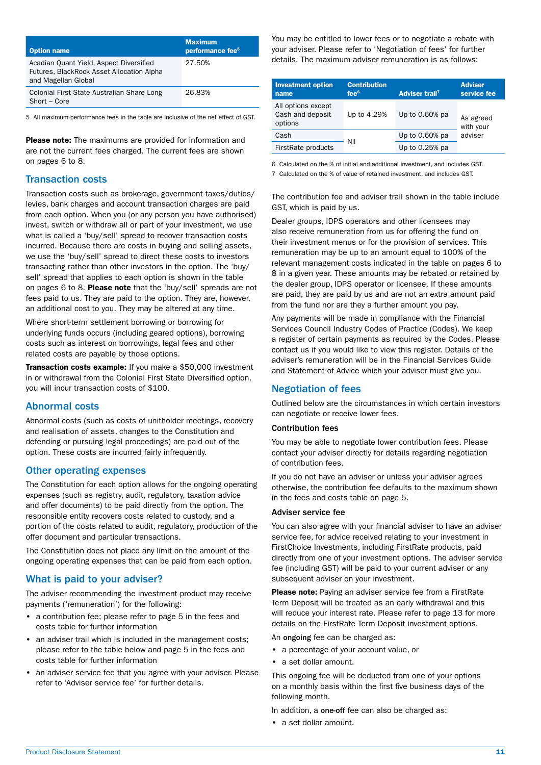| <b>Option name</b>                                                                                          | <b>Maximum</b><br>performance fee <sup>5</sup> |
|-------------------------------------------------------------------------------------------------------------|------------------------------------------------|
| Acadian Quant Yield, Aspect Diversified<br>Futures, BlackRock Asset Allocation Alpha<br>and Magellan Global | 27.50%                                         |
| Colonial First State Australian Share Long<br>Short - Core                                                  | 26.83%                                         |

5 All maximum performance fees in the table are inclusive of the net effect of GST.

Please note: The maximums are provided for information and are not the current fees charged. The current fees are shown on pages 6 to 8.

## Transaction costs

Transaction costs such as brokerage, government taxes/duties/ levies, bank charges and account transaction charges are paid from each option. When you (or any person you have authorised) invest, switch or withdraw all or part of your investment, we use what is called a 'buy/sell' spread to recover transaction costs incurred. Because there are costs in buying and selling assets, we use the 'buy/sell' spread to direct these costs to investors transacting rather than other investors in the option. The 'buy/ sell' spread that applies to each option is shown in the table on pages 6 to 8. Please note that the 'buy/sell' spreads are not fees paid to us. They are paid to the option. They are, however, an additional cost to you. They may be altered at any time.

Where short-term settlement borrowing or borrowing for underlying funds occurs (including geared options), borrowing costs such as interest on borrowings, legal fees and other related costs are payable by those options.

**Transaction costs example:** If you make a \$50,000 investment in or withdrawal from the Colonial First State Diversified option, you will incur transaction costs of \$100.

## Abnormal costs

Abnormal costs (such as costs of unitholder meetings, recovery and realisation of assets, changes to the Constitution and defending or pursuing legal proceedings) are paid out of the option. These costs are incurred fairly infrequently.

#### Other operating expenses

The Constitution for each option allows for the ongoing operating expenses (such as registry, audit, regulatory, taxation advice and offer documents) to be paid directly from the option. The responsible entity recovers costs related to custody, and a portion of the costs related to audit, regulatory, production of the offer document and particular transactions.

The Constitution does not place any limit on the amount of the ongoing operating expenses that can be paid from each option.

## What is paid to your adviser?

The adviser recommending the investment product may receive payments ('remuneration') for the following:

- a contribution fee; please refer to page 5 in the fees and costs table for further information
- an adviser trail which is included in the management costs; please refer to the table below and page 5 in the fees and costs table for further information
- an adviser service fee that you agree with your adviser. Please refer to 'Adviser service fee' for further details.

You may be entitled to lower fees or to negotiate a rebate with your adviser. Please refer to 'Negotiation of fees' for further details. The maximum adviser remuneration is as follows:

| <b>Investment option</b><br>name                  | <b>Contribution</b><br>fee <sup>6</sup> | <b>Adviser trail</b> <sup>7</sup> | <b>Adviser</b><br>service fee |
|---------------------------------------------------|-----------------------------------------|-----------------------------------|-------------------------------|
| All options except<br>Cash and deposit<br>options | Up to 4.29%                             | Up to 0.60% pa                    | As agreed<br>with your        |
| Cash                                              | Nil                                     | Up to 0.60% pa                    | adviser                       |
| FirstRate products                                |                                         | Up to 0.25% pa                    |                               |

6 Calculated on the % of initial and additional investment, and includes GST.

7 Calculated on the % of value of retained investment, and includes GST.

The contribution fee and adviser trail shown in the table include GST, which is paid by us.

Dealer groups, IDPS operators and other licensees may also receive remuneration from us for offering the fund on their investment menus or for the provision of services. This remuneration may be up to an amount equal to 100% of the relevant management costs indicated in the table on pages 6 to 8 in a given year. These amounts may be rebated or retained by the dealer group, IDPS operator or licensee. If these amounts are paid, they are paid by us and are not an extra amount paid from the fund nor are they a further amount you pay.

Any payments will be made in compliance with the Financial Services Council Industry Codes of Practice (Codes). We keep a register of certain payments as required by the Codes. Please contact us if you would like to view this register. Details of the adviser's remuneration will be in the Financial Services Guide and Statement of Advice which your adviser must give you.

## Negotiation of fees

Outlined below are the circumstances in which certain investors can negotiate or receive lower fees.

#### Contribution fees

You may be able to negotiate lower contribution fees. Please contact your adviser directly for details regarding negotiation of contribution fees.

If you do not have an adviser or unless your adviser agrees otherwise, the contribution fee defaults to the maximum shown in the fees and costs table on page 5.

#### Adviser service fee

You can also agree with your financial adviser to have an adviser service fee, for advice received relating to your investment in FirstChoice Investments, including FirstRate products, paid directly from one of your investment options. The adviser service fee (including GST) will be paid to your current adviser or any subsequent adviser on your investment.

Please note: Paying an adviser service fee from a FirstRate Term Deposit will be treated as an early withdrawal and this will reduce your interest rate. Please refer to page 13 for more details on the FirstRate Term Deposit investment options.

An ongoing fee can be charged as:

- a percentage of your account value, or
- a set dollar amount.

This ongoing fee will be deducted from one of your options on a monthly basis within the first five business days of the following month.

In addition, a one-off fee can also be charged as:

• a set dollar amount.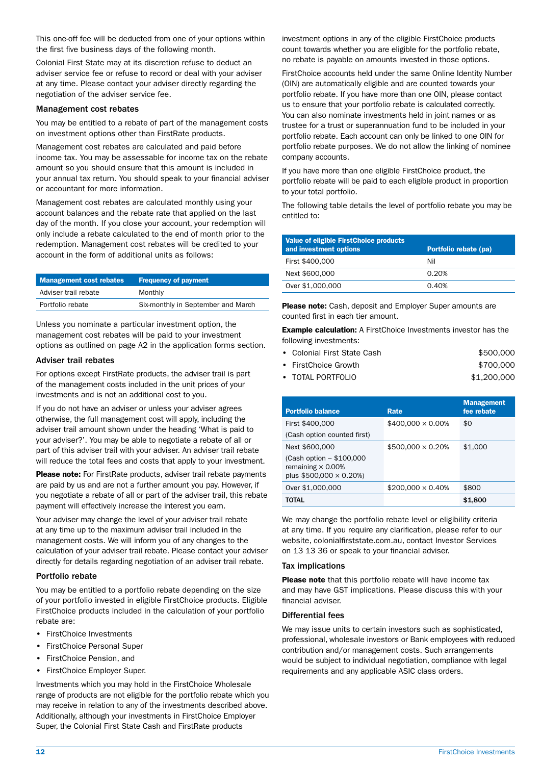[This one-off fee](http://www.fundsfocus.com.au/managed-funds/colonial-firstchoice/) will be deducted from one of your options within the first five business days of the following month.

Colonial First State may at its discretion refuse to deduct an adviser service fee or refuse to record or deal with your adviser at any time. Please contact your adviser directly regarding the negotiation of the adviser service fee.

#### Management cost rebates

You may be entitled to a rebate of part of the management costs on investment options other than FirstRate products.

Management cost rebates are calculated and paid before income tax. You may be assessable for income tax on the rebate amount so you should ensure that this amount is included in your annual tax return. You should speak to your financial adviser or accountant for more information.

Management cost rebates are calculated monthly using your account balances and the rebate rate that applied on the last day of the month. If you close your account, your redemption will only include a rebate calculated to the end of month prior to the redemption. Management cost rebates will be credited to your account in the form of additional units as follows:

| <b>Frequency of payment</b>        |
|------------------------------------|
| Monthly                            |
| Six-monthly in September and March |
|                                    |

Unless you nominate a particular investment option, the management cost rebates will be paid to your investment options as outlined on page A2 in the application forms section.

#### Adviser trail rebates

For options except FirstRate products, the adviser trail is part of the management costs included in the unit prices of your investments and is not an additional cost to you.

If you do not have an adviser or unless your adviser agrees otherwise, the full management cost will apply, including the adviser trail amount shown under the heading 'What is paid to your adviser?'. You may be able to negotiate a rebate of all or part of this adviser trail with your adviser. An adviser trail rebate will reduce the total fees and costs that apply to your investment.

Please note: For FirstRate products, adviser trail rebate payments are paid by us and are not a further amount you pay. However, if you negotiate a rebate of all or part of the adviser trail, this rebate payment will effectively increase the interest you earn.

Your adviser may change the level of your adviser trail rebate at any time up to the maximum adviser trail included in the management costs. We will inform you of any changes to the calculation of your adviser trail rebate. Please contact your adviser directly for details regarding negotiation of an adviser trail rebate.

#### Portfolio rebate

You may be entitled to a portfolio rebate depending on the size of your portfolio invested in eligible FirstChoice products. Eligible FirstChoice products included in the calculation of your portfolio rebate are:

- FirstChoice Investments
- FirstChoice Personal Super
- FirstChoice Pension, and
- FirstChoice Employer Super.

Investments which you may hold in the FirstChoice Wholesale range of products are not eligible for the portfolio rebate which you may receive in relation to any of the investments described above. Additionally, although your investments in FirstChoice Employer Super, the Colonial First State Cash and FirstRate products

investment options in any of the eligible FirstChoice products count towards whether you are eligible for the portfolio rebate, no rebate is payable on amounts invested in those options.

FirstChoice accounts held under the same Online Identity Number (OIN) are automatically eligible and are counted towards your portfolio rebate. If you have more than one OIN, please contact us to ensure that your portfolio rebate is calculated correctly. You can also nominate investments held in joint names or as trustee for a trust or superannuation fund to be included in your portfolio rebate. Each account can only be linked to one OIN for portfolio rebate purposes. We do not allow the linking of nominee company accounts.

If you have more than one eligible FirstChoice product, the portfolio rebate will be paid to each eligible product in proportion to your total portfolio.

The following table details the level of portfolio rebate you may be entitled to:

| <b>Value of eligible FirstChoice products</b><br>and investment options | Portfolio rebate (pa) |
|-------------------------------------------------------------------------|-----------------------|
| First \$400,000                                                         | Nil                   |
| Next \$600,000                                                          | 0.20%                 |
| Over \$1,000,000                                                        | 0.40%                 |

Please note: Cash, deposit and Employer Super amounts are counted first in each tier amount.

Example calculation: A FirstChoice Investments investor has the following investments:

| • Colonial First State Cash | \$500,000   |
|-----------------------------|-------------|
| • FirstChoice Growth        | \$700,000   |
| • TOTAL PORTFOLIO           | \$1,200,000 |

| <b>Portfolio balance</b>                                                              | Rate                     | <b>Management</b><br>fee rebate |
|---------------------------------------------------------------------------------------|--------------------------|---------------------------------|
| First \$400,000                                                                       | $$400.000 \times 0.00\%$ | \$0                             |
| (Cash option counted first)                                                           |                          |                                 |
| Next \$600,000                                                                        | $$500.000 \times 0.20\%$ | \$1,000                         |
| (Cash option - \$100,000<br>remaining $\times$ 0.00%<br>plus $$500,000 \times 0.20\%$ |                          |                                 |
| Over \$1,000,000                                                                      | $$200.000 \times 0.40\%$ | \$800                           |
| <b>TOTAL</b>                                                                          |                          | \$1.800                         |

We may change the portfolio rebate level or eligibility criteria at any time. If you require any clarification, please refer to our website, colonialfirststate.com.au, contact Investor Services on 13 13 36 or speak to your financial adviser.

#### Tax implications

Please note that this portfolio rebate will have income tax and may have GST implications. Please discuss this with your financial adviser.

#### Differential fees

We may issue units to certain investors such as sophisticated, professional, wholesale investors or Bank employees with reduced contribution and/or management costs. Such arrangements would be subject to individual negotiation, compliance with legal requirements and any applicable ASIC class orders.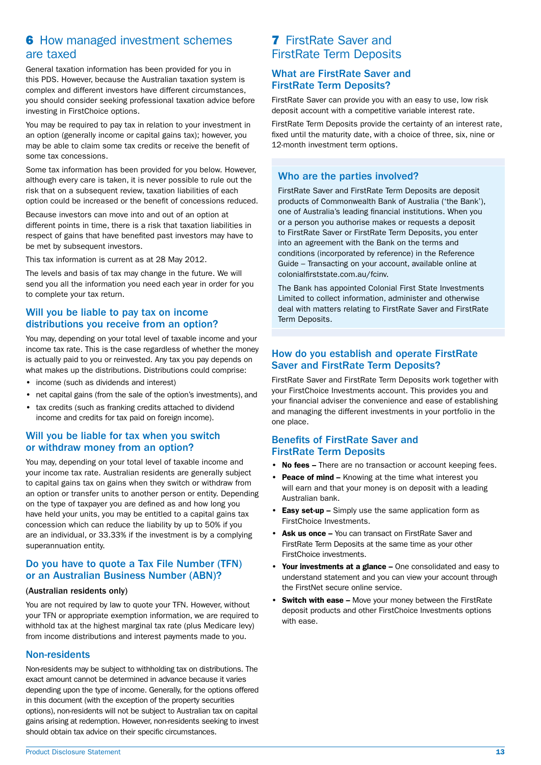## **6** [How mana](http://www.fundsfocus.com.au/managed-funds/colonial-firstchoice/)ged investment schemes are taxed

General taxation information has been provided for you in this PDS. However, because the Australian taxation system is complex and different investors have different circumstances, you should consider seeking professional taxation advice before investing in FirstChoice options.

You may be required to pay tax in relation to your investment in an option (generally income or capital gains tax); however, you may be able to claim some tax credits or receive the benefit of some tax concessions.

Some tax information has been provided for you below. However, although every care is taken, it is never possible to rule out the risk that on a subsequent review, taxation liabilities of each option could be increased or the benefit of concessions reduced.

Because investors can move into and out of an option at different points in time, there is a risk that taxation liabilities in respect of gains that have benefited past investors may have to be met by subsequent investors.

This tax information is current as at 28 May 2012.

The levels and basis of tax may change in the future. We will send you all the information you need each year in order for you to complete your tax return.

## Will you be liable to pay tax on income distributions you receive from an option?

You may, depending on your total level of taxable income and your income tax rate. This is the case regardless of whether the money is actually paid to you or reinvested. Any tax you pay depends on what makes up the distributions. Distributions could comprise:

- income (such as dividends and interest)
- net capital gains (from the sale of the option's investments), and
- tax credits (such as franking credits attached to dividend income and credits for tax paid on foreign income).

## Will you be liable for tax when you switch or withdraw money from an option?

You may, depending on your total level of taxable income and your income tax rate. Australian residents are generally subject to capital gains tax on gains when they switch or withdraw from an option or transfer units to another person or entity. Depending on the type of taxpayer you are defined as and how long you have held your units, you may be entitled to a capital gains tax concession which can reduce the liability by up to 50% if you are an individual, or 33.33% if the investment is by a complying superannuation entity.

## Do you have to quote a Tax File Number (TFN) or an Australian Business Number (ABN)?

#### (Australian residents only)

You are not required by law to quote your TFN. However, without your TFN or appropriate exemption information, we are required to withhold tax at the highest marginal tax rate (plus Medicare levy) from income distributions and interest payments made to you.

## Non-residents

Non-residents may be subject to withholding tax on distributions. The exact amount cannot be determined in advance because it varies depending upon the type of income. Generally, for the options offered in this document (with the exception of the property securities options), non-residents will not be subject to Australian tax on capital gains arising at redemption. However, non-residents seeking to invest should obtain tax advice on their specific circumstances.

## 7 FirstRate Saver and FirstRate Term Deposits

## What are FirstRate Saver and FirstRate Term Deposits?

FirstRate Saver can provide you with an easy to use, low risk deposit account with a competitive variable interest rate.

FirstRate Term Deposits provide the certainty of an interest rate, fixed until the maturity date, with a choice of three, six, nine or 12-month investment term options.

## Who are the parties involved?

FirstRate Saver and FirstRate Term Deposits are deposit products of Commonwealth Bank of Australia ('the Bank'), one of Australia's leading financial institutions. When you or a person you authorise makes or requests a deposit to FirstRate Saver or FirstRate Term Deposits, you enter into an agreement with the Bank on the terms and conditions (incorporated by reference) in the Reference Guide – Transacting on your account, available online at colonialfirststate.com.au/fcinv.

The Bank has appointed Colonial First State Investments Limited to collect information, administer and otherwise deal with matters relating to FirstRate Saver and FirstRate Term Deposits.

## How do you establish and operate FirstRate Saver and FirstRate Term Deposits?

FirstRate Saver and FirstRate Term Deposits work together with your FirstChoice Investments account. This provides you and your financial adviser the convenience and ease of establishing and managing the different investments in your portfolio in the one place.

## Benefits of FirstRate Saver and FirstRate Term Deposits

- No fees There are no transaction or account keeping fees.
- **Peace of mind –** Knowing at the time what interest you will earn and that your money is on deposit with a leading Australian bank.
- **Easy set-up -** Simply use the same application form as FirstChoice Investments.
- Ask us once You can transact on FirstRate Saver and FirstRate Term Deposits at the same time as your other FirstChoice investments.
- Your investments at a glance One consolidated and easy to understand statement and you can view your account through the FirstNet secure online service.
- Switch with ease Move your money between the FirstRate deposit products and other FirstChoice Investments options with ease.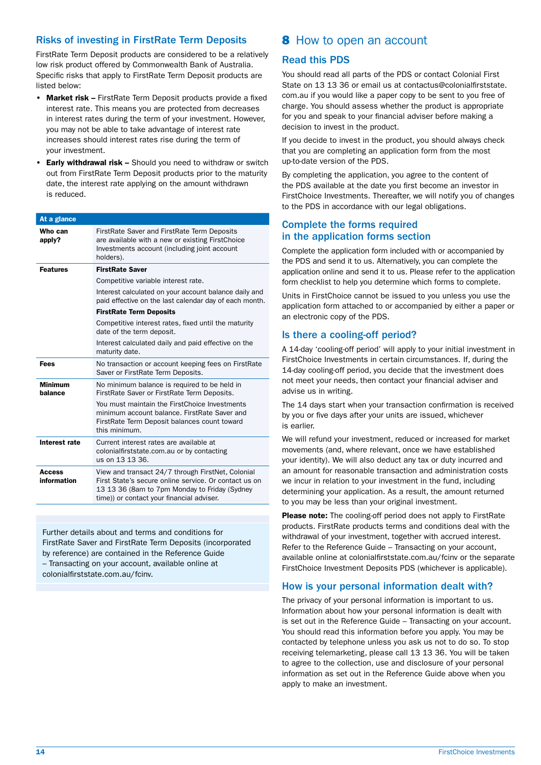## [Risks of inve](http://www.fundsfocus.com.au/managed-funds/colonial-firstchoice/)sting in FirstRate Term Deposits

FirstRate Term Deposit products are considered to be a relatively low risk product offered by Commonwealth Bank of Australia. Specific risks that apply to FirstRate Term Deposit products are listed below:

- Market risk FirstRate Term Deposit products provide a fixed interest rate. This means you are protected from decreases in interest rates during the term of your investment. However, you may not be able to take advantage of interest rate increases should interest rates rise during the term of your investment.
- **Early withdrawal risk Should you need to withdraw or switch** out from FirstRate Term Deposit products prior to the maturity date, the interest rate applying on the amount withdrawn is reduced.

| At a glance                  |                                                                                                                                                                                                          |
|------------------------------|----------------------------------------------------------------------------------------------------------------------------------------------------------------------------------------------------------|
| Who can<br>apply?            | FirstRate Saver and FirstRate Term Deposits<br>are available with a new or existing First Choice<br>Investments account (including joint account<br>holders).                                            |
| <b>Features</b>              | <b>FirstRate Saver</b>                                                                                                                                                                                   |
|                              | Competitive variable interest rate.                                                                                                                                                                      |
|                              | Interest calculated on your account balance daily and<br>paid effective on the last calendar day of each month.                                                                                          |
|                              | <b>FirstRate Term Deposits</b>                                                                                                                                                                           |
|                              | Competitive interest rates, fixed until the maturity<br>date of the term deposit.                                                                                                                        |
|                              | Interest calculated daily and paid effective on the<br>maturity date.                                                                                                                                    |
| Fees                         | No transaction or account keeping fees on FirstRate<br>Saver or FirstRate Term Deposits.                                                                                                                 |
| <b>Minimum</b><br>balance    | No minimum balance is required to be held in<br>FirstRate Saver or FirstRate Term Deposits.                                                                                                              |
|                              | You must maintain the FirstChoice Investments<br>minimum account balance. FirstRate Saver and<br>FirstRate Term Deposit balances count toward<br>this minimum.                                           |
| Interest rate                | Current interest rates are available at<br>colonialfirststate.com.au or by contacting<br>us on 13 13 36.                                                                                                 |
| <b>Access</b><br>information | View and transact 24/7 through FirstNet, Colonial<br>First State's secure online service. Or contact us on<br>13 13 36 (8am to 7pm Monday to Friday (Sydney<br>time)) or contact your financial adviser. |

Further details about and terms and conditions for FirstRate Saver and FirstRate Term Deposits (incorporated by reference) are contained in the Reference Guide – Transacting on your account, available online at

colonialfirststate.com.au/fcinv.

## 8 How to open an account

## Read this PDS

You should read all parts of the PDS or contact Colonial First State on 13 13 36 or email us at contactus@colonialfirststate. com.au if you would like a paper copy to be sent to you free of charge. You should assess whether the product is appropriate for you and speak to your financial adviser before making a decision to invest in the product.

If you decide to invest in the product, you should always check that you are completing an application form from the most up-to-date version of the PDS.

By completing the application, you agree to the content of the PDS available at the date you first become an investor in FirstChoice Investments. Thereafter, we will notify you of changes to the PDS in accordance with our legal obligations.

## Complete the forms required in the application forms section

Complete the application form included with or accompanied by the PDS and send it to us. Alternatively, you can complete the application online and send it to us. Please refer to the application form checklist to help you determine which forms to complete.

Units in FirstChoice cannot be issued to you unless you use the application form attached to or accompanied by either a paper or an electronic copy of the PDS.

## Is there a cooling-off period?

A 14-day 'cooling-off period' will apply to your initial investment in FirstChoice Investments in certain circumstances. If, during the 14-day cooling-off period, you decide that the investment does not meet your needs, then contact your financial adviser and advise us in writing.

The 14 days start when your transaction confirmation is received by you or five days after your units are issued, whichever is earlier.

We will refund your investment, reduced or increased for market movements (and, where relevant, once we have established your identity). We will also deduct any tax or duty incurred and an amount for reasonable transaction and administration costs we incur in relation to your investment in the fund, including determining your application. As a result, the amount returned to you may be less than your original investment.

Please note: The cooling-off period does not apply to FirstRate products. FirstRate products terms and conditions deal with the withdrawal of your investment, together with accrued interest. Refer to the Reference Guide – Transacting on your account, available online at colonialfirststate.com.au/fcinv or the separate FirstChoice Investment Deposits PDS (whichever is applicable).

## How is your personal information dealt with?

The privacy of your personal information is important to us. Information about how your personal information is dealt with is set out in the Reference Guide – Transacting on your account. You should read this information before you apply. You may be contacted by telephone unless you ask us not to do so. To stop receiving telemarketing, please call 13 13 36. You will be taken to agree to the collection, use and disclosure of your personal information as set out in the Reference Guide above when you apply to make an investment.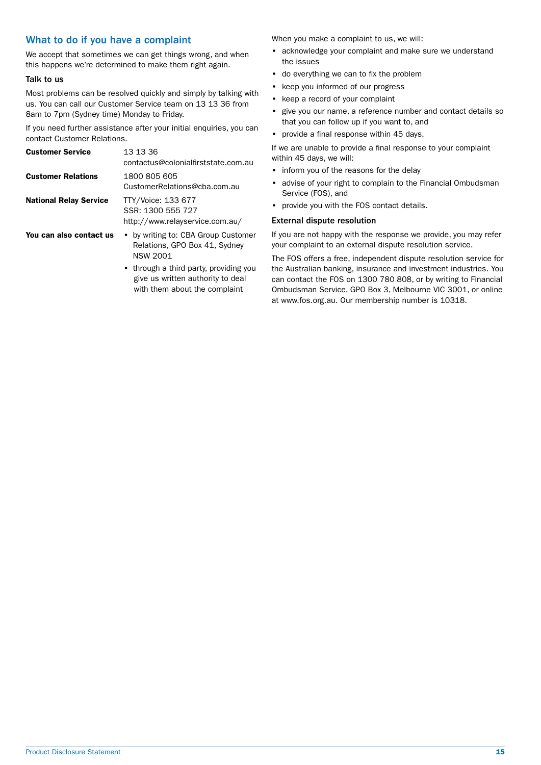## [What to do if y](http://www.fundsfocus.com.au/managed-funds/colonial-firstchoice/)ou have a complaint

We accept that sometimes we can get things wrong, and when this happens we're determined to make them right again.

## Talk to us

Most problems can be resolved quickly and simply by talking with us. You can call our Customer Service team on 13 13 36 from 8am to 7pm (Sydney time) Monday to Friday.

If you need further assistance after your initial enquiries, you can contact Customer Relations.

| <b>Customer Service</b>       | 13 13 36<br>contactus@colonialfirststate.com.au                                         |
|-------------------------------|-----------------------------------------------------------------------------------------|
| <b>Customer Relations</b>     | 1800 805 605<br>CustomerRelations@cba.com.au                                            |
| <b>National Relay Service</b> | <b>TTY/Voice: 133 677</b><br>SSR: 1300 555 727<br>http://www.relayservice.com.au/       |
| You can also contact us       | • by writing to: CBA Group Customer<br>Relations, GPO Box 41, Sydney<br><b>NSW 2001</b> |
|                               | $\bullet$ through a third narty providing you                                           |

• through a third party, providing you give us written authority to deal with them about the complaint

When you make a complaint to us, we will:

- acknowledge your complaint and make sure we understand the issues
- do everything we can to fix the problem
- keep you informed of our progress
- keep a record of your complaint
- give you our name, a reference number and contact details so that you can follow up if you want to, and
- provide a final response within 45 days.

If we are unable to provide a final response to your complaint within 45 days, we will:

- inform you of the reasons for the delay
- advise of your right to complain to the Financial Ombudsman Service (FOS), and
- provide you with the FOS contact details.

## External dispute resolution

If you are not happy with the response we provide, you may refer your complaint to an external dispute resolution service.

The FOS offers a free, independent dispute resolution service for the Australian banking, insurance and investment industries. You can contact the FOS on 1300 780 808, or by writing to Financial Ombudsman Service, GPO Box 3, Melbourne VIC 3001, or online at www.fos.org.au. Our membership number is 10318.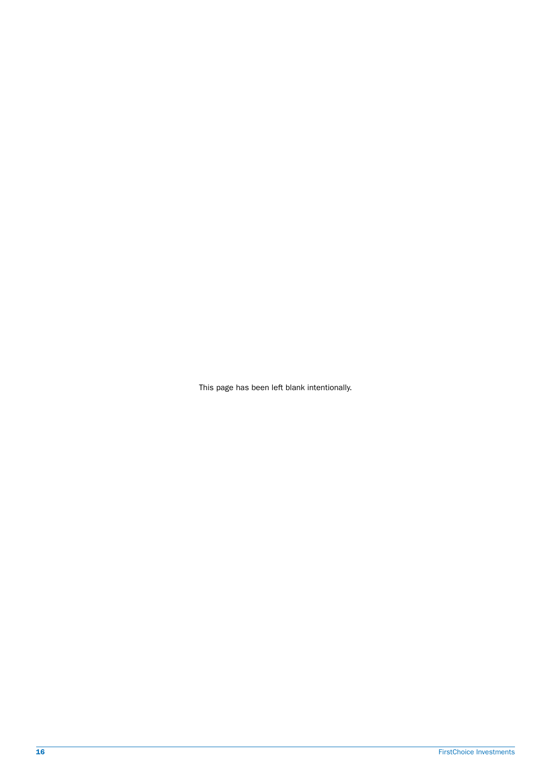This page has been left blank intentionally.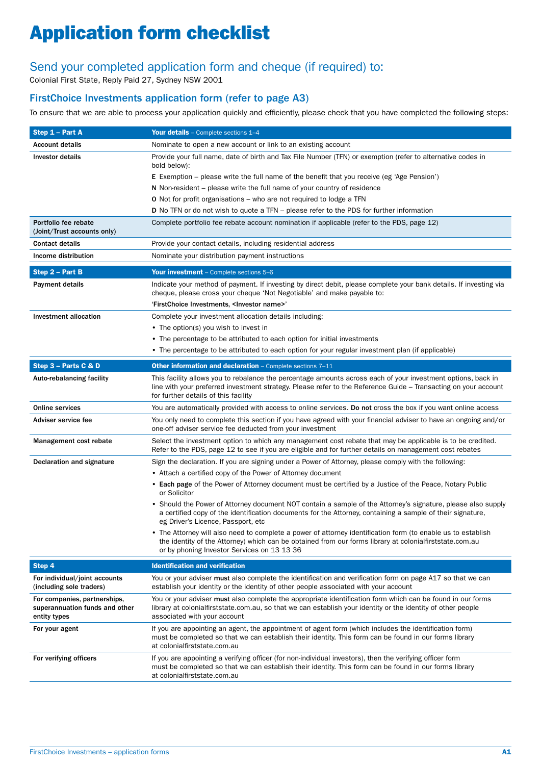## [Applica](http://www.fundsfocus.com.au/managed-funds/colonial-firstchoice/)tion form checklist

## Send your completed application form and cheque (if required) to:

Colonial First State, Reply Paid 27, Sydney NSW 2001

## FirstChoice Investments application form (refer to page A3)

To ensure that we are able to process your application quickly and efficiently, please check that you have completed the following steps:

| Step 1 - Part A                                                                | <b>Your details</b> - Complete sections 1-4                                                                                                                                                                                                                              |
|--------------------------------------------------------------------------------|--------------------------------------------------------------------------------------------------------------------------------------------------------------------------------------------------------------------------------------------------------------------------|
| <b>Account details</b>                                                         | Nominate to open a new account or link to an existing account                                                                                                                                                                                                            |
| <b>Investor details</b>                                                        | Provide your full name, date of birth and Tax File Number (TFN) or exemption (refer to alternative codes in<br>bold below):                                                                                                                                              |
|                                                                                | <b>E</b> Exemption – please write the full name of the benefit that you receive (eg 'Age Pension')                                                                                                                                                                       |
|                                                                                | N Non-resident $-$ please write the full name of your country of residence                                                                                                                                                                                               |
|                                                                                | <b>O</b> Not for profit organisations – who are not required to lodge a TFN                                                                                                                                                                                              |
|                                                                                | <b>D</b> No TFN or do not wish to quote a TFN – please refer to the PDS for further information                                                                                                                                                                          |
| Portfolio fee rebate<br>(Joint/Trust accounts only)                            | Complete portfolio fee rebate account nomination if applicable (refer to the PDS, page 12)                                                                                                                                                                               |
| <b>Contact details</b>                                                         | Provide your contact details, including residential address                                                                                                                                                                                                              |
| Income distribution                                                            | Nominate your distribution payment instructions                                                                                                                                                                                                                          |
| Step 2 - Part B                                                                | <b>Your investment</b> – Complete sections 5–6                                                                                                                                                                                                                           |
| <b>Payment details</b>                                                         | Indicate your method of payment. If investing by direct debit, please complete your bank details. If investing via<br>cheque, please cross your cheque 'Not Negotiable' and make payable to:                                                                             |
|                                                                                | 'FirstChoice Investments, <investor name="">'</investor>                                                                                                                                                                                                                 |
| Investment allocation                                                          | Complete your investment allocation details including:                                                                                                                                                                                                                   |
|                                                                                | • The option(s) you wish to invest in                                                                                                                                                                                                                                    |
|                                                                                | • The percentage to be attributed to each option for initial investments                                                                                                                                                                                                 |
|                                                                                | • The percentage to be attributed to each option for your regular investment plan (if applicable)                                                                                                                                                                        |
| Step 3 - Parts C & D                                                           | Other information and declaration - Complete sections 7-11                                                                                                                                                                                                               |
| Auto-rebalancing facility                                                      | This facility allows you to rebalance the percentage amounts across each of your investment options, back in<br>line with your preferred investment strategy. Please refer to the Reference Guide - Transacting on your account<br>for further details of this facility  |
| <b>Online services</b>                                                         | You are automatically provided with access to online services. Do not cross the box if you want online access                                                                                                                                                            |
| Adviser service fee                                                            | You only need to complete this section if you have agreed with your financial adviser to have an ongoing and/or<br>one-off adviser service fee deducted from your investment                                                                                             |
| Management cost rebate                                                         | Select the investment option to which any management cost rebate that may be applicable is to be credited.<br>Refer to the PDS, page 12 to see if you are eligible and for further details on management cost rebates                                                    |
| Declaration and signature                                                      | Sign the declaration. If you are signing under a Power of Attorney, please comply with the following:                                                                                                                                                                    |
|                                                                                | • Attach a certified copy of the Power of Attorney document                                                                                                                                                                                                              |
|                                                                                | • Each page of the Power of Attorney document must be certified by a Justice of the Peace, Notary Public<br>or Solicitor                                                                                                                                                 |
|                                                                                | • Should the Power of Attorney document NOT contain a sample of the Attorney's signature, please also supply<br>a certified copy of the identification documents for the Attorney, containing a sample of their signature,<br>eg Driver's Licence, Passport, etc         |
|                                                                                | • The Attorney will also need to complete a power of attorney identification form (to enable us to establish<br>the identity of the Attorney) which can be obtained from our forms library at colonial first state.com.au<br>or by phoning Investor Services on 13 13 36 |
| Step 4                                                                         | <b>Identification and verification</b>                                                                                                                                                                                                                                   |
| For individual/joint accounts<br>(including sole traders)                      | You or your adviser must also complete the identification and verification form on page A17 so that we can<br>establish your identity or the identity of other people associated with your account                                                                       |
| For companies, partnerships,<br>superannuation funds and other<br>entity types | You or your adviser must also complete the appropriate identification form which can be found in our forms<br>library at colonialfirststate.com.au, so that we can establish your identity or the identity of other people<br>associated with your account               |
| For your agent                                                                 | If you are appointing an agent, the appointment of agent form (which includes the identification form)<br>must be completed so that we can establish their identity. This form can be found in our forms library<br>at colonialfirststate.com.au                         |
| For verifying officers                                                         | If you are appointing a verifying officer (for non-individual investors), then the verifying officer form<br>must be completed so that we can establish their identity. This form can be found in our forms library<br>at colonialfirststate.com.au                      |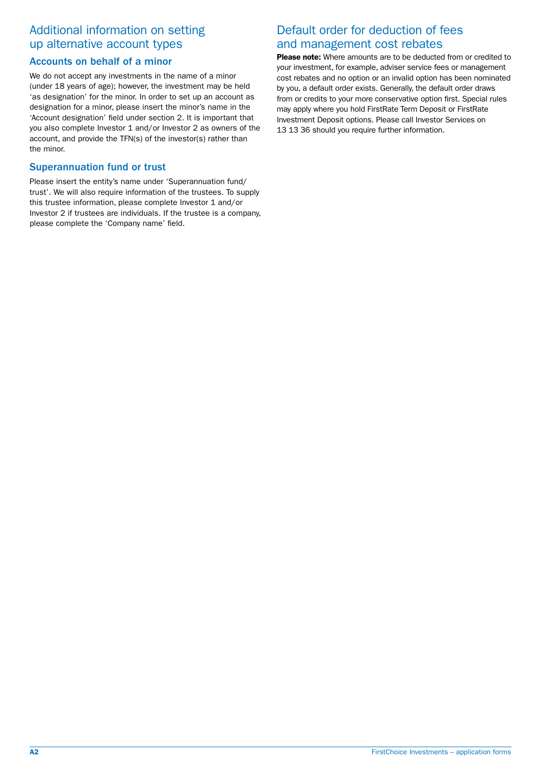## [Additional in](http://www.fundsfocus.com.au/managed-funds/colonial-firstchoice/)formation on setting up alternative account types

## Accounts on behalf of a minor

We do not accept any investments in the name of a minor (under 18 years of age); however, the investment may be held 'as designation' for the minor. In order to set up an account as designation for a minor, please insert the minor's name in the 'Account designation' field under section 2. It is important that you also complete Investor 1 and/or Investor 2 as owners of the account, and provide the TFN(s) of the investor(s) rather than the minor.

## Superannuation fund or trust

Please insert the entity's name under 'Superannuation fund/ trust'. We will also require information of the trustees. To supply this trustee information, please complete Investor 1 and/or Investor 2 if trustees are individuals. If the trustee is a company, please complete the 'Company name' field.

## Default order for deduction of fees and management cost rebates

Please note: Where amounts are to be deducted from or credited to your investment, for example, adviser service fees or management cost rebates and no option or an invalid option has been nominated by you, a default order exists. Generally, the default order draws from or credits to your more conservative option first. Special rules may apply where you hold FirstRate Term Deposit or FirstRate Investment Deposit options. Please call Investor Services on 13 13 36 should you require further information.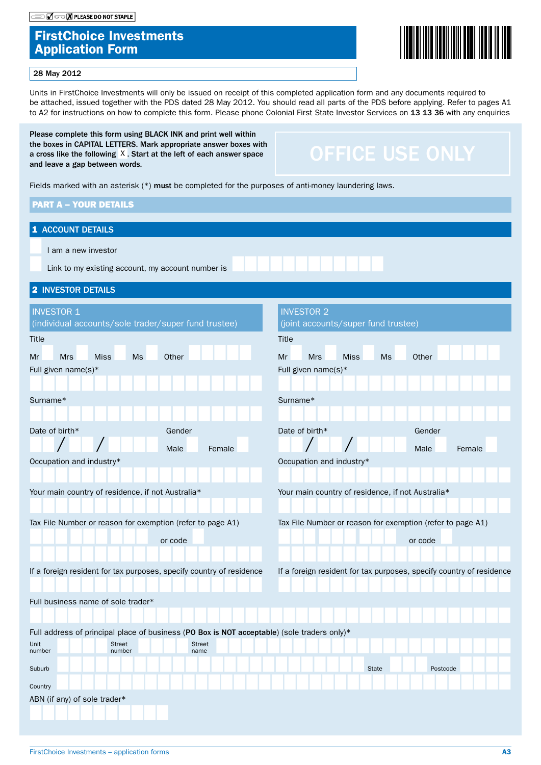## [FirstChoic](http://www.fundsfocus.com.au/managed-funds/colonial-firstchoice/)e Investments Application Form

## 

#### 28 May 2012

Units in FirstChoice Investments will only be issued on receipt of this completed application form and any documents required to be attached, issued together with the PDS dated 28 May 2012. You should read all parts of the PDS before applying. Refer to pages A1 to A2 for instructions on how to complete this form. Please phone Colonial First State Investor Services on 13 13 36 with any enquiries

Please complete this form using BLACK INK and print well within the boxes in CAPITAL LETTERS. Mark appropriate answer boxes with a cross like the following  $X$ . Start at the left of each answer space and leave a gap between words.

Fields marked with an asterisk  $(*)$  must be completed for the purposes of anti-money laundering laws.

| <b>PART A - YOUR DETAILS</b> |  |  |  |  |
|------------------------------|--|--|--|--|
|                              |  |  |  |  |

|  |  | <b>1 ACCOUNT DETAILS</b> |  |
|--|--|--------------------------|--|
|  |  |                          |  |

I am a new investor

Link to my existing account, my account number is

## 2 INVESTOR DETAILS

| <b>INVESTOR 1</b><br>(individual accounts/sole trader/super fund trustee) |                         |                                                                                             | <b>INVESTOR 2</b><br>(joint accounts/super fund trustee) |                                                   |                                                                      |  |  |
|---------------------------------------------------------------------------|-------------------------|---------------------------------------------------------------------------------------------|----------------------------------------------------------|---------------------------------------------------|----------------------------------------------------------------------|--|--|
| <b>Title</b>                                                              |                         |                                                                                             | Title                                                    |                                                   |                                                                      |  |  |
| Mr<br><b>Mrs</b><br><b>Miss</b><br>Full given name(s)*                    | Ms<br>Other             |                                                                                             | Mr<br><b>Mrs</b><br>Full given name(s)*                  | Ms<br><b>Miss</b>                                 | Other                                                                |  |  |
| Surname*                                                                  |                         |                                                                                             | Surname*                                                 |                                                   |                                                                      |  |  |
| Date of birth*                                                            | Gender<br>Male          | Female                                                                                      | Date of birth*                                           |                                                   | Gender<br>Male<br>Female                                             |  |  |
| Occupation and industry*                                                  |                         |                                                                                             | Occupation and industry*                                 |                                                   |                                                                      |  |  |
| Your main country of residence, if not Australia*                         |                         |                                                                                             |                                                          | Your main country of residence, if not Australia* |                                                                      |  |  |
| Tax File Number or reason for exemption (refer to page A1)                |                         |                                                                                             |                                                          |                                                   | Tax File Number or reason for exemption (refer to page A1)           |  |  |
|                                                                           | or code                 |                                                                                             |                                                          |                                                   | or code                                                              |  |  |
|                                                                           |                         | If a foreign resident for tax purposes, specify country of residence                        |                                                          |                                                   | If a foreign resident for tax purposes, specify country of residence |  |  |
| Full business name of sole trader*                                        |                         |                                                                                             |                                                          |                                                   |                                                                      |  |  |
|                                                                           |                         | Full address of principal place of business (PO Box is NOT acceptable) (sole traders only)* |                                                          |                                                   |                                                                      |  |  |
| Unit<br>number                                                            | <b>Street</b><br>number | <b>Street</b><br>name                                                                       |                                                          |                                                   |                                                                      |  |  |
| Suburb                                                                    |                         |                                                                                             |                                                          | <b>State</b>                                      | Postcode                                                             |  |  |
| Country                                                                   |                         |                                                                                             |                                                          |                                                   |                                                                      |  |  |
| ABN (if any) of sole trader*                                              |                         |                                                                                             |                                                          |                                                   |                                                                      |  |  |
|                                                                           |                         |                                                                                             |                                                          |                                                   |                                                                      |  |  |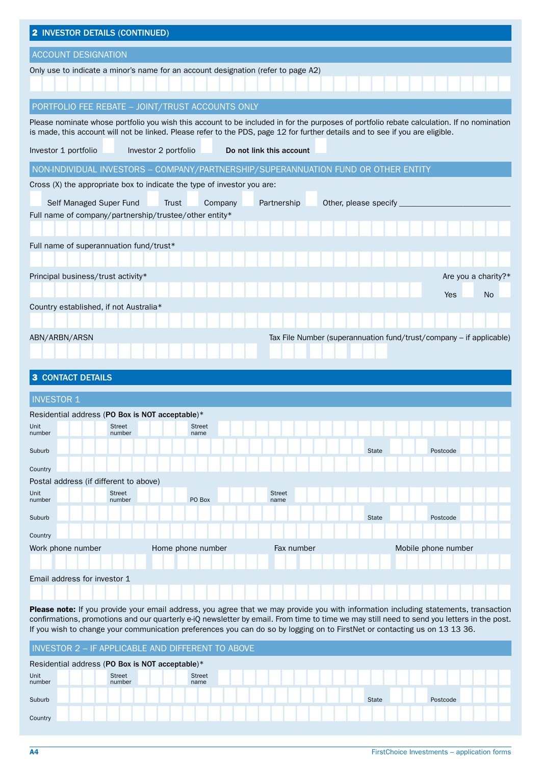| <b>2 INVESTOR DETAILS (CONTINUED)</b>                                              |                                                                                                                                                                                                                                                                              |               |                                                                     |                     |  |  |  |
|------------------------------------------------------------------------------------|------------------------------------------------------------------------------------------------------------------------------------------------------------------------------------------------------------------------------------------------------------------------------|---------------|---------------------------------------------------------------------|---------------------|--|--|--|
| <b>ACCOUNT DESIGNATION</b>                                                         |                                                                                                                                                                                                                                                                              |               |                                                                     |                     |  |  |  |
| Only use to indicate a minor's name for an account designation (refer to page A2)  |                                                                                                                                                                                                                                                                              |               |                                                                     |                     |  |  |  |
| PORTFOLIO FEE REBATE - JOINT/TRUST ACCOUNTS ONLY                                   |                                                                                                                                                                                                                                                                              |               |                                                                     |                     |  |  |  |
|                                                                                    | Please nominate whose portfolio you wish this account to be included in for the purposes of portfolio rebate calculation. If no nomination<br>is made, this account will not be linked. Please refer to the PDS, page 12 for further details and to see if you are eligible. |               |                                                                     |                     |  |  |  |
| Investor 1 portfolio                                                               | Investor 2 portfolio<br>Do not link this account                                                                                                                                                                                                                             |               |                                                                     |                     |  |  |  |
| NON-INDIVIDUAL INVESTORS - COMPANY/PARTNERSHIP/SUPERANNUATION FUND OR OTHER ENTITY |                                                                                                                                                                                                                                                                              |               |                                                                     |                     |  |  |  |
| Cross (X) the appropriate box to indicate the type of investor you are:            |                                                                                                                                                                                                                                                                              |               |                                                                     |                     |  |  |  |
| Self Managed Super Fund                                                            | Trust<br>Company                                                                                                                                                                                                                                                             | Partnership   | Other, please specify                                               |                     |  |  |  |
| Full name of company/partnership/trustee/other entity*                             |                                                                                                                                                                                                                                                                              |               |                                                                     |                     |  |  |  |
|                                                                                    |                                                                                                                                                                                                                                                                              |               |                                                                     |                     |  |  |  |
| Full name of superannuation fund/trust*                                            |                                                                                                                                                                                                                                                                              |               |                                                                     |                     |  |  |  |
|                                                                                    |                                                                                                                                                                                                                                                                              |               |                                                                     |                     |  |  |  |
| Principal business/trust activity*                                                 |                                                                                                                                                                                                                                                                              |               |                                                                     | Are you a charity?* |  |  |  |
|                                                                                    |                                                                                                                                                                                                                                                                              |               |                                                                     | Yes<br><b>No</b>    |  |  |  |
| Country established, if not Australia*                                             |                                                                                                                                                                                                                                                                              |               |                                                                     |                     |  |  |  |
|                                                                                    |                                                                                                                                                                                                                                                                              |               |                                                                     |                     |  |  |  |
| ABN/ARBN/ARSN                                                                      |                                                                                                                                                                                                                                                                              |               | Tax File Number (superannuation fund/trust/company - if applicable) |                     |  |  |  |
|                                                                                    |                                                                                                                                                                                                                                                                              |               |                                                                     |                     |  |  |  |
| <b>3 CONTACT DETAILS</b>                                                           |                                                                                                                                                                                                                                                                              |               |                                                                     |                     |  |  |  |
| <b>INVESTOR 1</b>                                                                  |                                                                                                                                                                                                                                                                              |               |                                                                     |                     |  |  |  |
| Residential address (PO Box is NOT acceptable)*                                    |                                                                                                                                                                                                                                                                              |               |                                                                     |                     |  |  |  |
| Street<br>Unit<br>number<br>number                                                 | Street<br>name                                                                                                                                                                                                                                                               |               |                                                                     |                     |  |  |  |
|                                                                                    |                                                                                                                                                                                                                                                                              |               |                                                                     |                     |  |  |  |
| Suburb                                                                             |                                                                                                                                                                                                                                                                              |               | <b>State</b>                                                        | Postcode            |  |  |  |
| Country<br>Postal address (if different to above)                                  |                                                                                                                                                                                                                                                                              |               |                                                                     |                     |  |  |  |
| Unit<br>Street                                                                     |                                                                                                                                                                                                                                                                              | <b>Street</b> |                                                                     |                     |  |  |  |
| number<br>number                                                                   | PO Box                                                                                                                                                                                                                                                                       | name          |                                                                     |                     |  |  |  |
| Suburb                                                                             |                                                                                                                                                                                                                                                                              |               | <b>State</b>                                                        | Postcode            |  |  |  |
| Country                                                                            |                                                                                                                                                                                                                                                                              |               |                                                                     |                     |  |  |  |
| Work phone number                                                                  | Home phone number                                                                                                                                                                                                                                                            | Fax number    |                                                                     | Mobile phone number |  |  |  |
|                                                                                    |                                                                                                                                                                                                                                                                              |               |                                                                     |                     |  |  |  |
| Email address for investor 1                                                       |                                                                                                                                                                                                                                                                              |               |                                                                     |                     |  |  |  |
|                                                                                    |                                                                                                                                                                                                                                                                              |               |                                                                     |                     |  |  |  |

Please note: If you provide your email address, you agree that we may provide you with information including statements, transaction confirmations, promotions and our quarterly e-iQ newsletter by email. From time to time we may still need to send you letters in the post. If you wish to change your communication preferences you can do so by logging on to FirstNet or contacting us on 13 13 36.

|                | INVESTOR 2 – IF APPLICABLE AND DIFFERENT TO ABOVE |                         |  |                       |  |  |  |  |              |          |  |
|----------------|---------------------------------------------------|-------------------------|--|-----------------------|--|--|--|--|--------------|----------|--|
|                | Residential address (PO Box is NOT acceptable)*   |                         |  |                       |  |  |  |  |              |          |  |
| Unit<br>number |                                                   | <b>Street</b><br>number |  | <b>Street</b><br>name |  |  |  |  |              |          |  |
| Suburb         |                                                   |                         |  |                       |  |  |  |  | <b>State</b> | Postcode |  |
| Country        |                                                   |                         |  |                       |  |  |  |  |              |          |  |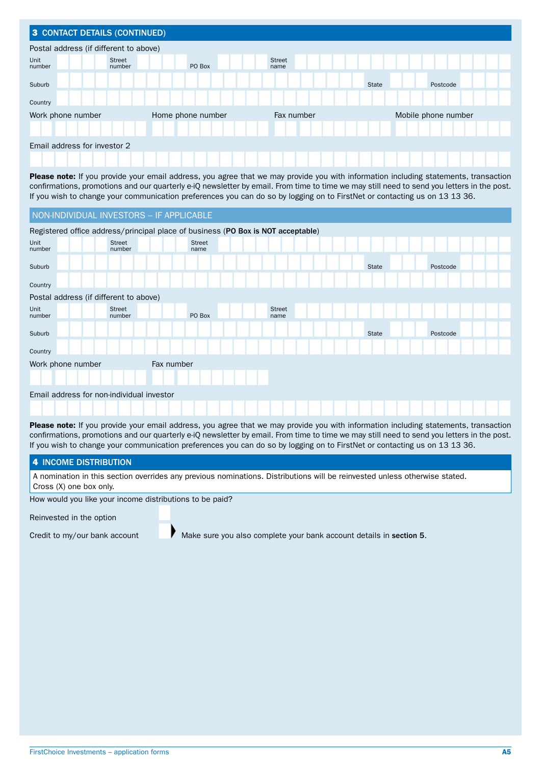| 3 CONTACT DETAILS (CONTINUED)          |                  |                   |                |       |                     |
|----------------------------------------|------------------|-------------------|----------------|-------|---------------------|
| Postal address (if different to above) |                  |                   |                |       |                     |
| Unit<br>number                         | Street<br>number | PO Box            | Street<br>name |       |                     |
| Suburb                                 |                  |                   |                | State | Postcode            |
| Country                                |                  |                   |                |       |                     |
| Work phone number                      |                  | Home phone number | Fax number     |       | Mobile phone number |
|                                        |                  |                   |                |       |                     |
| Email address for investor 2           |                  |                   |                |       |                     |
|                                        |                  |                   |                |       |                     |

Please note: If you provide your email address, you agree that we may provide you with information including statements, transaction confirmations, promotions and our quarterly e-iQ newsletter by email. From time to time we may still need to send you letters in the post. If you wish to change your communication preferences you can do so by logging on to FirstNet or contacting us on 13 13 36.

## Non-individual investors – if applicable

| Registered office address/principal place of business (PO Box is NOT acceptable) |                  |            |                |  |                       |  |  |       |  |          |  |  |
|----------------------------------------------------------------------------------|------------------|------------|----------------|--|-----------------------|--|--|-------|--|----------|--|--|
| Unit<br>number                                                                   | Street<br>number |            | Street<br>name |  |                       |  |  |       |  |          |  |  |
| Suburb                                                                           |                  |            |                |  |                       |  |  | State |  | Postcode |  |  |
| Country                                                                          |                  |            |                |  |                       |  |  |       |  |          |  |  |
| Postal address (if different to above)                                           |                  |            |                |  |                       |  |  |       |  |          |  |  |
| Unit<br>number                                                                   | Street<br>number |            | PO Box         |  | <b>Street</b><br>name |  |  |       |  |          |  |  |
| Suburb                                                                           |                  |            |                |  |                       |  |  | State |  | Postcode |  |  |
| Country                                                                          |                  |            |                |  |                       |  |  |       |  |          |  |  |
| Work phone number                                                                |                  | Fax number |                |  |                       |  |  |       |  |          |  |  |
| Email address for non-individual investor                                        |                  |            |                |  |                       |  |  |       |  |          |  |  |
|                                                                                  |                  |            |                |  |                       |  |  |       |  |          |  |  |

Please note: If you provide your email address, you agree that we may provide you with information including statements, transaction confirmations, promotions and our quarterly e-iQ newsletter by email. From time to time we may still need to send you letters in the post. If you wish to change your communication preferences you can do so by logging on to FirstNet or contacting us on 13 13 36.

## 4 INCOME DISTRIBUTION

A nomination in this section overrides any previous nominations. Distributions will be reinvested unless otherwise stated. Cross (X) one box only.

How would you like your income distributions to be paid?

Reinvested in the option

Credit to my/our bank account  $\blacksquare$  Make sure you also complete your bank account details in section 5.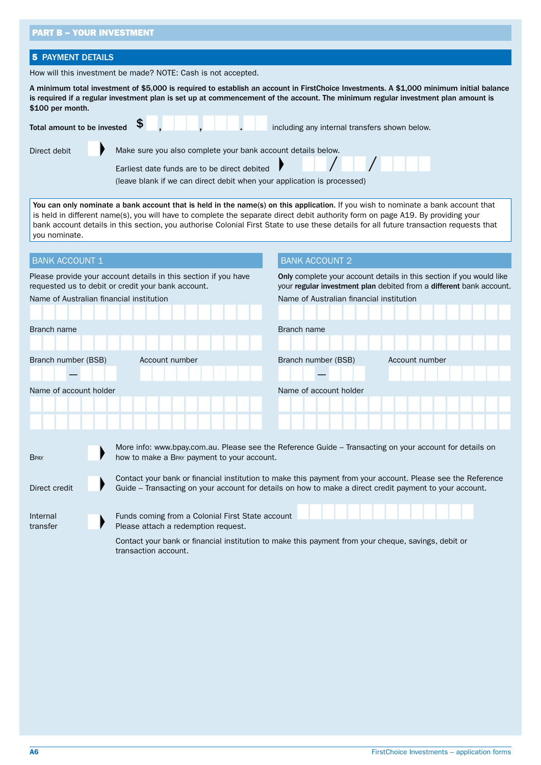| <b>PART B – YOUR INVESTMENT</b>                                                                                                                                                                                                                                                                                                                                                                                                 |                                                                                                                                                                                                                        |                                                                                                                                                                                         |                                                                                                         |  |  |  |
|---------------------------------------------------------------------------------------------------------------------------------------------------------------------------------------------------------------------------------------------------------------------------------------------------------------------------------------------------------------------------------------------------------------------------------|------------------------------------------------------------------------------------------------------------------------------------------------------------------------------------------------------------------------|-----------------------------------------------------------------------------------------------------------------------------------------------------------------------------------------|---------------------------------------------------------------------------------------------------------|--|--|--|
| <b>5 PAYMENT DETAILS</b>                                                                                                                                                                                                                                                                                                                                                                                                        |                                                                                                                                                                                                                        |                                                                                                                                                                                         |                                                                                                         |  |  |  |
| How will this investment be made? NOTE: Cash is not accepted.                                                                                                                                                                                                                                                                                                                                                                   |                                                                                                                                                                                                                        |                                                                                                                                                                                         |                                                                                                         |  |  |  |
| A minimum total investment of \$5,000 is required to establish an account in FirstChoice Investments. A \$1,000 minimum initial balance<br>is required if a regular investment plan is set up at commencement of the account. The minimum regular investment plan amount is<br>\$100 per month.                                                                                                                                 |                                                                                                                                                                                                                        |                                                                                                                                                                                         |                                                                                                         |  |  |  |
| \$<br>Total amount to be invested                                                                                                                                                                                                                                                                                                                                                                                               |                                                                                                                                                                                                                        | including any internal transfers shown below.                                                                                                                                           |                                                                                                         |  |  |  |
| Make sure you also complete your bank account details below.<br>Direct debit<br>Earliest date funds are to be direct debited<br>(leave blank if we can direct debit when your application is processed)                                                                                                                                                                                                                         |                                                                                                                                                                                                                        |                                                                                                                                                                                         |                                                                                                         |  |  |  |
|                                                                                                                                                                                                                                                                                                                                                                                                                                 |                                                                                                                                                                                                                        |                                                                                                                                                                                         |                                                                                                         |  |  |  |
| You can only nominate a bank account that is held in the name(s) on this application. If you wish to nominate a bank account that<br>is held in different name(s), you will have to complete the separate direct debit authority form on page A19. By providing your<br>bank account details in this section, you authorise Colonial First State to use these details for all future transaction requests that<br>you nominate. |                                                                                                                                                                                                                        |                                                                                                                                                                                         |                                                                                                         |  |  |  |
| <b>BANK ACCOUNT 1</b>                                                                                                                                                                                                                                                                                                                                                                                                           |                                                                                                                                                                                                                        | <b>BANK ACCOUNT 2</b>                                                                                                                                                                   |                                                                                                         |  |  |  |
| Please provide your account details in this section if you have<br>requested us to debit or credit your bank account.<br>Name of Australian financial institution                                                                                                                                                                                                                                                               |                                                                                                                                                                                                                        | Only complete your account details in this section if you would like<br>your regular investment plan debited from a different bank account.<br>Name of Australian financial institution |                                                                                                         |  |  |  |
| Branch name                                                                                                                                                                                                                                                                                                                                                                                                                     |                                                                                                                                                                                                                        | Branch name                                                                                                                                                                             |                                                                                                         |  |  |  |
| Branch number (BSB)<br>Account number                                                                                                                                                                                                                                                                                                                                                                                           |                                                                                                                                                                                                                        | Branch number (BSB)                                                                                                                                                                     | Account number                                                                                          |  |  |  |
| Name of account holder                                                                                                                                                                                                                                                                                                                                                                                                          |                                                                                                                                                                                                                        | Name of account holder                                                                                                                                                                  |                                                                                                         |  |  |  |
|                                                                                                                                                                                                                                                                                                                                                                                                                                 |                                                                                                                                                                                                                        |                                                                                                                                                                                         |                                                                                                         |  |  |  |
| <b>BPAY</b>                                                                                                                                                                                                                                                                                                                                                                                                                     | how to make a BPAY payment to your account.                                                                                                                                                                            |                                                                                                                                                                                         | More info: www.bpay.com.au. Please see the Reference Guide – Transacting on your account for details on |  |  |  |
| Direct credit                                                                                                                                                                                                                                                                                                                                                                                                                   | Contact your bank or financial institution to make this payment from your account. Please see the Reference<br>Guide - Transacting on your account for details on how to make a direct credit payment to your account. |                                                                                                                                                                                         |                                                                                                         |  |  |  |
| Internal<br>transfer                                                                                                                                                                                                                                                                                                                                                                                                            | Funds coming from a Colonial First State account<br>Please attach a redemption request.                                                                                                                                |                                                                                                                                                                                         |                                                                                                         |  |  |  |
| transaction account.                                                                                                                                                                                                                                                                                                                                                                                                            |                                                                                                                                                                                                                        | Contact your bank or financial institution to make this payment from your cheque, savings, debit or                                                                                     |                                                                                                         |  |  |  |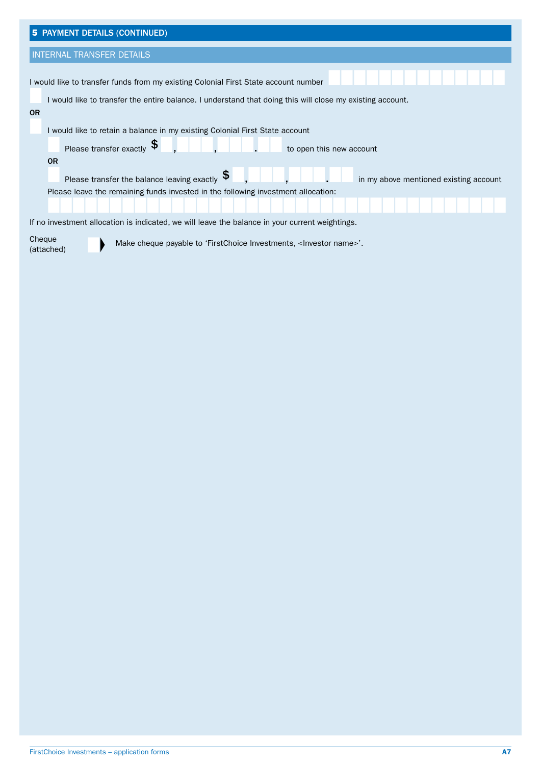| <b>5 PAYMENT DETAILS (CONTINUED)</b>                                                                                   |
|------------------------------------------------------------------------------------------------------------------------|
| <b>INTERNAL TRANSFER DETAILS</b>                                                                                       |
| I would like to transfer funds from my existing Colonial First State account number                                    |
| I would like to transfer the entire balance. I understand that doing this will close my existing account.<br><b>OR</b> |
| I would like to retain a balance in my existing Colonial First State account                                           |
| Please transfer exactly $\$\,$ , $\ \,\ $ , $\ \,\ $ to open this new account<br><b>OR</b>                             |
| Please transfer the balance leaving exactly $\$$<br>in my above mentioned existing account                             |
| Please leave the remaining funds invested in the following investment allocation:                                      |
|                                                                                                                        |
| If no investment allocation is indicated, we will leave the balance in your current weightings.                        |

Cheque<br>(attached)

(attachedue payable to 'FirstChoice Investments, <Investor name>'.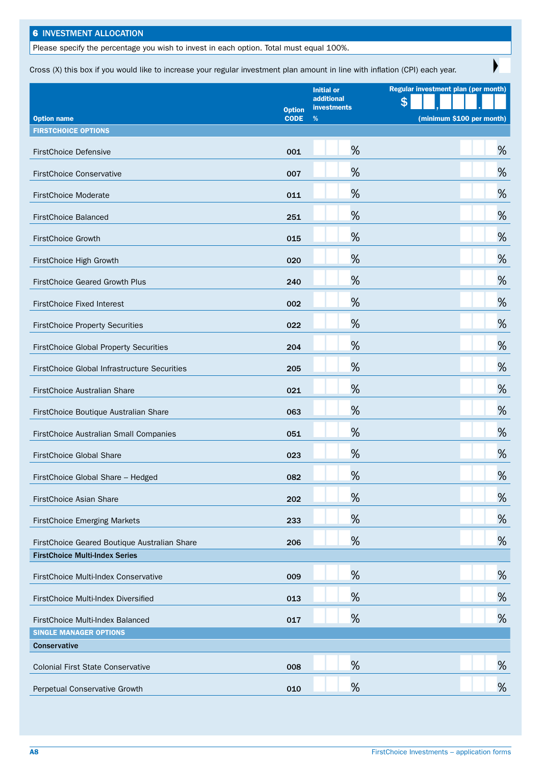## **6 [INVESTMENT](http://www.fundsfocus.com.au/managed-funds/colonial-firstchoice/) ALLOCATION**

Please specify the percentage you wish to invest in each option. Total must equal 100%.

Cross (X) this box if you would like to increase your regular investment plan amount in line with inflation (CPI) each year.

|                                               | <b>Option</b> | <b>Initial or</b><br><b>additional</b><br>investments | Regular investment plan (per month)<br>\$ |
|-----------------------------------------------|---------------|-------------------------------------------------------|-------------------------------------------|
| <b>Option name</b>                            | <b>CODE</b>   | %                                                     | (minimum \$100 per month)                 |
| <b>FIRSTCHOICE OPTIONS</b>                    |               |                                                       |                                           |
| <b>FirstChoice Defensive</b>                  | 001           | %                                                     | %                                         |
| <b>FirstChoice Conservative</b>               | 007           | %                                                     | %                                         |
| <b>FirstChoice Moderate</b>                   | 011           | %                                                     | %                                         |
| <b>FirstChoice Balanced</b>                   | 251           | %                                                     | %                                         |
| <b>FirstChoice Growth</b>                     | 015           | %                                                     | %                                         |
| FirstChoice High Growth                       | 020           | %                                                     | %                                         |
| FirstChoice Geared Growth Plus                | 240           | %                                                     | %                                         |
| <b>FirstChoice Fixed Interest</b>             | 002           | %                                                     | %                                         |
| <b>FirstChoice Property Securities</b>        | 022           | %                                                     | %                                         |
| <b>FirstChoice Global Property Securities</b> | 204           | %                                                     | %                                         |
| FirstChoice Global Infrastructure Securities  | 205           | %                                                     | %                                         |
| <b>FirstChoice Australian Share</b>           | 021           | %                                                     | %                                         |
| FirstChoice Boutique Australian Share         | 063           | %                                                     | %                                         |
| FirstChoice Australian Small Companies        | 051           | %                                                     | %                                         |
| <b>FirstChoice Global Share</b>               | 023           | %                                                     | %                                         |
| FirstChoice Global Share - Hedged             | 082           | %                                                     | %                                         |
| FirstChoice Asian Share                       | 202           | %                                                     | %                                         |
| <b>FirstChoice Emerging Markets</b>           | 233           | $\%$                                                  | %                                         |
| FirstChoice Geared Boutique Australian Share  | 206           | %                                                     | %                                         |
| <b>FirstChoice Multi-Index Series</b>         |               |                                                       |                                           |
| FirstChoice Multi-Index Conservative          | 009           | %                                                     | %                                         |
| FirstChoice Multi-Index Diversified           | 013           | %                                                     | %                                         |
| FirstChoice Multi-Index Balanced              | 017           | %                                                     | %                                         |
| <b>SINGLE MANAGER OPTIONS</b>                 |               |                                                       |                                           |
| <b>Conservative</b>                           |               |                                                       |                                           |
| <b>Colonial First State Conservative</b>      | 008           | %                                                     | %                                         |
| Perpetual Conservative Growth                 | 010           | %                                                     | %                                         |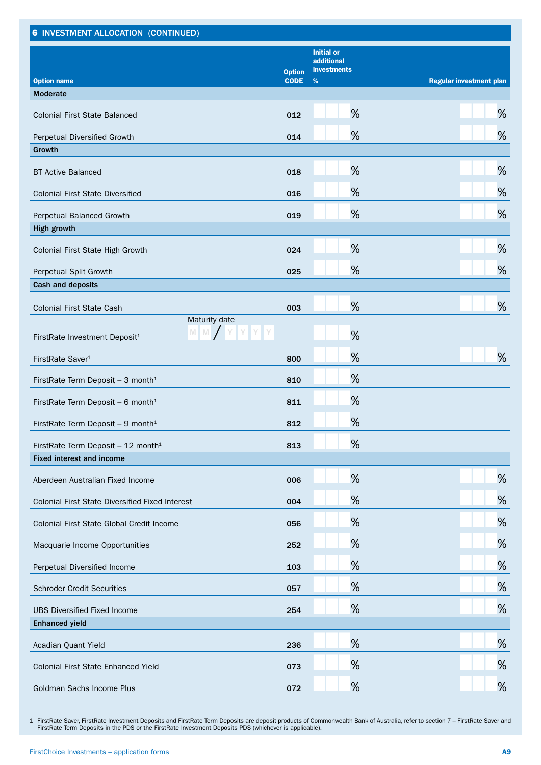| <b>6 INVESTMENT ALLOCATION (CONTINUED)</b>               |                              |                                                            |                                |
|----------------------------------------------------------|------------------------------|------------------------------------------------------------|--------------------------------|
| <b>Option name</b>                                       | <b>Option</b><br><b>CODE</b> | <b>Initial or</b><br>additional<br><b>investments</b><br>% | <b>Regular investment plan</b> |
| <b>Moderate</b>                                          |                              |                                                            |                                |
| <b>Colonial First State Balanced</b>                     | 012                          | %                                                          | %                              |
| Perpetual Diversified Growth                             | 014                          | %                                                          | %                              |
| Growth                                                   |                              |                                                            |                                |
| <b>BT Active Balanced</b>                                | 018                          | %                                                          | %                              |
| <b>Colonial First State Diversified</b>                  | 016                          | %                                                          | %                              |
| Perpetual Balanced Growth                                | 019                          | %                                                          | %                              |
| High growth                                              |                              |                                                            |                                |
| Colonial First State High Growth                         | 024                          | %                                                          | %                              |
| Perpetual Split Growth                                   | 025                          | %                                                          | %                              |
| Cash and deposits                                        |                              |                                                            |                                |
| <b>Colonial First State Cash</b>                         | 003                          | %                                                          | %                              |
| Maturity date                                            |                              |                                                            |                                |
| M M Y Y Y Y<br>FirstRate Investment Deposit <sup>1</sup> |                              | %                                                          |                                |
| FirstRate Saver <sup>1</sup>                             | 800                          | %                                                          | %                              |
| FirstRate Term Deposit - 3 month <sup>1</sup>            | 810                          | %                                                          |                                |
| FirstRate Term Deposit - 6 month <sup>1</sup>            | 811                          | %                                                          |                                |
| FirstRate Term Deposit - 9 month <sup>1</sup>            | 812                          | %                                                          |                                |
| FirstRate Term Deposit - 12 month <sup>1</sup>           | 813                          | %                                                          |                                |
| <b>Fixed interest and income</b>                         |                              |                                                            |                                |
| Aberdeen Australian Fixed Income                         | 006                          | %                                                          | %                              |
| Colonial First State Diversified Fixed Interest          | 004                          | %                                                          | %                              |
| Colonial First State Global Credit Income                | 056                          | %                                                          | %                              |
| Macquarie Income Opportunities                           | 252                          | %                                                          | %                              |
| Perpetual Diversified Income                             | 103                          | %                                                          | %                              |
| <b>Schroder Credit Securities</b>                        | 057                          | %                                                          | %                              |
| <b>UBS Diversified Fixed Income</b>                      | 254                          | %                                                          | %                              |
| <b>Enhanced yield</b>                                    |                              |                                                            |                                |
| Acadian Quant Yield                                      | 236                          | %                                                          | %                              |
| Colonial First State Enhanced Yield                      | 073                          | %                                                          | %                              |
| Goldman Sachs Income Plus                                | 072                          | %                                                          | %                              |

1 FirstRate Saver, FirstRate Investment Deposits and FirstRate Term Deposits are deposit products of Commonwealth Bank of Australia, refer to section 7 – FirstRate Saver and FirstRate Term Deposits in the PDS or the FirstRate Investment Deposits PDS (whichever is applicable).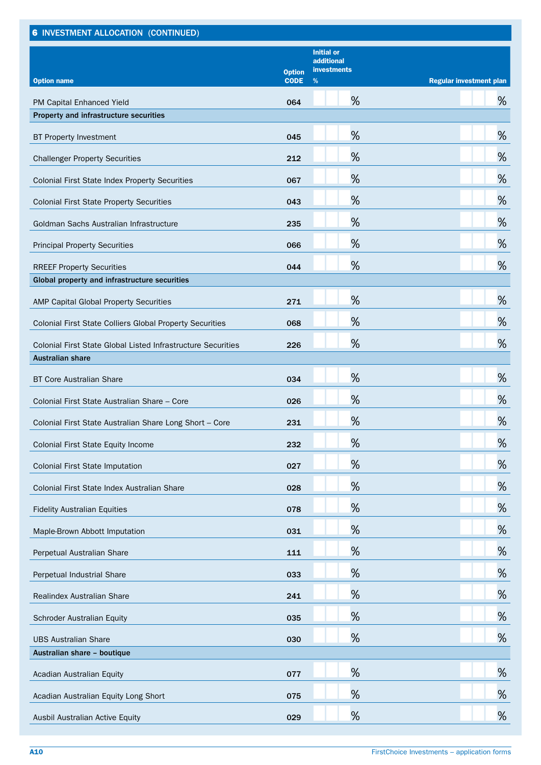| <b>6 INVESTMENT ALLOCATION (CONTINUED)</b>                   |                              |                                                            |                                |
|--------------------------------------------------------------|------------------------------|------------------------------------------------------------|--------------------------------|
| <b>Option name</b>                                           | <b>Option</b><br><b>CODE</b> | <b>Initial or</b><br>additional<br><b>investments</b><br>% | <b>Regular investment plan</b> |
| PM Capital Enhanced Yield                                    | 064                          | %                                                          | %                              |
| Property and infrastructure securities                       |                              |                                                            |                                |
| <b>BT Property Investment</b>                                | 045                          | %                                                          | %                              |
| <b>Challenger Property Securities</b>                        | 212                          | %                                                          | %                              |
| Colonial First State Index Property Securities               | 067                          | %                                                          | %                              |
| <b>Colonial First State Property Securities</b>              | 043                          | %                                                          | %                              |
| Goldman Sachs Australian Infrastructure                      | 235                          | %                                                          | %                              |
| <b>Principal Property Securities</b>                         | 066                          | %                                                          | %                              |
| <b>RREEF Property Securities</b>                             | 044                          | %                                                          | %                              |
| Global property and infrastructure securities                |                              |                                                            |                                |
| AMP Capital Global Property Securities                       | 271                          | %                                                          | %                              |
| Colonial First State Colliers Global Property Securities     | 068                          | %                                                          | %                              |
| Colonial First State Global Listed Infrastructure Securities | 226                          | %                                                          | %                              |
| <b>Australian share</b>                                      |                              |                                                            |                                |
| <b>BT Core Australian Share</b>                              | 034                          | %                                                          | %                              |
| Colonial First State Australian Share - Core                 | 026                          | %                                                          | %                              |
| Colonial First State Australian Share Long Short - Core      | 231                          | %                                                          | %                              |
| Colonial First State Equity Income                           | 232                          | %                                                          | %                              |
| <b>Colonial First State Imputation</b>                       | 027                          | %                                                          | %                              |
| Colonial First State Index Australian Share                  | 028                          | %                                                          | %                              |
| <b>Fidelity Australian Equities</b>                          | 078                          | %                                                          | %                              |
| Maple-Brown Abbott Imputation                                | 031                          | %                                                          | %                              |
| Perpetual Australian Share                                   | 111                          | %                                                          | %                              |
| Perpetual Industrial Share                                   | 033                          | %                                                          | %                              |
| Realindex Australian Share                                   | 241                          | %                                                          | %                              |
| Schroder Australian Equity                                   | 035                          | %                                                          | %                              |
| <b>UBS Australian Share</b>                                  | 030                          | %                                                          | %                              |
| Australian share - boutique                                  |                              |                                                            |                                |
| Acadian Australian Equity                                    | 077                          | %                                                          | %                              |
| Acadian Australian Equity Long Short                         | 075                          | %                                                          | %                              |
| Ausbil Australian Active Equity                              | 029                          | %                                                          | %                              |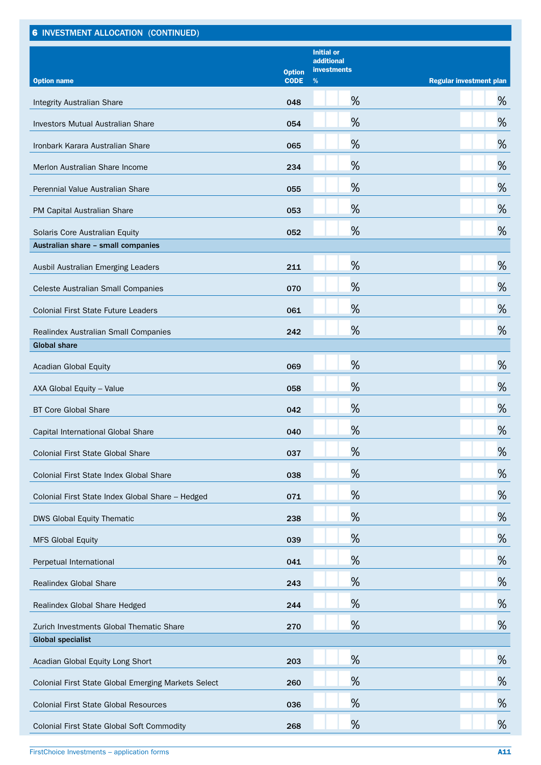| <b>6 INVESTMENT ALLOCATION (CONTINUED)</b>          |               |                                                |                                |
|-----------------------------------------------------|---------------|------------------------------------------------|--------------------------------|
|                                                     | <b>Option</b> | <b>Initial or</b><br>additional<br>investments |                                |
| <b>Option name</b>                                  | <b>CODE</b>   | %                                              | <b>Regular investment plan</b> |
| Integrity Australian Share                          | 048           | %                                              | %                              |
| <b>Investors Mutual Australian Share</b>            | 054           | %                                              | %                              |
| Ironbark Karara Australian Share                    | 065           | %                                              | %                              |
| Merlon Australian Share Income                      | 234           | %                                              | %                              |
| Perennial Value Australian Share                    | 055           | %                                              | %                              |
| PM Capital Australian Share                         | 053           | %                                              | %                              |
| Solaris Core Australian Equity                      | 052           | %                                              | %                              |
| Australian share - small companies                  |               |                                                |                                |
| Ausbil Australian Emerging Leaders                  | 211           | %                                              | %                              |
| Celeste Australian Small Companies                  | 070           | %                                              | %                              |
| <b>Colonial First State Future Leaders</b>          | 061           | %                                              | %                              |
| Realindex Australian Small Companies                | 242           | %                                              | %                              |
| <b>Global share</b>                                 |               |                                                |                                |
| Acadian Global Equity                               | 069           | %                                              | %                              |
| AXA Global Equity - Value                           | 058           | %                                              | %                              |
| <b>BT Core Global Share</b>                         | 042           | %                                              | %                              |
| Capital International Global Share                  | 040           | %                                              | %                              |
| Colonial First State Global Share                   | 037           | %                                              | %                              |
| Colonial First State Index Global Share             | 038           | %                                              | %                              |
| Colonial First State Index Global Share - Hedged    | 071           | %                                              | %                              |
| <b>DWS Global Equity Thematic</b>                   | 238           | %                                              | %                              |
| <b>MFS Global Equity</b>                            | 039           | %                                              | %                              |
| Perpetual International                             | 041           | %                                              | %                              |
| Realindex Global Share                              | 243           | %                                              | %                              |
| Realindex Global Share Hedged                       | 244           | %                                              | %                              |
| Zurich Investments Global Thematic Share            | 270           | %                                              | %                              |
| <b>Global specialist</b>                            |               |                                                |                                |
| Acadian Global Equity Long Short                    | 203           | %                                              | %                              |
| Colonial First State Global Emerging Markets Select | 260           | %                                              | %                              |
| <b>Colonial First State Global Resources</b>        | 036           | %                                              | %                              |
| Colonial First State Global Soft Commodity          | 268           | $\%$                                           | %                              |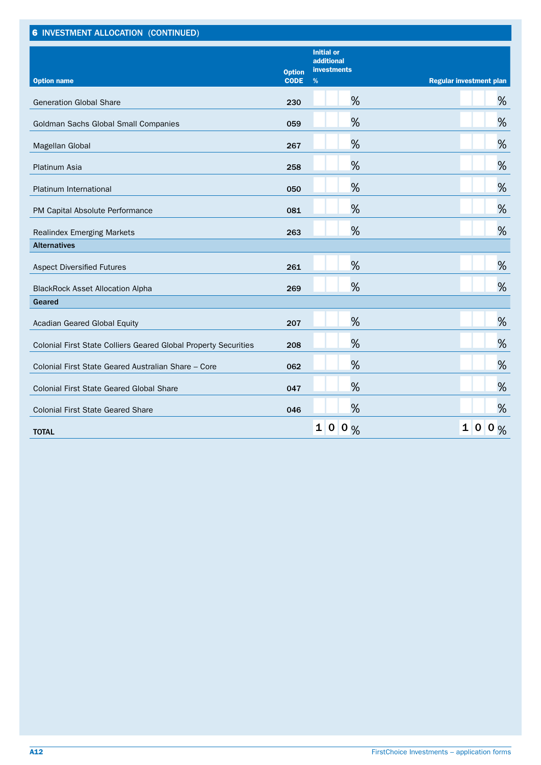| <b>6 INVESTMENT ALLOCATION (CONTINUED)</b>                      |                              |   |                                                |         |  |                                |
|-----------------------------------------------------------------|------------------------------|---|------------------------------------------------|---------|--|--------------------------------|
| <b>Option name</b>                                              | <b>Option</b><br><b>CODE</b> | % | <b>Initial or</b><br>additional<br>investments |         |  | <b>Regular investment plan</b> |
| <b>Generation Global Share</b>                                  | 230                          |   |                                                | %       |  | %                              |
|                                                                 |                              |   |                                                |         |  |                                |
| Goldman Sachs Global Small Companies                            | 059                          |   |                                                | %       |  | %                              |
| Magellan Global                                                 | 267                          |   |                                                | %       |  | %                              |
| <b>Platinum Asia</b>                                            | 258                          |   |                                                | %       |  | %                              |
| Platinum International                                          | 050                          |   |                                                | %       |  | %                              |
| PM Capital Absolute Performance                                 | 081                          |   |                                                | %       |  | %                              |
| <b>Realindex Emerging Markets</b>                               | 263                          |   |                                                | %       |  | %                              |
| <b>Alternatives</b>                                             |                              |   |                                                |         |  |                                |
| <b>Aspect Diversified Futures</b>                               | 261                          |   |                                                | %       |  | %                              |
| <b>BlackRock Asset Allocation Alpha</b>                         | 269                          |   |                                                | %       |  | %                              |
| Geared                                                          |                              |   |                                                |         |  |                                |
| Acadian Geared Global Equity                                    | 207                          |   |                                                | %       |  | %                              |
| Colonial First State Colliers Geared Global Property Securities | 208                          |   |                                                | %       |  | %                              |
| Colonial First State Geared Australian Share - Core             | 062                          |   |                                                | %       |  | %                              |
| Colonial First State Geared Global Share                        | 047                          |   |                                                | %       |  | %                              |
| <b>Colonial First State Geared Share</b>                        | 046                          |   |                                                | %       |  | %                              |
| <b>TOTAL</b>                                                    |                              |   |                                                | $100\%$ |  | $100\%$                        |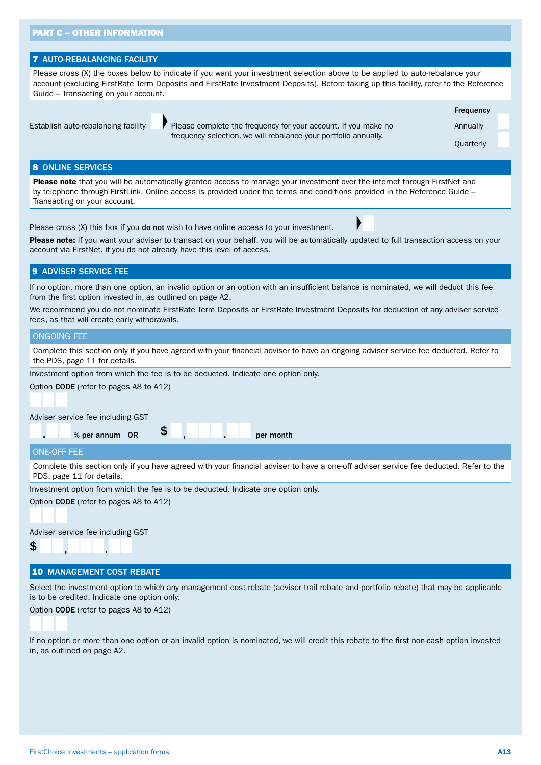#### [part c – othe](http://www.fundsfocus.com.au/managed-funds/colonial-firstchoice/)r information

#### 7 auto-rebalancing facility

Please cross (X) the boxes below to indicate if you want your investment selection above to be applied to auto-rebalance your account (excluding FirstRate Term Deposits and FirstRate Investment Deposits). Before taking up this facility, refer to the Reference Guide – Transacting on your account.

Establish auto-rebalancing facility  $\blacksquare$  Please complete the frequency for your account. If you make no  $\blacksquare$  Annually

frequency selection, we will rebalance your portfolio annually. Quarterly

## 8 ONLINE SERVICES

Please note that you will be automatically granted access to manage your investment over the internet through FirstNet and by telephone through FirstLink. Online access is provided under the terms and conditions provided in the Reference Guide – Transacting on your account.

Please cross  $(X)$  this box if you do not wish to have online access to your investment.

Please note: If you want your adviser to transact on your behalf, you will be automatically updated to full transaction access on your account via FirstNet, if you do not already have this level of access.

#### 9 adviser service fee

If no option, more than one option, an invalid option or an option with an insufficient balance is nominated, we will deduct this fee from the first option invested in, as outlined on page A2.

We recommend you do not nominate FirstRate Term Deposits or FirstRate Investment Deposits for deduction of any adviser service fees, as that will create early withdrawals.

#### ONGOING FEE

Complete this section only if you have agreed with your financial adviser to have an ongoing adviser service fee deducted. Refer to the PDS, page 11 for details.

Investment option from which the fee is to be deducted. Indicate one option only.

Option CODE (refer to pages A8 to A12)

Adviser service fee including GST

| % per annum OR |  |  | per month |
|----------------|--|--|-----------|
|----------------|--|--|-----------|

## ONe-off FEE

nnn

nnn

nnn

Complete this section only if you have agreed with your financial adviser to have a one-off adviser service fee deducted. Refer to the PDS, page 11 for details.

Investment option from which the fee is to be deducted. Indicate one option only.

Option CODE (refer to pages A8 to A12)

Adviser service fee including GST

 $\begin{array}{c|c|c|c|c} \mathsf{s} & , & \mathsf{l} & \mathsf{l} & \mathsf{l} \end{array}$ 

## 10 MANAGEMENT COST REBATE

Select the investment option to which any management cost rebate (adviser trail rebate and portfolio rebate) that may be applicable is to be credited. Indicate one option only.

Option CODE (refer to pages A8 to A12)

If no option or more than one option or an invalid option is nominated, we will credit this rebate to the first non-cash option invested in, as outlined on page A2.



Frequency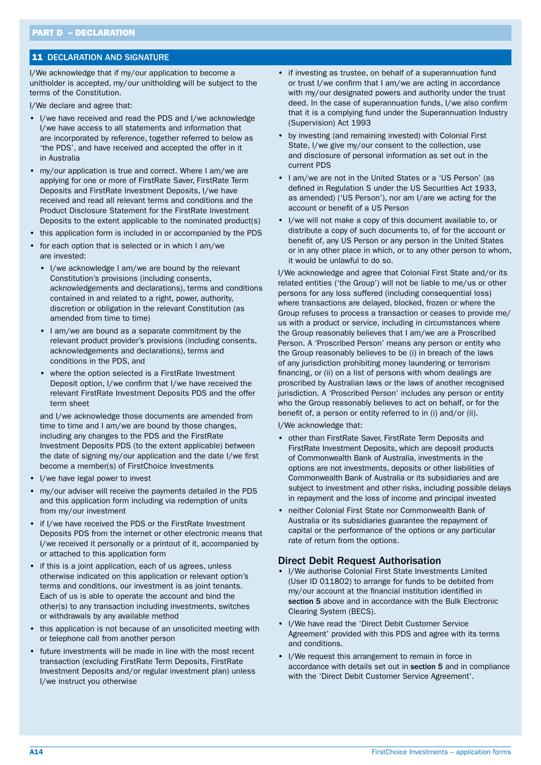## 11 DECLARATION AND SIGNATURE

I/We acknowledge that if my/our application to become a unitholder is accepted, my/our unitholding will be subject to the terms of the Constitution.

I/We declare and agree that:

- I/we have received and read the PDS and I/we acknowledge I/we have access to all statements and information that are incorporated by reference, together referred to below as 'the PDS', and have received and accepted the offer in it in Australia
- my/our application is true and correct. Where I am/we are applying for one or more of FirstRate Saver, FirstRate Term Deposits and FirstRate Investment Deposits, I/we have received and read all relevant terms and conditions and the Product Disclosure Statement for the FirstRate Investment Deposits to the extent applicable to the nominated product(s)
- this application form is included in or accompanied by the PDS
- for each option that is selected or in which I am/we are invested:
	- I/we acknowledge I am/we are bound by the relevant Constitution's provisions (including consents, acknowledgements and declarations), terms and conditions contained in and related to a right, power, authority, discretion or obligation in the relevant Constitution (as amended from time to time)
	- I am/we are bound as a separate commitment by the relevant product provider's provisions (including consents, acknowledgements and declarations), terms and conditions in the PDS, and
	- where the option selected is a FirstRate Investment Deposit option, I/we confirm that I/we have received the relevant FirstRate Investment Deposits PDS and the offer term sheet

and I/we acknowledge those documents are amended from time to time and I am/we are bound by those changes, including any changes to the PDS and the FirstRate Investment Deposits PDS (to the extent applicable) between the date of signing my/our application and the date I/we first become a member(s) of FirstChoice Investments

- I/we have legal power to invest
- my/our adviser will receive the payments detailed in the PDS and this application form including via redemption of units from my/our investment
- if I/we have received the PDS or the FirstRate Investment Deposits PDS from the internet or other electronic means that I/we received it personally or a printout of it, accompanied by or attached to this application form
- if this is a joint application, each of us agrees, unless otherwise indicated on this application or relevant option's terms and conditions, our investment is as joint tenants. Each of us is able to operate the account and bind the other(s) to any transaction including investments, switches or withdrawals by any available method
- this application is not because of an unsolicited meeting with or telephone call from another person
- future investments will be made in line with the most recent transaction (excluding FirstRate Term Deposits, FirstRate Investment Deposits and/or regular investment plan) unless I/we instruct you otherwise
- if investing as trustee, on behalf of a superannuation fund or trust I/we confirm that I am/we are acting in accordance with my/our designated powers and authority under the trust deed. In the case of superannuation funds, I/we also confirm that it is a complying fund under the Superannuation Industry (Supervision) Act 1993
- by investing (and remaining invested) with Colonial First State, I/we give my/our consent to the collection, use and disclosure of personal information as set out in the current PDS
- I am/we are not in the United States or a 'US Person' (as defined in Regulation S under the US Securities Act 1933, as amended) ('US Person'), nor am I/are we acting for the account or benefit of a US Person
- I/we will not make a copy of this document available to, or distribute a copy of such documents to, of for the account or benefit of, any US Person or any person in the United States or in any other place in which, or to any other person to whom, it would be unlawful to do so.

I/We acknowledge and agree that Colonial First State and/or its related entities ('the Group') will not be liable to me/us or other persons for any loss suffered (including consequential loss) where transactions are delayed, blocked, frozen or where the Group refuses to process a transaction or ceases to provide me/ us with a product or service, including in circumstances where the Group reasonably believes that I am/we are a Proscribed Person. A 'Proscribed Person' means any person or entity who the Group reasonably believes to be (i) in breach of the laws of any jurisdiction prohibiting money laundering or terrorism financing, or (ii) on a list of persons with whom dealings are proscribed by Australian laws or the laws of another recognised jurisdiction. A 'Proscribed Person' includes any person or entity who the Group reasonably believes to act on behalf, or for the benefit of, a person or entity referred to in (i) and/or (ii).

I/We acknowledge that:

- other than FirstRate Saver, FirstRate Term Deposits and FirstRate Investment Deposits, which are deposit products of Commonwealth Bank of Australia, investments in the options are not investments, deposits or other liabilities of Commonwealth Bank of Australia or its subsidiaries and are subject to investment and other risks, including possible delays in repayment and the loss of income and principal invested
- neither Colonial First State nor Commonwealth Bank of Australia or its subsidiaries guarantee the repayment of capital or the performance of the options or any particular rate of return from the options.

## Direct Debit Request Authorisation

- I/We authorise Colonial First State Investments Limited (User ID 011802) to arrange for funds to be debited from my/our account at the financial institution identified in section 5 above and in accordance with the Bulk Electronic Clearing System (BECS).
- I/We have read the 'Direct Debit Customer Service Agreement' provided with this PDS and agree with its terms and conditions.
- I/We request this arrangement to remain in force in accordance with details set out in section 5 and in compliance with the 'Direct Debit Customer Service Agreement'.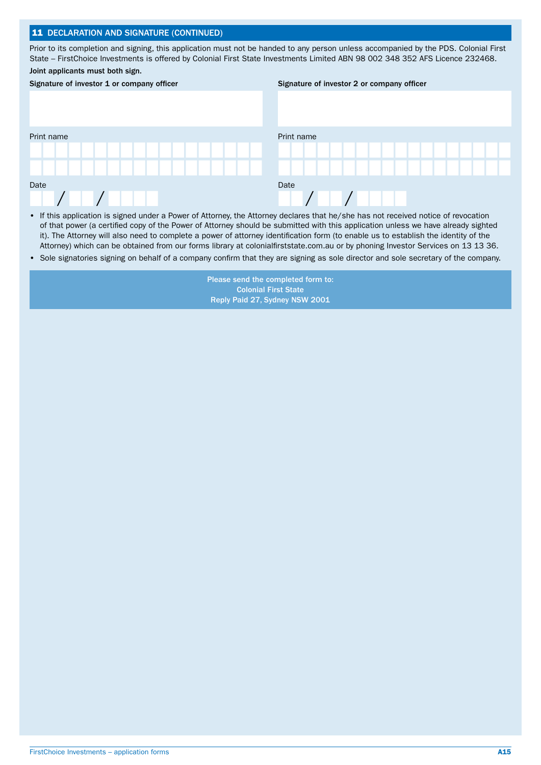## [11](http://www.fundsfocus.com.au/managed-funds/colonial-firstchoice/) DECLARATION AND SIGNATURE (CONTINUED)

Prior to its completion and signing, this application must not be handed to any person unless accompanied by the PDS. Colonial First State – FirstChoice Investments is offered by Colonial First State Investments Limited ABN 98 002 348 352 AFS Licence 232468. Joint applicants must both sign.

| Signature of investor 1 or company officer                                                                                                                                                                                                                                                                                                                           | Signature of investor 2 or company officer |  |  |  |
|----------------------------------------------------------------------------------------------------------------------------------------------------------------------------------------------------------------------------------------------------------------------------------------------------------------------------------------------------------------------|--------------------------------------------|--|--|--|
|                                                                                                                                                                                                                                                                                                                                                                      |                                            |  |  |  |
|                                                                                                                                                                                                                                                                                                                                                                      |                                            |  |  |  |
|                                                                                                                                                                                                                                                                                                                                                                      |                                            |  |  |  |
| Print name                                                                                                                                                                                                                                                                                                                                                           | Print name                                 |  |  |  |
|                                                                                                                                                                                                                                                                                                                                                                      |                                            |  |  |  |
|                                                                                                                                                                                                                                                                                                                                                                      |                                            |  |  |  |
| Date                                                                                                                                                                                                                                                                                                                                                                 | Date                                       |  |  |  |
|                                                                                                                                                                                                                                                                                                                                                                      |                                            |  |  |  |
| • If this application is signed under a Power of Attorney, the Attorney declares that he/she has not received notice of revocation<br>of the trace of the could call comparison to the comparison of the collection of the theory of the comparison of the comparison of the comparison of the comparison of the comparison of the comparison of the comparison of t |                                            |  |  |  |

of that power (a certified copy of the Power of Attorney should be submitted with this application unless we have already sighted it). The Attorney will also need to complete a power of attorney identification form (to enable us to establish the identity of the Attorney) which can be obtained from our forms library at colonialfirststate.com.au or by phoning Investor Services on 13 13 36.

• Sole signatories signing on behalf of a company confirm that they are signing as sole director and sole secretary of the company.

Please send the completed form to: Colonial First State Reply Paid 27, Sydney NSW 2001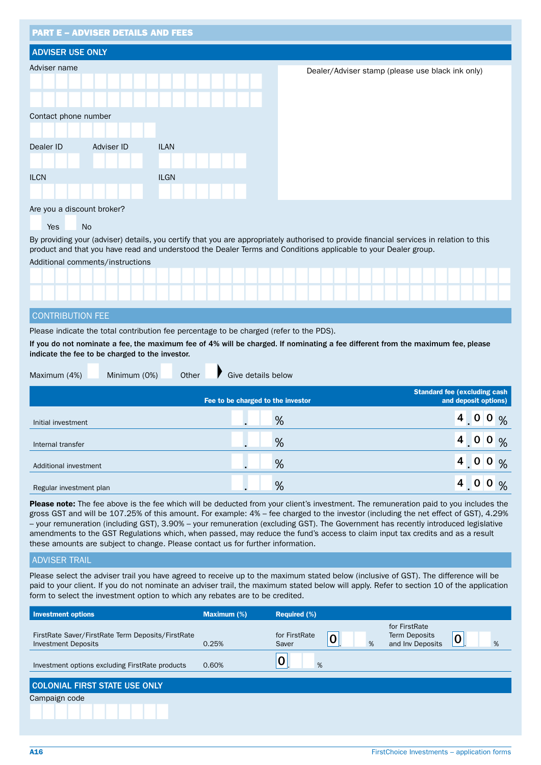| <b>PART E - ADVISER DETAILS AND FEES</b> |            |             |  |                                                  |  |  |
|------------------------------------------|------------|-------------|--|--------------------------------------------------|--|--|
| <b>ADVISER USE ONLY</b>                  |            |             |  |                                                  |  |  |
| Adviser name                             |            |             |  | Dealer/Adviser stamp (please use black ink only) |  |  |
| Contact phone number                     |            |             |  |                                                  |  |  |
| Dealer ID                                | Adviser ID | <b>ILAN</b> |  |                                                  |  |  |
| <b>ILCN</b>                              |            | <b>ILGN</b> |  |                                                  |  |  |

Are you a discount broker?

```
Yes No
```
By providing your (adviser) details, you certify that you are appropriately authorised to provide financial services in relation to this product and that you have read and understood the Dealer Terms and Conditions applicable to your Dealer group. Additional comments/instructions

nnnnnnnnnnnnnnnnnnnnnnnnnnnnnnnnnnnnnn nnnnnnnnnnnnnnnnnnnnnnnnnnnnnnnnnnnnnn

#### contribution fee

Please indicate the total contribution fee percentage to be charged (refer to the PDS).

If you do not nominate a fee, the maximum fee of 4% will be charged. If nominating a fee different from the maximum fee, please indicate the fee to be charged to the investor.

| Maximum (4%)            | Minimum (0%) | Other<br>Give details below       |                                                              |
|-------------------------|--------------|-----------------------------------|--------------------------------------------------------------|
|                         |              | Fee to be charged to the investor | <b>Standard fee (excluding cash)</b><br>and deposit options) |
| Initial investment      |              | %                                 | 0 <br>$0\%$<br>$\overline{4}$                                |
| Internal transfer       |              | %                                 | 40 L<br>$0\%$<br>4 <sub>l</sub>                              |
| Additional investment   |              | %                                 | $00\%$<br>4 <sub>l</sub>                                     |
| Regular investment plan |              | %                                 | 4<br>O<br>%                                                  |

Please note: The fee above is the fee which will be deducted from your client's investment. The remuneration paid to you includes the gross GST and will be 107.25% of this amount. For example: 4% – fee charged to the investor (including the net effect of GST), 4.29% – your remuneration (including GST), 3.90% – your remuneration (excluding GST). The Government has recently introduced legislative amendments to the GST Regulations which, when passed, may reduce the fund's access to claim input tax credits and as a result these amounts are subject to change. Please contact us for further information.

#### Adviser Trail

Please select the adviser trail you have agreed to receive up to the maximum stated below (inclusive of GST). The difference will be paid to your client. If you do not nominate an adviser trail, the maximum stated below will apply. Refer to section 10 of the application form to select the investment option to which any rebates are to be credited.

| <b>Investment options</b>                                                       | <b>Maximum (%)</b> | <b>Required (%)</b>              |                                                                        |
|---------------------------------------------------------------------------------|--------------------|----------------------------------|------------------------------------------------------------------------|
| FirstRate Saver/FirstRate Term Deposits/FirstRate<br><b>Investment Deposits</b> | 0.25%              | for FirstRate<br>0<br>%<br>Saver | for FirstRate<br>Term Deposits<br>$\mathbf 0$<br>and Inv Deposits<br>% |
| Investment options excluding FirstRate products                                 | 0.60%              | %                                |                                                                        |
| <b>COLONIAL FIRST STATE USE ONLY</b>                                            |                    |                                  |                                                                        |
| Campaign code                                                                   |                    |                                  |                                                                        |
|                                                                                 |                    |                                  |                                                                        |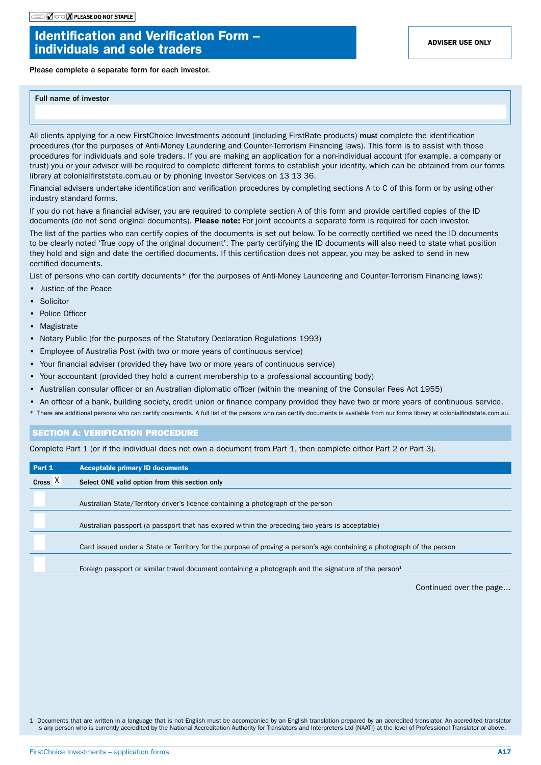## Identification and Verification Form – **Individuals and sole traders Exercise Application Formation Formation Formation Formation Formation Formation Formation Formation Formation Formation Formation Formation Formation Formation Formation Formation Formation**

Please complete a separate form for each investor.

#### Full name of investor

All clients applying for a new FirstChoice Investments account (including FirstRate products) must complete the identification procedures (for the purposes of Anti-Money Laundering and Counter-Terrorism Financing laws). This form is to assist with those procedures for individuals and sole traders. If you are making an application for a non-individual account (for example, a company or trust) you or your adviser will be required to complete different forms to establish your identity, which can be obtained from our forms library at colonialfirststate.com.au or by phoning Investor Services on 13 13 36.

Please complete this form using BLACK INK and print well within the boxes in CAPITAL LETTERS. Start at the left of each answer space

Financial advisers undertake identification and verification procedures by completing sections A to C of this form or by using other industry standard forms.

If you do not have a financial adviser, you are required to complete section A of this form and provide certified copies of the ID documents (do not send original documents). Please note: For joint accounts a separate form is required for each investor.

The list of the parties who can certify copies of the documents is set out below. To be correctly certified we need the ID documents to be clearly noted 'True copy of the original document'. The party certifying the ID documents will also need to state what position they hold and sign and date the certified documents. If this certification does not appear, you may be asked to send in new certified documents.

List of persons who can certify documents\* (for the purposes of Anti-Money Laundering and Counter-Terrorism Financing laws):

- Justice of the Peace
- Solicitor
- Police Officer
- Magistrate
- Notary Public (for the purposes of the Statutory Declaration Regulations 1993)
- Employee of Australia Post (with two or more years of continuous service)
- Your financial adviser (provided they have two or more years of continuous service)
- Your accountant (provided they hold a current membership to a professional accounting body)
- Australian consular officer or an Australian diplomatic officer (within the meaning of the Consular Fees Act 1955)
- An officer of a bank, building society, credit union or finance company provided they have two or more years of continuous service.
- \* There are additional persons who can certify documents. A full list of the persons who can certify documents is available from our forms library at colonialfirststate.com.au.

#### Section a: verification procedure

Complete Part 1 (or if the individual does not own a document from Part 1, then complete either Part 2 or Part 3).

| Part 1  | <b>Acceptable primary ID documents</b>                                                                                 |
|---------|------------------------------------------------------------------------------------------------------------------------|
| Cross X | Select ONE valid option from this section only                                                                         |
|         | Australian State/Territory driver's licence containing a photograph of the person                                      |
|         |                                                                                                                        |
|         | Australian passport (a passport that has expired within the preceding two years is acceptable)                         |
|         | Card issued under a State or Territory for the purpose of proving a person's age containing a photograph of the person |
|         | Foreign passport or similar travel document containing a photograph and the signature of the person <sup>1</sup>       |

Continued over the page…

1 Documents that are written in a language that is not English must be accompanied by an English translation prepared by an accredited translator. An accredited translator is any person who is currently accredited by the National Accreditation Authority for Translators and Interpreters Ltd (NAATI) at the level of Professional Translator or above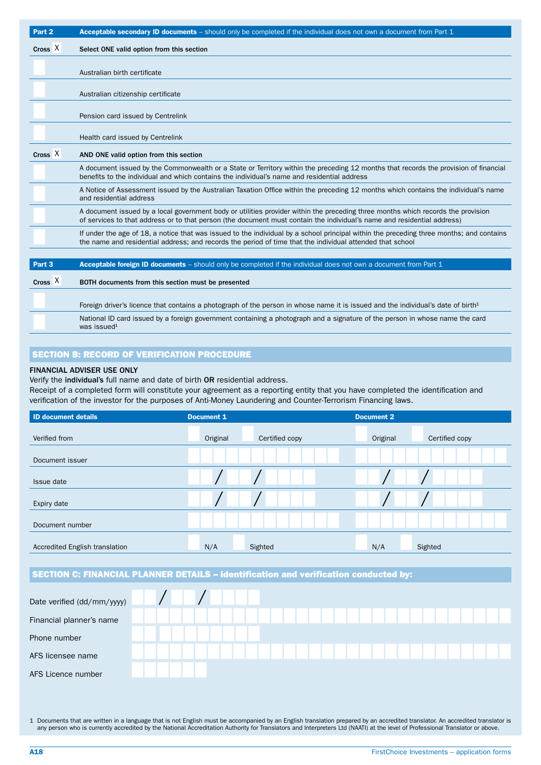| Part 2             | Acceptable secondary ID documents - should only be completed if the individual does not own a document from Part 1                                                                                                                                          |
|--------------------|-------------------------------------------------------------------------------------------------------------------------------------------------------------------------------------------------------------------------------------------------------------|
| Cross X            | Select ONE valid option from this section                                                                                                                                                                                                                   |
|                    | Australian birth certificate                                                                                                                                                                                                                                |
|                    | Australian citizenship certificate                                                                                                                                                                                                                          |
|                    | Pension card issued by Centrelink                                                                                                                                                                                                                           |
|                    | Health card issued by Centrelink                                                                                                                                                                                                                            |
| Cross X            | AND ONE valid option from this section                                                                                                                                                                                                                      |
|                    | A document issued by the Commonwealth or a State or Territory within the preceding 12 months that records the provision of financial<br>benefits to the individual and which contains the individual's name and residential address                         |
|                    | A Notice of Assessment issued by the Australian Taxation Office within the preceding 12 months which contains the individual's name<br>and residential address                                                                                              |
|                    | A document issued by a local government body or utilities provider within the preceding three months which records the provision<br>of services to that address or to that person (the document must contain the individual's name and residential address) |
|                    | If under the age of 18, a notice that was issued to the individual by a school principal within the preceding three months; and contains<br>the name and residential address; and records the period of time that the individual attended that school       |
|                    |                                                                                                                                                                                                                                                             |
| Part 3             | Acceptable foreign ID documents - should only be completed if the individual does not own a document from Part 1                                                                                                                                            |
| Cross <sub>X</sub> | BOTH documents from this section must be presented                                                                                                                                                                                                          |
|                    |                                                                                                                                                                                                                                                             |
|                    | Foreign driver's licence that contains a photograph of the person in whose name it is issued and the individual's date of birth <sup>1</sup>                                                                                                                |
|                    | National ID card issued by a foreign government containing a photograph and a signature of the person in whose name the card<br>was issued $1$                                                                                                              |

## Section B: RECORD OF VERIFICATION PROCEDURE

#### FINANCIAL ADVISER USE ONLY

Verify the individual's full name and date of birth OR residential address.

Receipt of a completed form will constitute your agreement as a reporting entity that you have completed the identification and verification of the investor for the purposes of Anti-Money Laundering and Counter-Terrorism Financing laws.

| <b>ID document details</b>     | <b>Document 1</b> |                | <b>Document 2</b>          |
|--------------------------------|-------------------|----------------|----------------------------|
| Verified from                  | Original          | Certified copy | Original<br>Certified copy |
| Document issuer                |                   |                |                            |
| Issue date                     |                   |                |                            |
| Expiry date                    |                   |                |                            |
| Document number                |                   |                |                            |
| Accredited English translation | N/A               | Sighted        | N/A<br>Sighted             |

## Section C: FINANCIAL PLANNER DETAILS – identification and verification conducted by:

| Date verified (dd/mm/yyyy) |  |  |  |  |  |  |   |  |  |  |  |  |  |  |  |
|----------------------------|--|--|--|--|--|--|---|--|--|--|--|--|--|--|--|
| Financial planner's name   |  |  |  |  |  |  | . |  |  |  |  |  |  |  |  |
| Phone number               |  |  |  |  |  |  |   |  |  |  |  |  |  |  |  |
| AFS licensee name          |  |  |  |  |  |  |   |  |  |  |  |  |  |  |  |
| AFS Licence number         |  |  |  |  |  |  |   |  |  |  |  |  |  |  |  |

1 Documents that are written in a language that is not English must be accompanied by an English translation prepared by an accredited translator. An accredited translator is any person who is currently accredited by the National Accreditation Authority for Translators and Interpreters Ltd (NAATI) at the level of Professional Translator or above.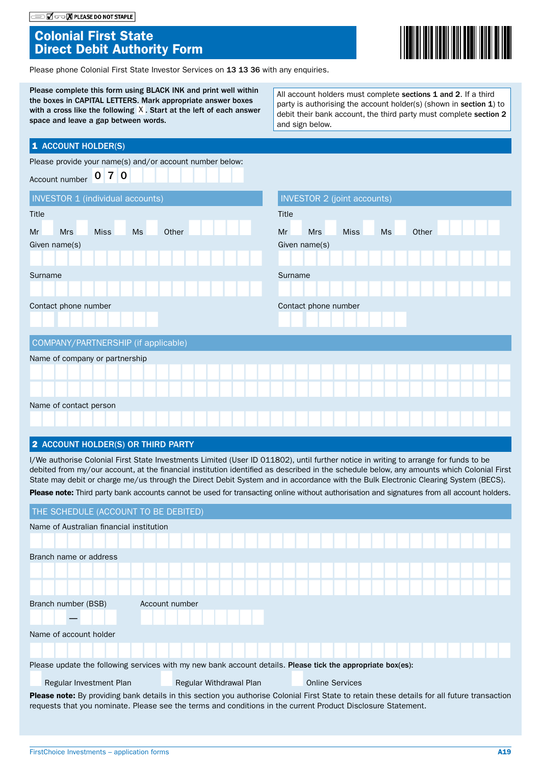**O DISPLEASE DO NOT STAPLE** 

## **[Colonial F](http://www.fundsfocus.com.au/managed-funds/colonial-firstchoice/)irst State – First Superior Superior Superior Superior Superior Superior Superior Superior Superior Direct Debit Authority Form Application Form Application Form Application Form Application Form Application Fo**



Please phone Colonial First State Investor Services on 13 13 36 with any enquiries.

Please complete this form using BLACK INK and print well within the boxes in CAPITAL LETTERS. Mark appropriate answer boxes with a cross like the following  $X$ . Start at the left of each answer

space and leave a gap between words. The boxes in CAPITAL LETTERS in CAPITAL LETTERS. START AND PRINT WELL LETTERS. START AND LETTERS. START AND LETTERS. START AND LETTERS. START AND LETTERS. START AND LETTERS. START AND L and leave a gap between words. Please cross X appropriate answer boxes. All account holders must complete sections 1 and 2. If a third party is authorising the account holder(s) (shown in section 1) to debit their bank account, the third party must complete section 2 and sign below.

## 1 ACCOUNT HOLDER(S)

| Please provide your name(s) and/or account number below: |  |  |
|----------------------------------------------------------|--|--|
|                                                          |  |  |

azo III n

| <b>INVESTOR 2 (joint accounts)</b><br><b>INVESTOR 1 (individual accounts)</b> |
|-------------------------------------------------------------------------------|
| Title                                                                         |
| <b>Ms</b><br>Other<br><b>Miss</b><br>Ms<br>Mr<br><b>Mrs</b><br>Other          |
| Given name(s)                                                                 |
|                                                                               |
| Surname                                                                       |
|                                                                               |
| Contact phone number                                                          |
|                                                                               |
|                                                                               |
|                                                                               |
|                                                                               |
|                                                                               |
|                                                                               |
| COMPANY/PARTNERSHIP (if applicable)<br>Name of company or partnership         |

## Name of contact person

## 2 ACCOUNT HOLDER(S) OR THIRD PARTY

I/We authorise Colonial First State Investments Limited (User ID 011802), until further notice in writing to arrange for funds to be debited from my/our account, at the financial institution identified as described in the schedule below, any amounts which Colonial First State may debit or charge me/us through the Direct Debit System and in accordance with the Bulk Electronic Clearing System (BECS). Please note: Third party bank accounts cannot be used for transacting online without authorisation and signatures from all account holders.

nnnnnnnnnnnnnnnnnnnnnnnnnnnnnnnnnnnnnn

| THE SCHEDULE (ACCOUNT TO BE DEBITED)                                                                                                                                                                                                                                |  |  |  |  |  |  |
|---------------------------------------------------------------------------------------------------------------------------------------------------------------------------------------------------------------------------------------------------------------------|--|--|--|--|--|--|
| Name of Australian financial institution                                                                                                                                                                                                                            |  |  |  |  |  |  |
|                                                                                                                                                                                                                                                                     |  |  |  |  |  |  |
| Branch name or address                                                                                                                                                                                                                                              |  |  |  |  |  |  |
|                                                                                                                                                                                                                                                                     |  |  |  |  |  |  |
|                                                                                                                                                                                                                                                                     |  |  |  |  |  |  |
| Branch number (BSB)<br>Account number                                                                                                                                                                                                                               |  |  |  |  |  |  |
|                                                                                                                                                                                                                                                                     |  |  |  |  |  |  |
| Name of account holder                                                                                                                                                                                                                                              |  |  |  |  |  |  |
|                                                                                                                                                                                                                                                                     |  |  |  |  |  |  |
| Please update the following services with my new bank account details. Please tick the appropriate box(es):                                                                                                                                                         |  |  |  |  |  |  |
| <b>Online Services</b><br>Regular Investment Plan<br>Regular Withdrawal Plan                                                                                                                                                                                        |  |  |  |  |  |  |
| <b>Please note:</b> By providing bank details in this section you authorise Colonial First State to retain these details for all future transaction<br>requests that you nominate. Please see the terms and conditions in the current Product Disclosure Statement. |  |  |  |  |  |  |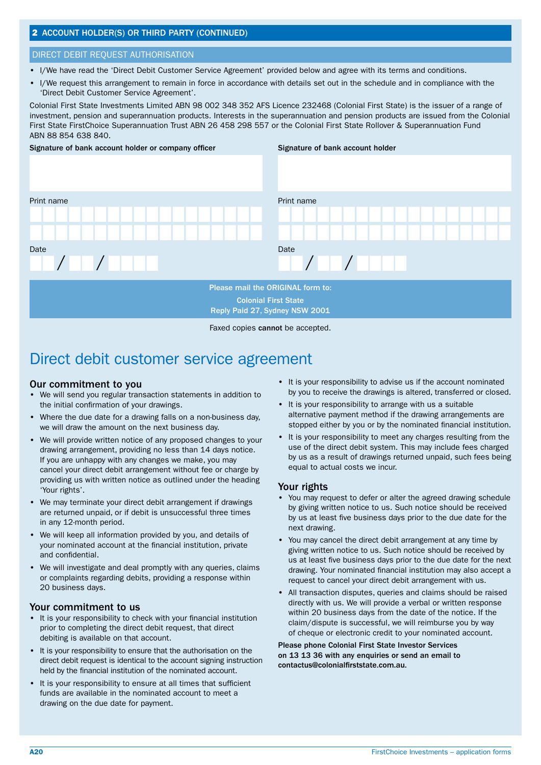## 2 [account](http://www.fundsfocus.com.au/managed-funds/colonial-firstchoice/) holder(S) or third party (continued)

#### direct debit request authorisation

- I/We have read the 'Direct Debit Customer Service Agreement' provided below and agree with its terms and conditions.
- I/We request this arrangement to remain in force in accordance with details set out in the schedule and in compliance with the 'Direct Debit Customer Service Agreement'.

Colonial First State Investments Limited ABN 98 002 348 352 AFS Licence 232468 (Colonial First State) is the issuer of a range of investment, pension and superannuation products. Interests in the superannuation and pension products are issued from the Colonial First State FirstChoice Superannuation Trust ABN 26 458 298 557 or the Colonial First State Rollover & Superannuation Fund ABN 88 854 638 840.



Faxed copies cannot be accepted.

## Direct debit customer service agreement

#### Our commitment to you

- We will send you regular transaction statements in addition to the initial confirmation of your drawings.
- Where the due date for a drawing falls on a non-business day, we will draw the amount on the next business day.
- We will provide written notice of any proposed changes to your drawing arrangement, providing no less than 14 days notice. If you are unhappy with any changes we make, you may cancel your direct debit arrangement without fee or charge by providing us with written notice as outlined under the heading 'Your rights'.
- We may terminate your direct debit arrangement if drawings are returned unpaid, or if debit is unsuccessful three times in any 12-month period.
- We will keep all information provided by you, and details of your nominated account at the financial institution, private and confidential.
- We will investigate and deal promptly with any queries, claims or complaints regarding debits, providing a response within 20 business days.

#### Your commitment to us

- It is your responsibility to check with your financial institution prior to completing the direct debit request, that direct debiting is available on that account.
- It is your responsibility to ensure that the authorisation on the direct debit request is identical to the account signing instruction held by the financial institution of the nominated account.
- It is your responsibility to ensure at all times that sufficient funds are available in the nominated account to meet a drawing on the due date for payment.
- It is your responsibility to advise us if the account nominated by you to receive the drawings is altered, transferred or closed.
- It is your responsibility to arrange with us a suitable alternative payment method if the drawing arrangements are stopped either by you or by the nominated financial institution.
- It is your responsibility to meet any charges resulting from the use of the direct debit system. This may include fees charged by us as a result of drawings returned unpaid, such fees being equal to actual costs we incur.

## Your rights

- You may request to defer or alter the agreed drawing schedule by giving written notice to us. Such notice should be received by us at least five business days prior to the due date for the next drawing.
- You may cancel the direct debit arrangement at any time by giving written notice to us. Such notice should be received by us at least five business days prior to the due date for the next drawing. Your nominated financial institution may also accept a request to cancel your direct debit arrangement with us.
- All transaction disputes, queries and claims should be raised directly with us. We will provide a verbal or written response within 20 business days from the date of the notice. If the claim/dispute is successful, we will reimburse you by way of cheque or electronic credit to your nominated account.

Please phone Colonial First State Investor Services on 13 13 36 with any enquiries or send an email to contactus@colonialfirststate.com.au.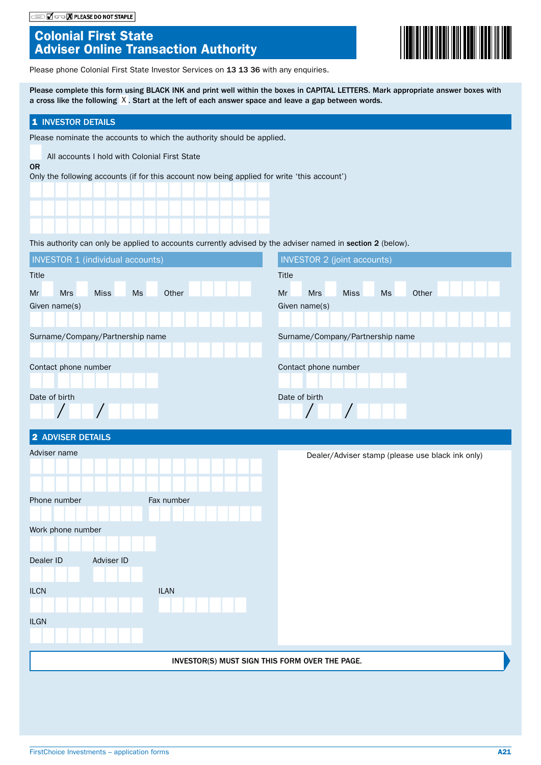## **[Colonial F](http://www.fundsfocus.com.au/managed-funds/colonial-firstchoice/)irst State – First Superior Superior Superior Superior Superior Superior Superior Superior Superior Adviser Online Transaction Authority** and the **Authority**

![](_page_38_Picture_2.jpeg)

Please phone Colonial First State Investor Services on 13 13 36 with any enquiries.

Please complete this form using BLACK INK and print well within the boxes in CAPITAL LETTERS. Mark appropriate answer boxes with a cross like the following X . Start at the left of each answer space and leave a gap between words.

#### **1 INVESTOR DETAILS**. Start at the boxes in CAPITAL LETTERS in CAPITAL LETTERS in CAPITAL LETTERS. Start at the left of each answer space space space space space space space space space space space space space space space

**Please nominate the accounts to which the authority should be applied.** 

nnnnnnnnnnnnnnnnnnn nnnnnnnnnnnnnnnnnnn nnnnnnnnnnnnnnnnnnn

All accounts I hold with Colonial First State

OR

Only the following accounts (if for this account now being applied for write 'this account')

This authority can only be applied to accounts currently advised by the adviser named in section 2 (below).

| <b>INVESTOR 1 (individual accounts)</b>               | <b>INVESTOR 2 (joint accounts)</b>                    |  |  |  |  |  |  |  |  |  |
|-------------------------------------------------------|-------------------------------------------------------|--|--|--|--|--|--|--|--|--|
| Title                                                 | Title                                                 |  |  |  |  |  |  |  |  |  |
| <b>Ms</b><br><b>Mrs</b><br><b>Miss</b><br>Other<br>Mr | Mr<br><b>Miss</b><br><b>Ms</b><br>Other<br><b>Mrs</b> |  |  |  |  |  |  |  |  |  |
| Given name(s)                                         | Given name(s)                                         |  |  |  |  |  |  |  |  |  |
|                                                       |                                                       |  |  |  |  |  |  |  |  |  |
| Surname/Company/Partnership name                      | Surname/Company/Partnership name                      |  |  |  |  |  |  |  |  |  |
|                                                       |                                                       |  |  |  |  |  |  |  |  |  |
| Contact phone number                                  | Contact phone number                                  |  |  |  |  |  |  |  |  |  |
|                                                       |                                                       |  |  |  |  |  |  |  |  |  |
| Date of birth                                         | Date of birth                                         |  |  |  |  |  |  |  |  |  |
|                                                       |                                                       |  |  |  |  |  |  |  |  |  |

## 2 ADVISER DETAILS

| Adviser name      |                                                |             | Dealer/Adviser stamp (please use black ink only) |  |  |  |  |
|-------------------|------------------------------------------------|-------------|--------------------------------------------------|--|--|--|--|
| Phone number      |                                                | Fax number  |                                                  |  |  |  |  |
| Work phone number |                                                |             |                                                  |  |  |  |  |
| Dealer ID         | Adviser ID                                     |             |                                                  |  |  |  |  |
| <b>ILCN</b>       |                                                | <b>ILAN</b> |                                                  |  |  |  |  |
| <b>ILGN</b>       |                                                |             |                                                  |  |  |  |  |
|                   | INVESTOR(S) MUST SIGN THIS FORM OVER THE PAGE. |             |                                                  |  |  |  |  |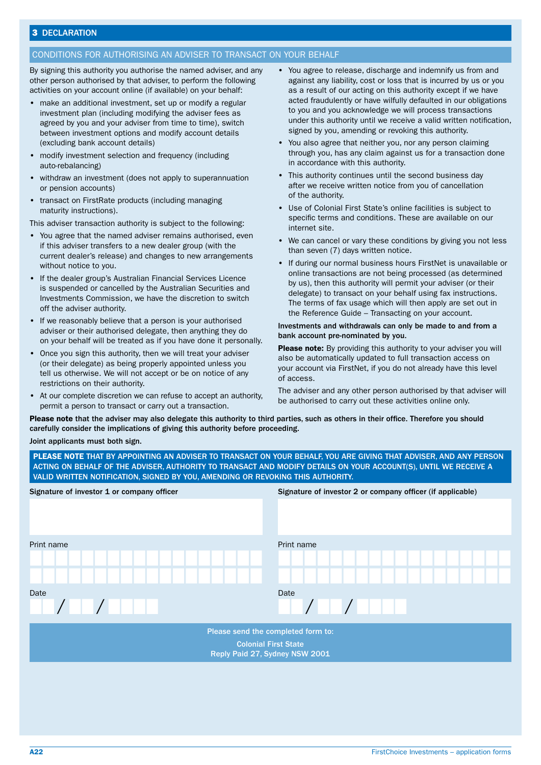## 3 [DECLARATIO](http://www.fundsfocus.com.au/managed-funds/colonial-firstchoice/)N

#### CONDITIONS FOR AUTHORISING AN ADVISER TO TRANSACT ON YOUR BEHALF

By signing this authority you authorise the named adviser, and any other person authorised by that adviser, to perform the following activities on your account online (if available) on your behalf:

- make an additional investment, set up or modify a regular investment plan (including modifying the adviser fees as agreed by you and your adviser from time to time), switch between investment options and modify account details (excluding bank account details)
- modify investment selection and frequency (including auto-rebalancing)
- withdraw an investment (does not apply to superannuation or pension accounts)
- transact on FirstRate products (including managing maturity instructions).

This adviser transaction authority is subject to the following:

- You agree that the named adviser remains authorised, even if this adviser transfers to a new dealer group (with the current dealer's release) and changes to new arrangements without notice to you.
- If the dealer group's Australian Financial Services Licence is suspended or cancelled by the Australian Securities and Investments Commission, we have the discretion to switch off the adviser authority.
- If we reasonably believe that a person is your authorised adviser or their authorised delegate, then anything they do on your behalf will be treated as if you have done it personally.
- Once you sign this authority, then we will treat your adviser (or their delegate) as being properly appointed unless you tell us otherwise. We will not accept or be on notice of any restrictions on their authority.
- At our complete discretion we can refuse to accept an authority, permit a person to transact or carry out a transaction.
- You agree to release, discharge and indemnify us from and against any liability, cost or loss that is incurred by us or you as a result of our acting on this authority except if we have acted fraudulently or have wilfully defaulted in our obligations to you and you acknowledge we will process transactions under this authority until we receive a valid written notification, signed by you, amending or revoking this authority.
- You also agree that neither you, nor any person claiming through you, has any claim against us for a transaction done in accordance with this authority.
- This authority continues until the second business day after we receive written notice from you of cancellation of the authority.
- Use of Colonial First State's online facilities is subject to specific terms and conditions. These are available on our internet site.
- We can cancel or vary these conditions by giving you not less than seven (7) days written notice.
- If during our normal business hours FirstNet is unavailable or online transactions are not being processed (as determined by us), then this authority will permit your adviser (or their delegate) to transact on your behalf using fax instructions. The terms of fax usage which will then apply are set out in the Reference Guide – Transacting on your account.

#### Investments and withdrawals can only be made to and from a bank account pre-nominated by you.

Please note: By providing this authority to your adviser you will also be automatically updated to full transaction access on your account via FirstNet, if you do not already have this level of access.

The adviser and any other person authorised by that adviser will be authorised to carry out these activities online only.

Please note that the adviser may also delegate this authority to third parties, such as others in their office. Therefore you should carefully consider the implications of giving this authority before proceeding.

#### Joint applicants must both sign.

PLEASE NOTE THAT BY APPOINTING AN ADVISER TO TRANSACT ON YOUR BEHALF, YOU ARE GIVING THAT ADVISER, AND ANY PERSON ACTING ON BEHALF OF THE ADVISER, AUTHORITY TO TRANSACT AND MODIFY DETAILS ON YOUR ACCOUNT(S), UNTIL WE RECEIVE A VALID WRITTEN NOTIFICATION, SIGNED BY YOU, AMENDING OR REVOKING THIS AUTHORITY.

| Signature of investor 1 or company officer | Signature of investor 2 or company officer (if applicable)    |  |  |  |  |  |  |  |  |
|--------------------------------------------|---------------------------------------------------------------|--|--|--|--|--|--|--|--|
|                                            |                                                               |  |  |  |  |  |  |  |  |
|                                            |                                                               |  |  |  |  |  |  |  |  |
| Print name                                 | Print name                                                    |  |  |  |  |  |  |  |  |
|                                            |                                                               |  |  |  |  |  |  |  |  |
|                                            |                                                               |  |  |  |  |  |  |  |  |
| Date                                       | Date                                                          |  |  |  |  |  |  |  |  |
| $\sqrt{1}$                                 | $\sqrt{2}$                                                    |  |  |  |  |  |  |  |  |
|                                            |                                                               |  |  |  |  |  |  |  |  |
|                                            | Please send the completed form to:                            |  |  |  |  |  |  |  |  |
|                                            | <b>Colonial First State</b><br>Reply Paid 27, Sydney NSW 2001 |  |  |  |  |  |  |  |  |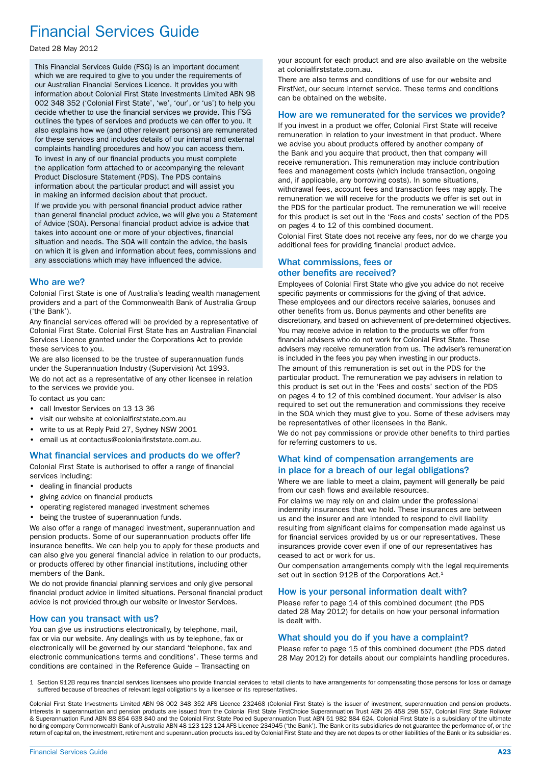## [Financial](http://www.fundsfocus.com.au/managed-funds/colonial-firstchoice/) Services Guide

Dated 28 May 2012

This Financial Services Guide (FSG) is an important document which we are required to give to you under the requirements of our Australian Financial Services Licence. It provides you with information about Colonial First State Investments Limited ABN 98 002 348 352 ('Colonial First State', 'we', 'our', or 'us') to help you decide whether to use the financial services we provide. This FSG outlines the types of services and products we can offer to you. It also explains how we (and other relevant persons) are remunerated for these services and includes details of our internal and external complaints handling procedures and how you can access them. To invest in any of our financial products you must complete the application form attached to or accompanying the relevant Product Disclosure Statement (PDS). The PDS contains information about the particular product and will assist you in making an informed decision about that product.

If we provide you with personal financial product advice rather than general financial product advice, we will give you a Statement of Advice (SOA). Personal financial product advice is advice that takes into account one or more of your objectives, financial situation and needs. The SOA will contain the advice, the basis on which it is given and information about fees, commissions and any associations which may have influenced the advice.

#### Who are we?

Colonial First State is one of Australia's leading wealth management providers and a part of the Commonwealth Bank of Australia Group ('the Bank').

Any financial services offered will be provided by a representative of Colonial First State. Colonial First State has an Australian Financial Services Licence granted under the Corporations Act to provide these services to you.

We are also licensed to be the trustee of superannuation funds under the Superannuation Industry (Supervision) Act 1993.

We do not act as a representative of any other licensee in relation to the services we provide you.

To contact us you can:

- call Investor Services on 13 13 36
- visit our website at colonialfirststate.com.au
- write to us at Reply Paid 27, Sydney NSW 2001
- email us at contactus@colonialfirststate.com.au.

## What financial services and products do we offer?

Colonial First State is authorised to offer a range of financial services including:

- dealing in financial products
- giving advice on financial products
- operating registered managed investment schemes
- being the trustee of superannuation funds.

We also offer a range of managed investment, superannuation and pension products. Some of our superannuation products offer life insurance benefits. We can help you to apply for these products and can also give you general financial advice in relation to our products, or products offered by other financial institutions, including other members of the Bank.

We do not provide financial planning services and only give personal financial product advice in limited situations. Personal financial product advice is not provided through our website or Investor Services.

## How can you transact with us?

You can give us instructions electronically, by telephone, mail, fax or via our website. Any dealings with us by telephone, fax or electronically will be governed by our standard 'telephone, fax and electronic communications terms and conditions'. These terms and conditions are contained in the Reference Guide – Transacting on

your account for each product and are also available on the website at colonialfirststate.com.au.

There are also terms and conditions of use for our website and FirstNet, our secure internet service. These terms and conditions can be obtained on the website.

#### How are we remunerated for the services we provide?

If you invest in a product we offer, Colonial First State will receive remuneration in relation to your investment in that product. Where we advise you about products offered by another company of the Bank and you acquire that product, then that company will receive remuneration. This remuneration may include contribution fees and management costs (which include transaction, ongoing and, if applicable, any borrowing costs). In some situations, withdrawal fees, account fees and transaction fees may apply. The remuneration we will receive for the products we offer is set out in the PDS for the particular product. The remuneration we will receive for this product is set out in the 'Fees and costs' section of the PDS on pages 4 to 12 of this combined document.

Colonial First State does not receive any fees, nor do we charge you additional fees for providing financial product advice.

## What commissions, fees or other benefits are received?

Employees of Colonial First State who give you advice do not receive specific payments or commissions for the giving of that advice. These employees and our directors receive salaries, bonuses and other benefits from us. Bonus payments and other benefits are discretionary, and based on achievement of pre-determined objectives.

You may receive advice in relation to the products we offer from financial advisers who do not work for Colonial First State. These advisers may receive remuneration from us. The adviser's remuneration is included in the fees you pay when investing in our products.

The amount of this remuneration is set out in the PDS for the particular product. The remuneration we pay advisers in relation to this product is set out in the 'Fees and costs' section of the PDS on pages 4 to 12 of this combined document. Your adviser is also required to set out the remuneration and commissions they receive in the SOA which they must give to you. Some of these advisers may be representatives of other licensees in the Bank.

We do not pay commissions or provide other benefits to third parties for referring customers to us.

## What kind of compensation arrangements are in place for a breach of our legal obligations?

Where we are liable to meet a claim, payment will generally be paid from our cash flows and available resources.

For claims we may rely on and claim under the professional indemnity insurances that we hold. These insurances are between us and the insurer and are intended to respond to civil liability resulting from significant claims for compensation made against us for financial services provided by us or our representatives. These insurances provide cover even if one of our representatives has ceased to act or work for us.

Our compensation arrangements comply with the legal requirements set out in section 912B of the Corporations Act.<sup>1</sup>

## How is your personal information dealt with?

Please refer to page 14 of this combined document (the PDS dated 28 May 2012) for details on how your personal information is dealt with.

#### What should you do if you have a complaint?

Please refer to page 15 of this combined document (the PDS dated 28 May 2012) for details about our complaints handling procedures.

1 Section 912B requires financial services licensees who provide financial services to retail clients to have arrangements for compensating those persons for loss or damage suffered because of breaches of relevant legal obligations by a licensee or its representatives.

Colonial First State Investments Limited ABN 98 002 348 352 AFS Licence 232468 (Colonial First State) is the issuer of investment, superannuation and pension products. Interests in superannuation and pension products are issued from the Colonial First State FirstChoice Superannuation Trust ABN 26 458 298 557, Colonial First State Rollover & Superannuation Fund ABN 88 854 638 840 and the Colonial First State Pooled Superannuation Trust ABN 51 982 884 624. Colonial First State is a subsidiary of the ultimate holding company Commonwealth Bank of Australia ABN 48 123 123 124 AFS Licence 234945 ('the Bank'). The Bank or its subsidiaries do not guarantee the performance of, or the return of capital on, the investment, retirement and superannuation products issued by Colonial First State and they are not deposits or other liabilities of the Bank or its subsidiaries.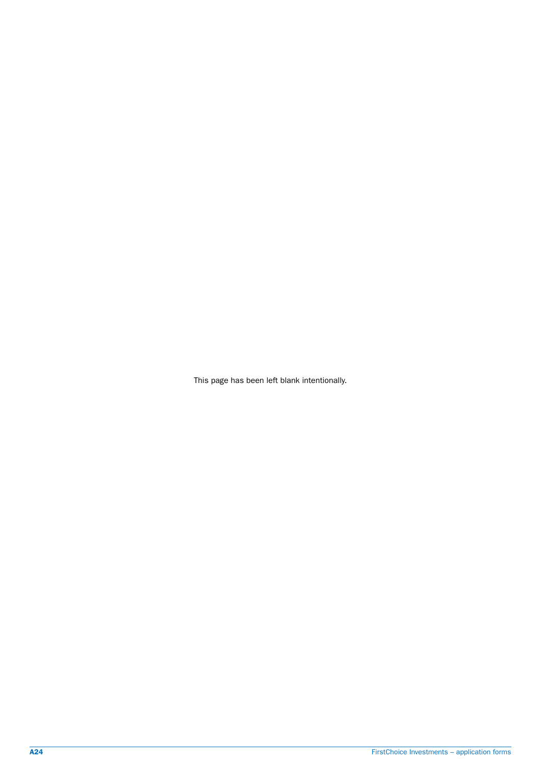This page has been left blank intentionally.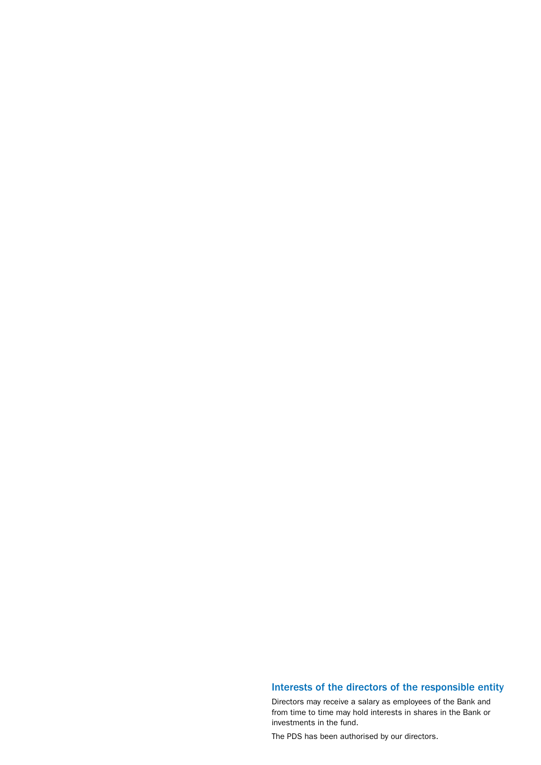## Interests of the directors of the responsible entity

Directors may receive a salary as employees of the Bank and from time to time may hold interests in shares in the Bank or investments in the fund.

The PDS has been authorised by our directors.